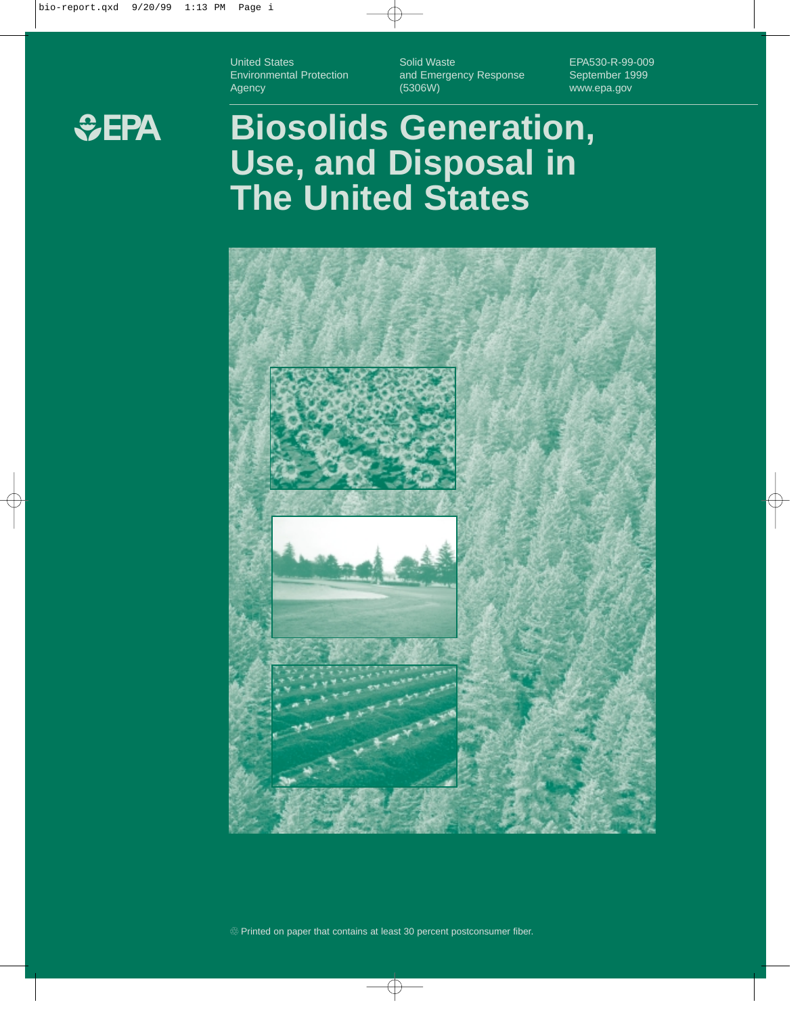United States Environmental Protection Agency

Solid Waste and Emergency Response (5306W)

EPA530-R-99-009 September 1999 www.epa.gov



### **Biosolids Generation, Use, and Disposal in The United States**

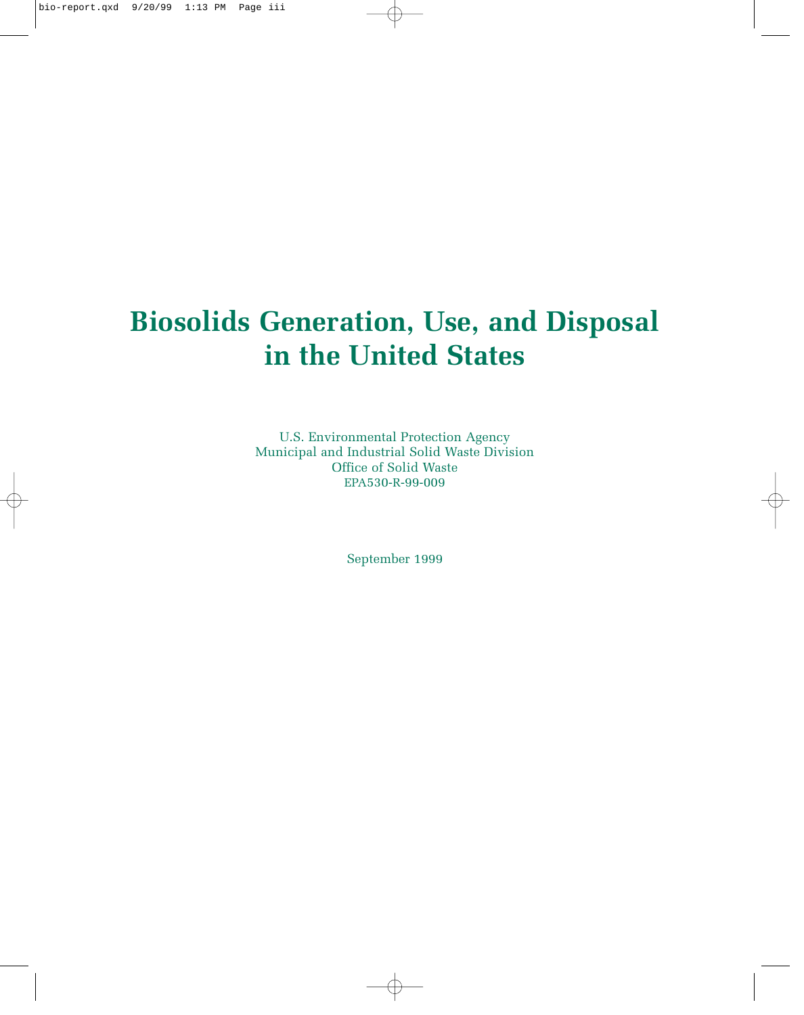### **Biosolids Generation, Use, and Disposal in the United States**

U.S. Environmental Protection Agency Municipal and Industrial Solid Waste Division Office of Solid Waste EPA530-R-99-009

September 1999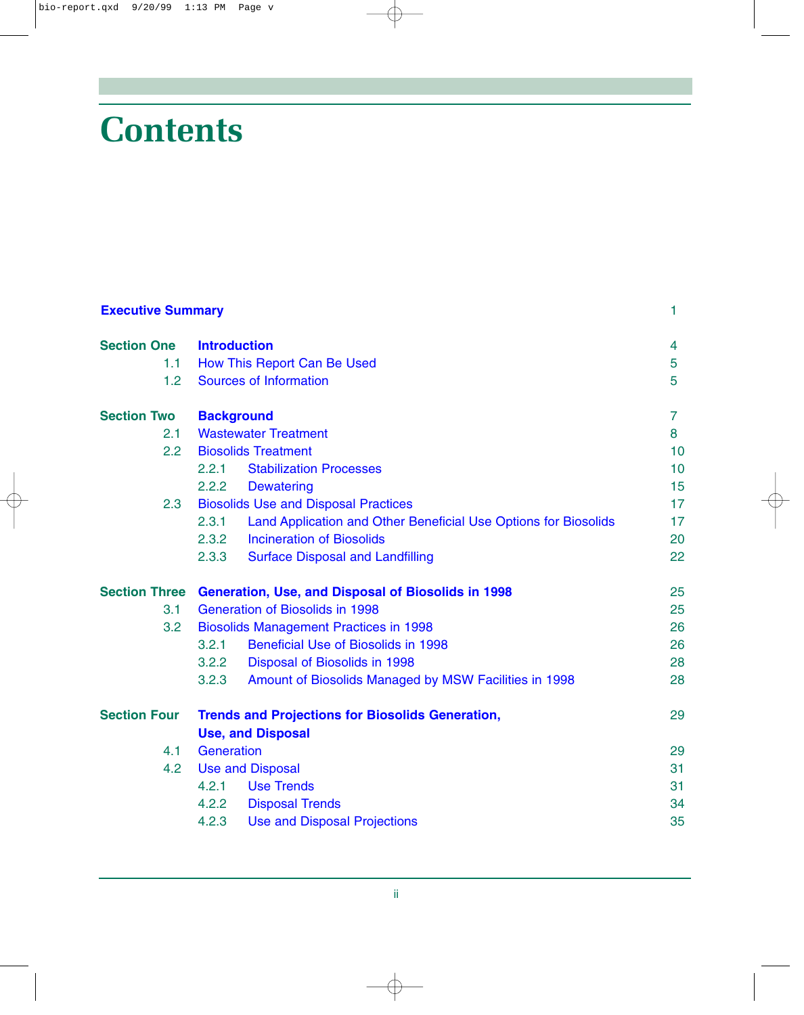# **Contents**

| <b>Executive Summary</b> |                                                                          | 1              |
|--------------------------|--------------------------------------------------------------------------|----------------|
| <b>Section One</b>       | <b>Introduction</b>                                                      | 4              |
| 1.1                      | How This Report Can Be Used                                              | 5              |
| 1.2                      | <b>Sources of Information</b>                                            | 5              |
| <b>Section Two</b>       | <b>Background</b>                                                        | $\overline{7}$ |
| 2.1                      | <b>Wastewater Treatment</b>                                              | 8              |
| 2.2                      | <b>Biosolids Treatment</b>                                               | 10             |
|                          | <b>Stabilization Processes</b><br>2.2.1                                  | 10             |
|                          | 2.2.2<br><b>Dewatering</b>                                               | 15             |
| 2.3                      | <b>Biosolids Use and Disposal Practices</b>                              | 17             |
|                          | 2.3.1<br>Land Application and Other Beneficial Use Options for Biosolids | 17             |
|                          | <b>Incineration of Biosolids</b><br>2.3.2                                | 20             |
|                          | 2.3.3<br><b>Surface Disposal and Landfilling</b>                         | 22             |
|                          | Section Three Generation, Use, and Disposal of Biosolids in 1998         | 25             |
| 3.1                      | <b>Generation of Biosolids in 1998</b>                                   | 25             |
| 3.2                      | <b>Biosolids Management Practices in 1998</b>                            | 26             |
|                          | <b>Beneficial Use of Biosolids in 1998</b><br>3.2.1                      | 26             |
|                          | 3.2.2<br>Disposal of Biosolids in 1998                                   | 28             |
|                          | 3.2.3<br>Amount of Biosolids Managed by MSW Facilities in 1998           | 28             |
| <b>Section Four</b>      | <b>Trends and Projections for Biosolids Generation,</b>                  | 29             |
|                          | <b>Use, and Disposal</b>                                                 |                |
| 4.1                      | Generation                                                               | 29             |
| 4.2                      | <b>Use and Disposal</b>                                                  | 31             |
|                          | <b>Use Trends</b><br>4.2.1                                               | 31             |
|                          | 4.2.2<br><b>Disposal Trends</b>                                          | 34             |
|                          | 4.2.3<br><b>Use and Disposal Projections</b>                             | 35             |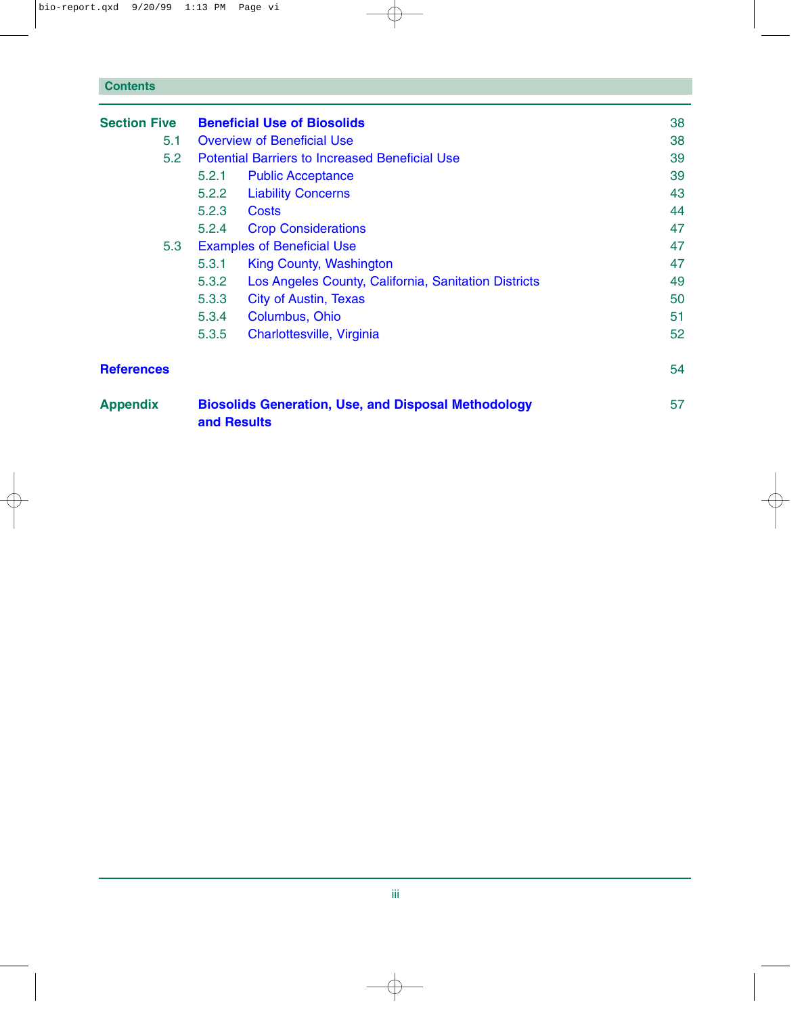| <b>Section Five</b> | <b>Beneficial Use of Biosolids</b>                                        |                                                      | 38 |
|---------------------|---------------------------------------------------------------------------|------------------------------------------------------|----|
| 5.1                 | <b>Overview of Beneficial Use</b>                                         |                                                      | 38 |
| 5.2                 | <b>Potential Barriers to Increased Beneficial Use</b>                     |                                                      | 39 |
|                     | 5.2.1<br><b>Public Acceptance</b>                                         |                                                      | 39 |
|                     | <b>Liability Concerns</b><br>5.2.2                                        |                                                      | 43 |
|                     | 5.2.3<br><b>Costs</b>                                                     |                                                      | 44 |
|                     | 5.2.4<br><b>Crop Considerations</b>                                       |                                                      | 47 |
| 5.3                 | <b>Examples of Beneficial Use</b>                                         |                                                      | 47 |
|                     | 5.3.1<br>King County, Washington                                          |                                                      | 47 |
|                     | 5.3.2                                                                     | Los Angeles County, California, Sanitation Districts | 49 |
|                     | 5.3.3<br><b>City of Austin, Texas</b>                                     |                                                      | 50 |
|                     | 5.3.4<br>Columbus, Ohio                                                   |                                                      | 51 |
|                     | 5.3.5<br>Charlottesville, Virginia                                        |                                                      | 52 |
| <b>References</b>   |                                                                           |                                                      | 54 |
| <b>Appendix</b>     | <b>Biosolids Generation, Use, and Disposal Methodology</b><br>and Results |                                                      | 57 |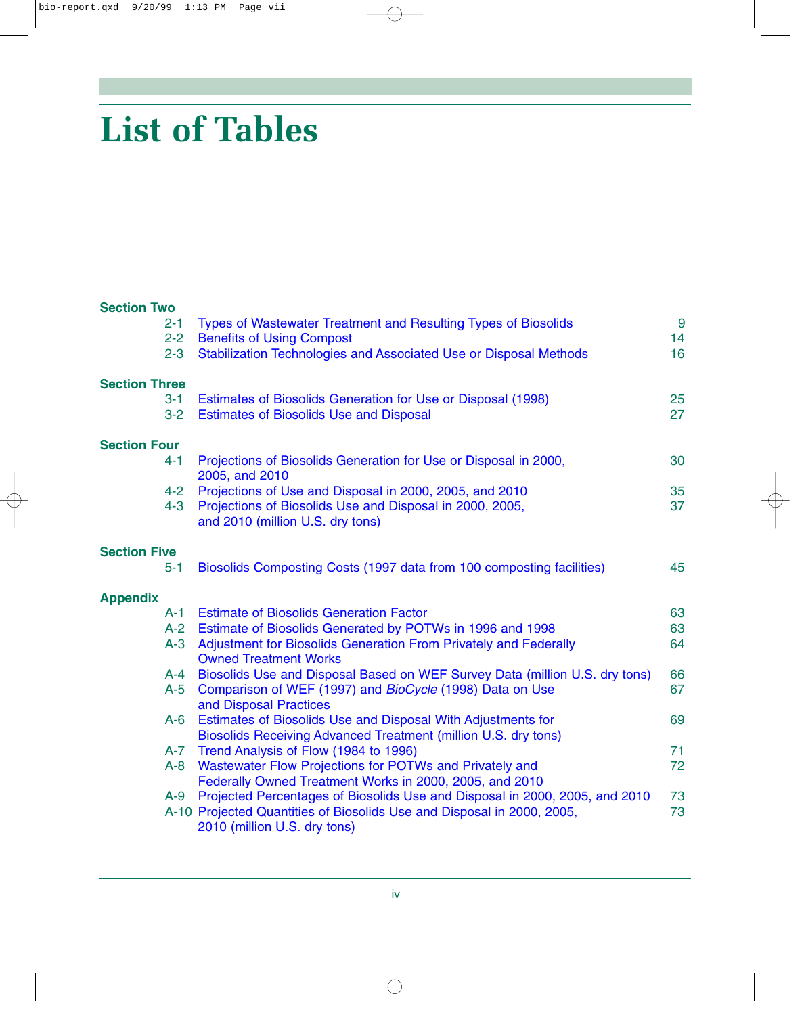# **List of Tables**

#### **Section Two**

| $2 - 1$                         | $2 - 2$<br>$2 - 3$ | Types of Wastewater Treatment and Resulting Types of Biosolids<br><b>Benefits of Using Compost</b><br>Stabilization Technologies and Associated Use or Disposal Methods | $\overline{9}$<br>14<br>16 |
|---------------------------------|--------------------|-------------------------------------------------------------------------------------------------------------------------------------------------------------------------|----------------------------|
| <b>Section Three</b><br>$3 - 1$ |                    | Estimates of Biosolids Generation for Use or Disposal (1998)                                                                                                            | 25                         |
|                                 | $3 - 2$            | <b>Estimates of Biosolids Use and Disposal</b>                                                                                                                          | 27                         |
| <b>Section Four</b>             |                    |                                                                                                                                                                         |                            |
| $4 - 1$                         | 2005, and 2010     | Projections of Biosolids Generation for Use or Disposal in 2000,                                                                                                        | 30                         |
|                                 | $4 - 2$            | Projections of Use and Disposal in 2000, 2005, and 2010                                                                                                                 | 35                         |
|                                 | $4 - 3$            | Projections of Biosolids Use and Disposal in 2000, 2005,<br>and 2010 (million U.S. dry tons)                                                                            | 37                         |
| <b>Section Five</b>             |                    |                                                                                                                                                                         |                            |
| $5 - 1$                         |                    | Biosolids Composting Costs (1997 data from 100 composting facilities)                                                                                                   | 45                         |
| <b>Appendix</b>                 |                    |                                                                                                                                                                         |                            |
|                                 | A-1                | <b>Estimate of Biosolids Generation Factor</b>                                                                                                                          | 63                         |
|                                 | $A-2$              | Estimate of Biosolids Generated by POTWs in 1996 and 1998                                                                                                               | 63                         |
|                                 | $A-3$              | Adjustment for Biosolids Generation From Privately and Federally<br><b>Owned Treatment Works</b>                                                                        | 64                         |
|                                 | $A - 4$            | Biosolids Use and Disposal Based on WEF Survey Data (million U.S. dry tons)                                                                                             | 66                         |
|                                 | $A-5$              | Comparison of WEF (1997) and BioCycle (1998) Data on Use<br>and Disposal Practices                                                                                      | 67                         |
|                                 | $A-6$              | Estimates of Biosolids Use and Disposal With Adjustments for<br>Biosolids Receiving Advanced Treatment (million U.S. dry tons)                                          | 69                         |
|                                 | $A-7$              | Trend Analysis of Flow (1984 to 1996)                                                                                                                                   | 71                         |
|                                 | $A - 8$            | Wastewater Flow Projections for POTWs and Privately and<br>Federally Owned Treatment Works in 2000, 2005, and 2010                                                      | 72                         |
|                                 | $A-9$              | Projected Percentages of Biosolids Use and Disposal in 2000, 2005, and 2010                                                                                             | 73                         |
|                                 |                    | A-10 Projected Quantities of Biosolids Use and Disposal in 2000, 2005,<br>2010 (million U.S. dry tons)                                                                  | 73                         |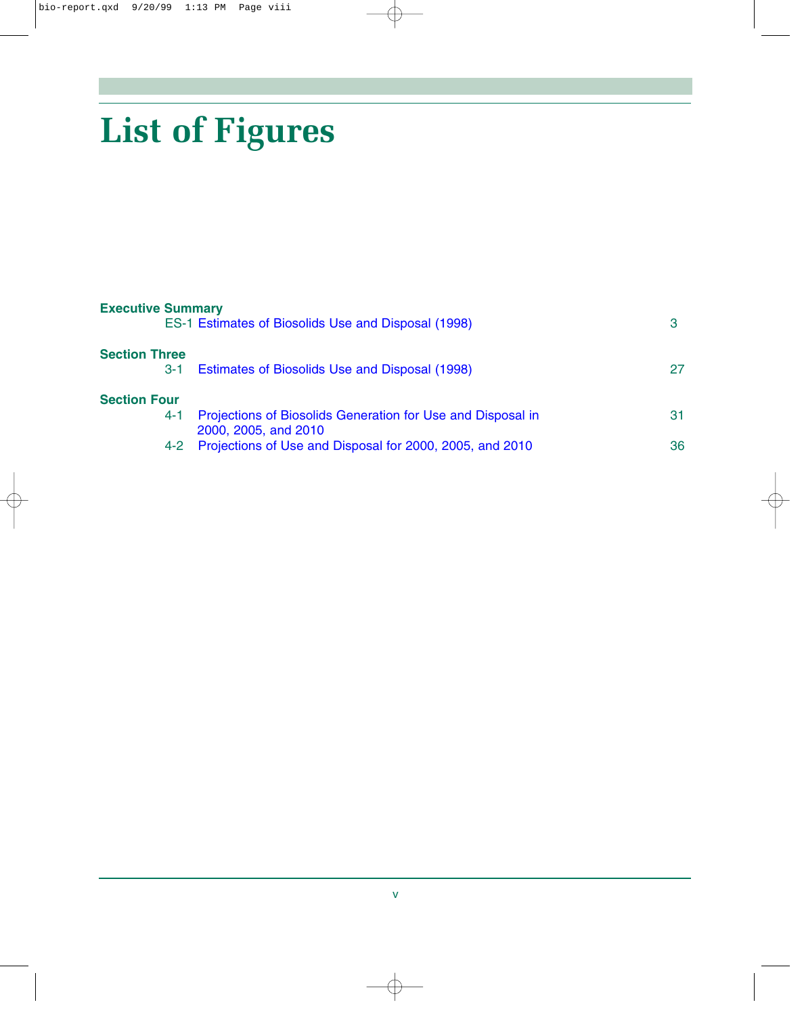# **List of Figures**

| <b>Executive Summary</b><br>ES-1 Estimates of Biosolids Use and Disposal (1998)                                                                 |          |
|-------------------------------------------------------------------------------------------------------------------------------------------------|----------|
| Estimates of Biosolids Use and Disposal (1998)                                                                                                  | 27       |
| Projections of Biosolids Generation for Use and Disposal in<br>2000, 2005, and 2010<br>Projections of Use and Disposal for 2000, 2005, and 2010 | 31<br>36 |
|                                                                                                                                                 |          |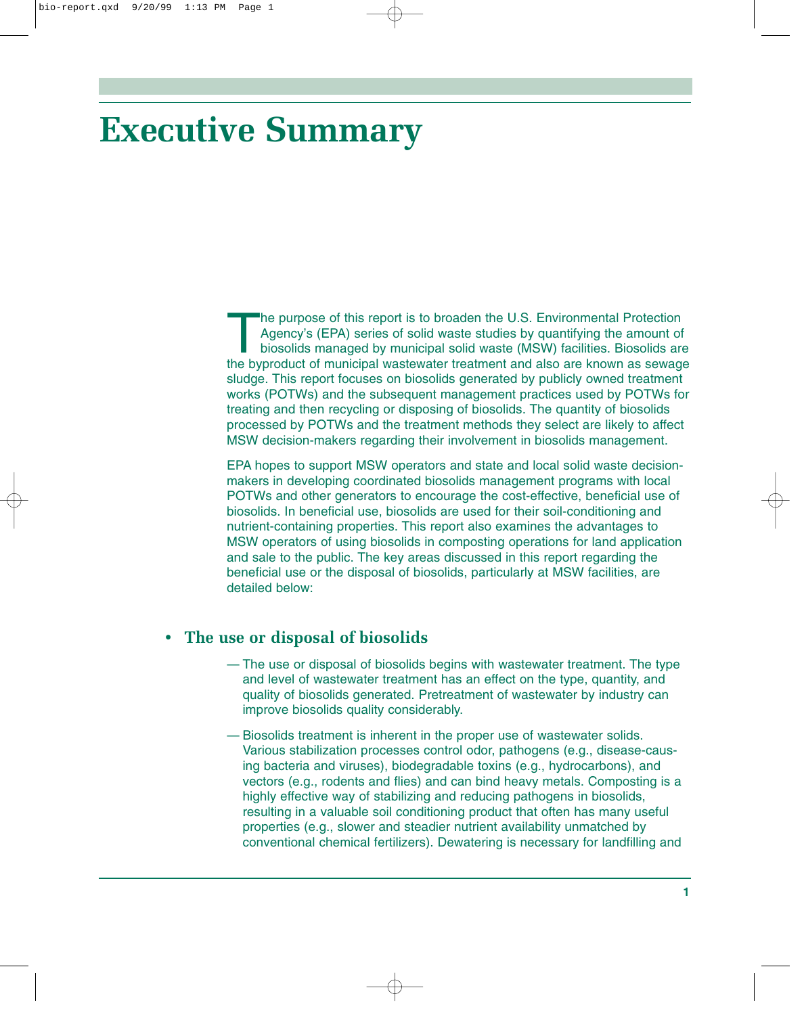## <span id="page-6-0"></span>**Executive Summary**

The purpose of this report is to broaden the U.S. Environmental Protection<br>Agency's (EPA) series of solid waste studies by quantifying the amount of<br>biosolids managed by municipal solid waste (MSW) facilities. Biosolids at Agency's (EPA) series of solid waste studies by quantifying the amount of biosolids managed by municipal solid waste (MSW) facilities. Biosolids are the byproduct of municipal wastewater treatment and also are known as sewage sludge. This report focuses on biosolids generated by publicly owned treatment works (POTWs) and the subsequent management practices used by POTWs for treating and then recycling or disposing of biosolids. The quantity of biosolids processed by POTWs and the treatment methods they select are likely to affect MSW decision-makers regarding their involvement in biosolids management.

EPA hopes to support MSW operators and state and local solid waste decisionmakers in developing coordinated biosolids management programs with local POTWs and other generators to encourage the cost-effective, beneficial use of biosolids. In beneficial use, biosolids are used for their soil-conditioning and nutrient-containing properties. This report also examines the advantages to MSW operators of using biosolids in composting operations for land application and sale to the public. The key areas discussed in this report regarding the beneficial use or the disposal of biosolids, particularly at MSW facilities, are detailed below:

#### **• The use or disposal of biosolids**

- The use or disposal of biosolids begins with wastewater treatment. The type and level of wastewater treatment has an effect on the type, quantity, and quality of biosolids generated. Pretreatment of wastewater by industry can improve biosolids quality considerably.
- Biosolids treatment is inherent in the proper use of wastewater solids. Various stabilization processes control odor, pathogens (e.g., disease-causing bacteria and viruses), biodegradable toxins (e.g., hydrocarbons), and vectors (e.g., rodents and flies) and can bind heavy metals. Composting is a highly effective way of stabilizing and reducing pathogens in biosolids, resulting in a valuable soil conditioning product that often has many useful properties (e.g., slower and steadier nutrient availability unmatched by conventional chemical fertilizers). Dewatering is necessary for landfilling and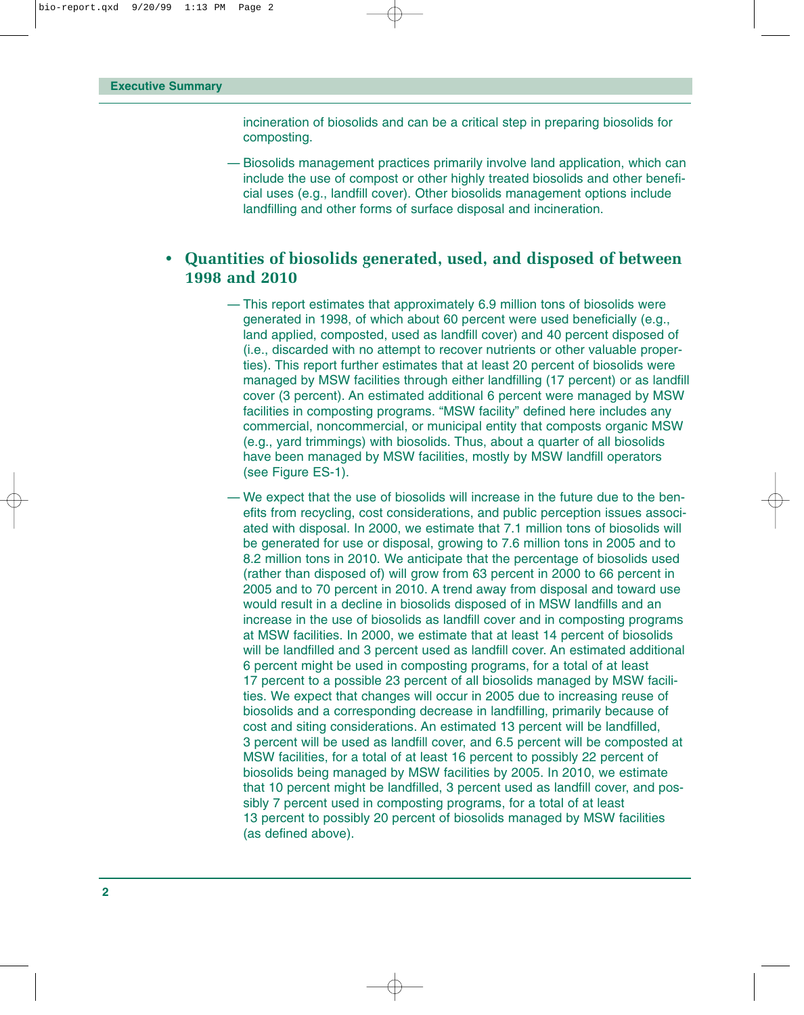incineration of biosolids and can be a critical step in preparing biosolids for composting.

— Biosolids management practices primarily involve land application, which can include the use of compost or other highly treated biosolids and other beneficial uses (e.g., landfill cover). Other biosolids management options include landfilling and other forms of surface disposal and incineration.

#### **• Quantities of biosolids generated, used, and disposed of between 1998 and 2010**

- This report estimates that approximately 6.9 million tons of biosolids were generated in 1998, of which about 60 percent were used beneficially (e.g., land applied, composted, used as landfill cover) and 40 percent disposed of (i.e., discarded with no attempt to recover nutrients or other valuable properties). This report further estimates that at least 20 percent of biosolids were managed by MSW facilities through either landfilling (17 percent) or as landfill cover (3 percent). An estimated additional 6 percent were managed by MSW facilities in composting programs. "MSW facility" defined here includes any commercial, noncommercial, or municipal entity that composts organic MSW (e.g., yard trimmings) with biosolids. Thus, about a quarter of all biosolids have been managed by MSW facilities, mostly by MSW landfill operators (see Figure ES-1).
- We expect that the use of biosolids will increase in the future due to the benefits from recycling, cost considerations, and public perception issues associated with disposal. In 2000, we estimate that 7.1 million tons of biosolids will be generated for use or disposal, growing to 7.6 million tons in 2005 and to 8.2 million tons in 2010. We anticipate that the percentage of biosolids used (rather than disposed of) will grow from 63 percent in 2000 to 66 percent in 2005 and to 70 percent in 2010. A trend away from disposal and toward use would result in a decline in biosolids disposed of in MSW landfills and an increase in the use of biosolids as landfill cover and in composting programs at MSW facilities. In 2000, we estimate that at least 14 percent of biosolids will be landfilled and 3 percent used as landfill cover. An estimated additional 6 percent might be used in composting programs, for a total of at least 17 percent to a possible 23 percent of all biosolids managed by MSW facilities. We expect that changes will occur in 2005 due to increasing reuse of biosolids and a corresponding decrease in landfilling, primarily because of cost and siting considerations. An estimated 13 percent will be landfilled, 3 percent will be used as landfill cover, and 6.5 percent will be composted at MSW facilities, for a total of at least 16 percent to possibly 22 percent of biosolids being managed by MSW facilities by 2005. In 2010, we estimate that 10 percent might be landfilled, 3 percent used as landfill cover, and possibly 7 percent used in composting programs, for a total of at least 13 percent to possibly 20 percent of biosolids managed by MSW facilities (as defined above).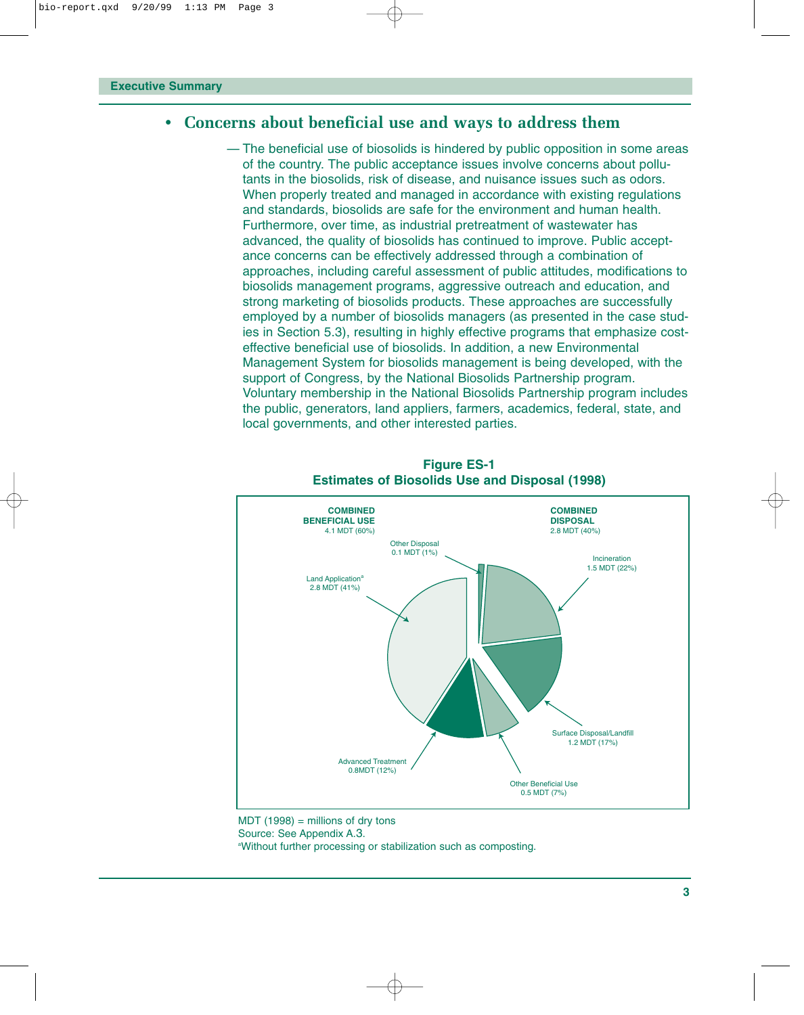#### <span id="page-8-0"></span>**• Concerns about beneficial use and ways to address them**

— The beneficial use of biosolids is hindered by public opposition in some areas of the country. The public acceptance issues involve concerns about pollutants in the biosolids, risk of disease, and nuisance issues such as odors. When properly treated and managed in accordance with existing regulations and standards, biosolids are safe for the environment and human health. Furthermore, over time, as industrial pretreatment of wastewater has advanced, the quality of biosolids has continued to improve. Public acceptance concerns can be effectively addressed through a combination of approaches, including careful assessment of public attitudes, modifications to biosolids management programs, aggressive outreach and education, and strong marketing of biosolids products. These approaches are successfully employed by a number of biosolids managers (as presented in the case studies in Section 5.3), resulting in highly effective programs that emphasize costeffective beneficial use of biosolids. In addition, a new Environmental Management System for biosolids management is being developed, with the support of Congress, by the National Biosolids Partnership program. Voluntary membership in the National Biosolids Partnership program includes the public, generators, land appliers, farmers, academics, federal, state, and local governments, and other interested parties.



**Figure ES-1 Estimates of Biosolids Use and Disposal (1998)**

 $MDT (1998) =$  millions of dry tons Source: See Appendix A.3. a Without further processing or stabilization such as composting.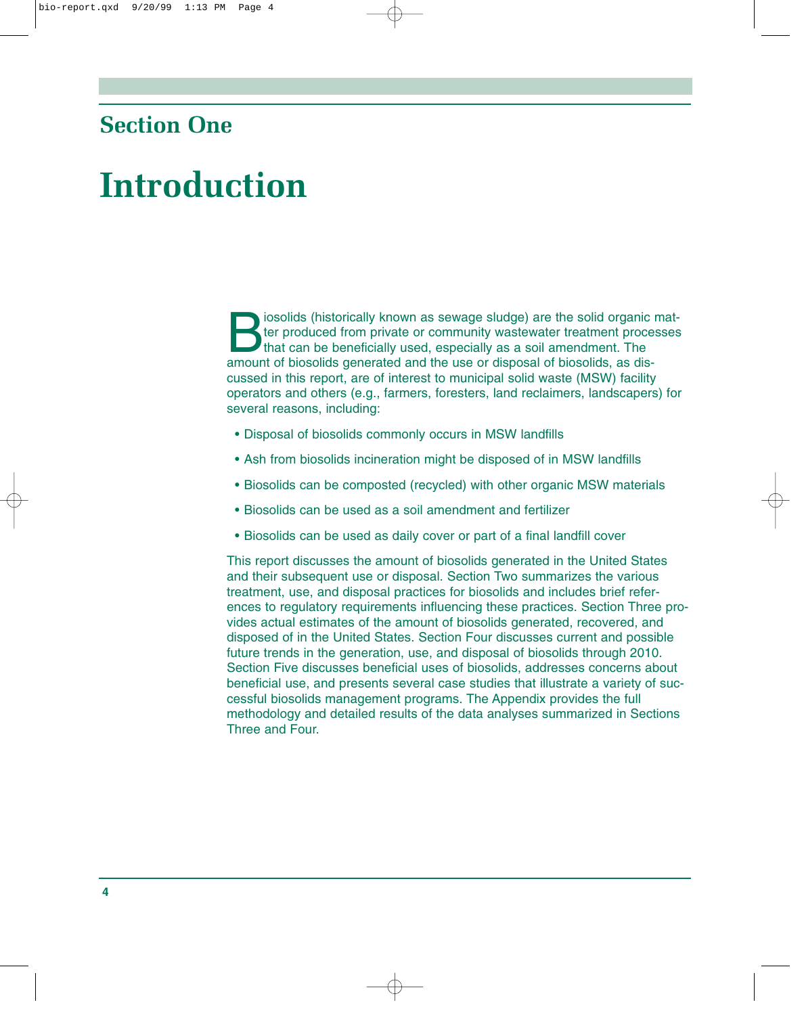### <span id="page-9-0"></span>**Section One**

## **Introduction**

solids (historically known as sewage sludge) are the solid organic matter produced from private or community wastewater treatment processes<br>that can be beneficially used, especially as a soil amendment. The<br>amount of bioso ter produced from private or community wastewater treatment processes that can be beneficially used, especially as a soil amendment. The amount of biosolids generated and the use or disposal of biosolids, as discussed in this report, are of interest to municipal solid waste (MSW) facility operators and others (e.g., farmers, foresters, land reclaimers, landscapers) for several reasons, including:

- Disposal of biosolids commonly occurs in MSW landfills
- Ash from biosolids incineration might be disposed of in MSW landfills
- Biosolids can be composted (recycled) with other organic MSW materials
- Biosolids can be used as a soil amendment and fertilizer
- Biosolids can be used as daily cover or part of a final landfill cover

This report discusses the amount of biosolids generated in the United States and their subsequent use or disposal. Section Two summarizes the various treatment, use, and disposal practices for biosolids and includes brief references to regulatory requirements influencing these practices. Section Three provides actual estimates of the amount of biosolids generated, recovered, and disposed of in the United States. Section Four discusses current and possible future trends in the generation, use, and disposal of biosolids through 2010. Section Five discusses beneficial uses of biosolids, addresses concerns about beneficial use, and presents several case studies that illustrate a variety of successful biosolids management programs. The Appendix provides the full methodology and detailed results of the data analyses summarized in Sections Three and Four.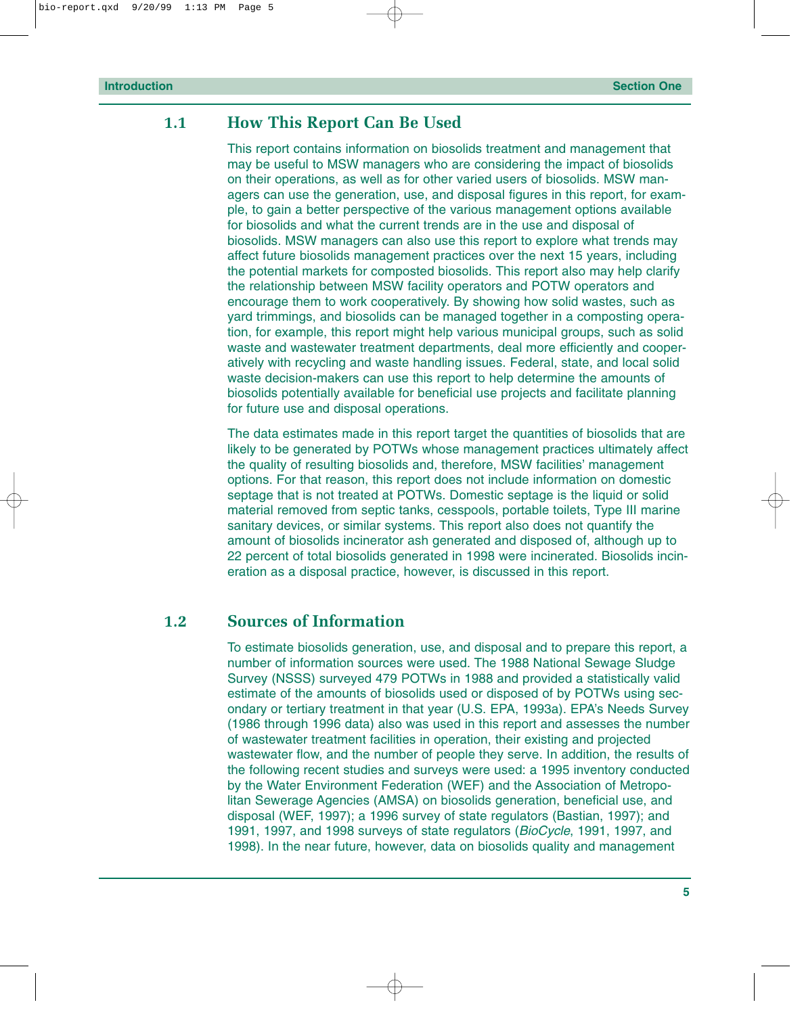#### <span id="page-10-0"></span>**1.1 How This Report Can Be Used**

This report contains information on biosolids treatment and management that may be useful to MSW managers who are considering the impact of biosolids on their operations, as well as for other varied users of biosolids. MSW managers can use the generation, use, and disposal figures in this report, for example, to gain a better perspective of the various management options available for biosolids and what the current trends are in the use and disposal of biosolids. MSW managers can also use this report to explore what trends may affect future biosolids management practices over the next 15 years, including the potential markets for composted biosolids. This report also may help clarify the relationship between MSW facility operators and POTW operators and encourage them to work cooperatively. By showing how solid wastes, such as yard trimmings, and biosolids can be managed together in a composting operation, for example, this report might help various municipal groups, such as solid waste and wastewater treatment departments, deal more efficiently and cooperatively with recycling and waste handling issues. Federal, state, and local solid waste decision-makers can use this report to help determine the amounts of biosolids potentially available for beneficial use projects and facilitate planning for future use and disposal operations.

The data estimates made in this report target the quantities of biosolids that are likely to be generated by POTWs whose management practices ultimately affect the quality of resulting biosolids and, therefore, MSW facilities' management options. For that reason, this report does not include information on domestic septage that is not treated at POTWs. Domestic septage is the liquid or solid material removed from septic tanks, cesspools, portable toilets, Type III marine sanitary devices, or similar systems. This report also does not quantify the amount of biosolids incinerator ash generated and disposed of, although up to 22 percent of total biosolids generated in 1998 were incinerated. Biosolids incineration as a disposal practice, however, is discussed in this report.

#### **1.2 Sources of Information**

To estimate biosolids generation, use, and disposal and to prepare this report, a number of information sources were used. The 1988 National Sewage Sludge Survey (NSSS) surveyed 479 POTWs in 1988 and provided a statistically valid estimate of the amounts of biosolids used or disposed of by POTWs using secondary or tertiary treatment in that year (U.S. EPA, 1993a). EPA's Needs Survey (1986 through 1996 data) also was used in this report and assesses the number of wastewater treatment facilities in operation, their existing and projected wastewater flow, and the number of people they serve. In addition, the results of the following recent studies and surveys were used: a 1995 inventory conducted by the Water Environment Federation (WEF) and the Association of Metropolitan Sewerage Agencies (AMSA) on biosolids generation, beneficial use, and disposal (WEF, 1997); a 1996 survey of state regulators (Bastian, 1997); and 1991, 1997, and 1998 surveys of state regulators (*BioCycle*, 1991, 1997, and 1998). In the near future, however, data on biosolids quality and management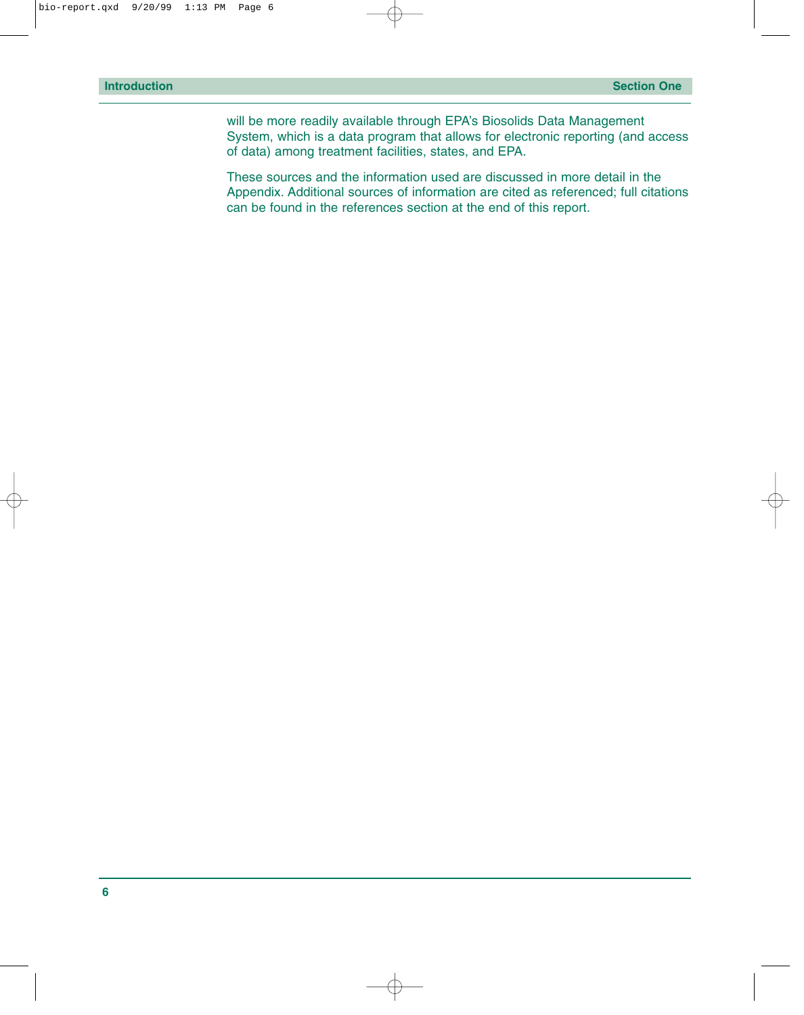will be more readily available through EPA's Biosolids Data Management System, which is a data program that allows for electronic reporting (and access of data) among treatment facilities, states, and EPA.

These sources and the information used are discussed in more detail in the Appendix. Additional sources of information are cited as referenced; full citations can be found in the references section at the end of this report.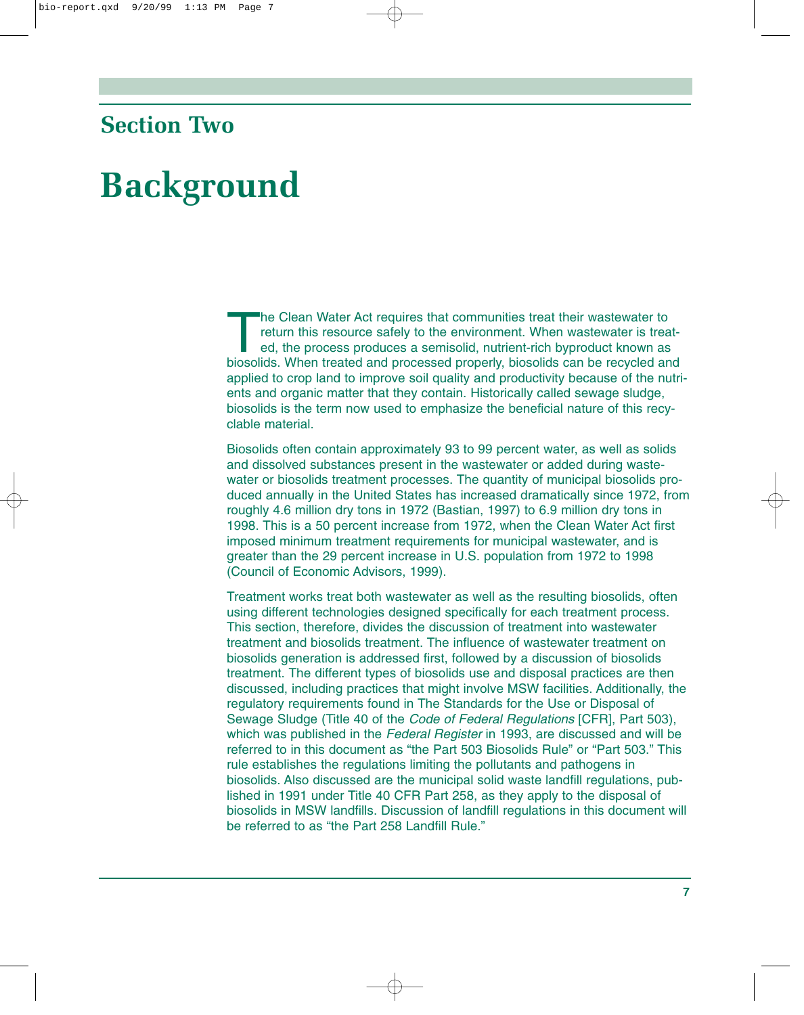### <span id="page-12-0"></span>**Section Two**

## **Background**

The Clean Water Act requires that communities treat their wastewater to<br>return this resource safely to the environment. When wastewater is treated<br>ed, the process produces a semisolid, nutrient-rich byproduct known as<br>bios return this resource safely to the environment. When wastewater is treated, the process produces a semisolid, nutrient-rich byproduct known as biosolids. When treated and processed properly, biosolids can be recycled and applied to crop land to improve soil quality and productivity because of the nutrients and organic matter that they contain. Historically called sewage sludge, biosolids is the term now used to emphasize the beneficial nature of this recyclable material.

Biosolids often contain approximately 93 to 99 percent water, as well as solids and dissolved substances present in the wastewater or added during wastewater or biosolids treatment processes. The quantity of municipal biosolids produced annually in the United States has increased dramatically since 1972, from roughly 4.6 million dry tons in 1972 (Bastian, 1997) to 6.9 million dry tons in 1998. This is a 50 percent increase from 1972, when the Clean Water Act first imposed minimum treatment requirements for municipal wastewater, and is greater than the 29 percent increase in U.S. population from 1972 to 1998 (Council of Economic Advisors, 1999).

Treatment works treat both wastewater as well as the resulting biosolids, often using different technologies designed specifically for each treatment process. This section, therefore, divides the discussion of treatment into wastewater treatment and biosolids treatment. The influence of wastewater treatment on biosolids generation is addressed first, followed by a discussion of biosolids treatment. The different types of biosolids use and disposal practices are then discussed, including practices that might involve MSW facilities. Additionally, the regulatory requirements found in The Standards for the Use or Disposal of Sewage Sludge (Title 40 of the *Code of Federal Regulations* [CFR], Part 503), which was published in the *Federal Register* in 1993, are discussed and will be referred to in this document as "the Part 503 Biosolids Rule" or "Part 503." This rule establishes the regulations limiting the pollutants and pathogens in biosolids. Also discussed are the municipal solid waste landfill regulations, published in 1991 under Title 40 CFR Part 258, as they apply to the disposal of biosolids in MSW landfills. Discussion of landfill regulations in this document will be referred to as "the Part 258 Landfill Rule."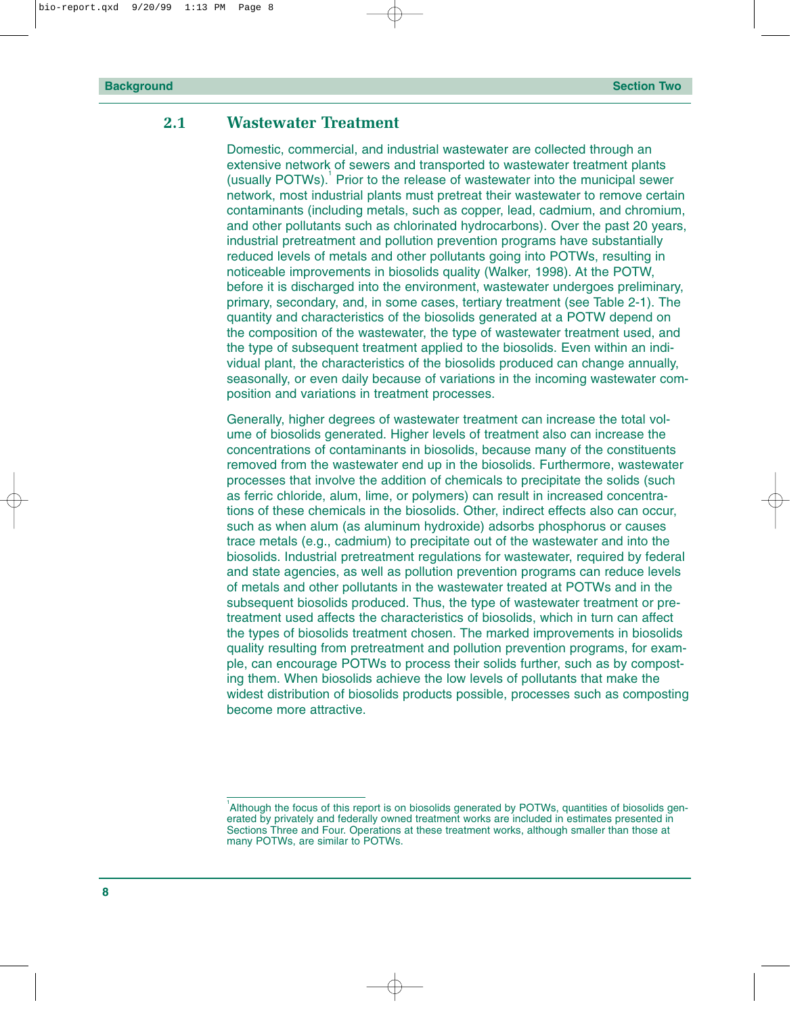#### <span id="page-13-0"></span>**2.1 Wastewater Treatment**

Domestic, commercial, and industrial wastewater are collected through an extensive network of sewers and transported to wastewater treatment plants (usually POTWs).<sup>1</sup> Prior to the release of wastewater into the municipal sewer network, most industrial plants must pretreat their wastewater to remove certain contaminants (including metals, such as copper, lead, cadmium, and chromium, and other pollutants such as chlorinated hydrocarbons). Over the past 20 years, industrial pretreatment and pollution prevention programs have substantially reduced levels of metals and other pollutants going into POTWs, resulting in noticeable improvements in biosolids quality (Walker, 1998). At the POTW, before it is discharged into the environment, wastewater undergoes preliminary, primary, secondary, and, in some cases, tertiary treatment (see Table 2-1). The quantity and characteristics of the biosolids generated at a POTW depend on the composition of the wastewater, the type of wastewater treatment used, and the type of subsequent treatment applied to the biosolids. Even within an individual plant, the characteristics of the biosolids produced can change annually, seasonally, or even daily because of variations in the incoming wastewater composition and variations in treatment processes.

Generally, higher degrees of wastewater treatment can increase the total volume of biosolids generated. Higher levels of treatment also can increase the concentrations of contaminants in biosolids, because many of the constituents removed from the wastewater end up in the biosolids. Furthermore, wastewater processes that involve the addition of chemicals to precipitate the solids (such as ferric chloride, alum, lime, or polymers) can result in increased concentrations of these chemicals in the biosolids. Other, indirect effects also can occur, such as when alum (as aluminum hydroxide) adsorbs phosphorus or causes trace metals (e.g., cadmium) to precipitate out of the wastewater and into the biosolids. Industrial pretreatment regulations for wastewater, required by federal and state agencies, as well as pollution prevention programs can reduce levels of metals and other pollutants in the wastewater treated at POTWs and in the subsequent biosolids produced. Thus, the type of wastewater treatment or pretreatment used affects the characteristics of biosolids, which in turn can affect the types of biosolids treatment chosen. The marked improvements in biosolids quality resulting from pretreatment and pollution prevention programs, for example, can encourage POTWs to process their solids further, such as by composting them. When biosolids achieve the low levels of pollutants that make the widest distribution of biosolids products possible, processes such as composting become more attractive.

<sup>&</sup>lt;sup>1</sup> Although the focus of this report is on biosolids generated by POTWs, quantities of biosolids generated by privately and federally owned treatment works are included in estimates presented in Sections Three and Four. Operations at these treatment works, although smaller than those at many POTWs, are similar to POTWs.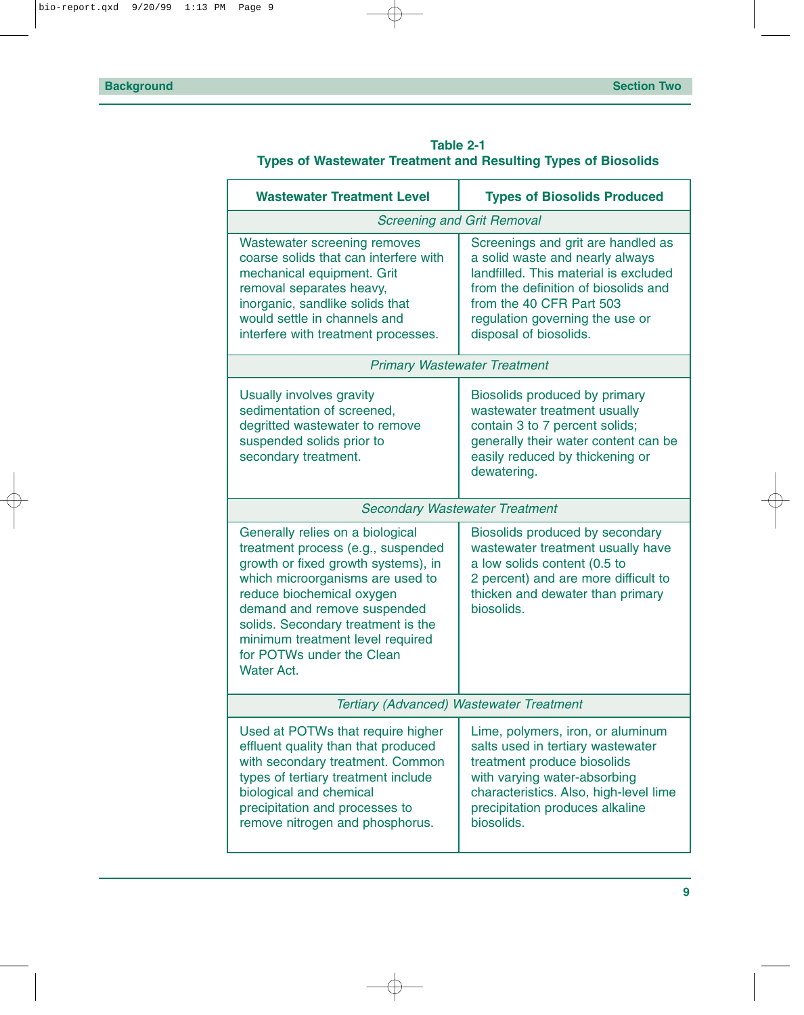<span id="page-14-0"></span>

|                                                                       | Table 2-1 |  |
|-----------------------------------------------------------------------|-----------|--|
| <b>Types of Wastewater Treatment and Resulting Types of Biosolids</b> |           |  |

| <b>Wastewater Treatment Level</b>                                                                                                                                                                                                                                                                                                         | <b>Types of Biosolids Produced</b>                                                                                                                                                                                                              |  |  |
|-------------------------------------------------------------------------------------------------------------------------------------------------------------------------------------------------------------------------------------------------------------------------------------------------------------------------------------------|-------------------------------------------------------------------------------------------------------------------------------------------------------------------------------------------------------------------------------------------------|--|--|
|                                                                                                                                                                                                                                                                                                                                           | <b>Screening and Grit Removal</b>                                                                                                                                                                                                               |  |  |
| Wastewater screening removes<br>coarse solids that can interfere with<br>mechanical equipment. Grit<br>removal separates heavy,<br>inorganic, sandlike solids that<br>would settle in channels and<br>interfere with treatment processes.                                                                                                 | Screenings and grit are handled as<br>a solid waste and nearly always<br>landfilled. This material is excluded<br>from the definition of biosolids and<br>from the 40 CFR Part 503<br>regulation governing the use or<br>disposal of biosolids. |  |  |
|                                                                                                                                                                                                                                                                                                                                           | <b>Primary Wastewater Treatment</b>                                                                                                                                                                                                             |  |  |
| Usually involves gravity<br>sedimentation of screened,<br>degritted wastewater to remove<br>suspended solids prior to<br>secondary treatment.                                                                                                                                                                                             | Biosolids produced by primary<br>wastewater treatment usually<br>contain 3 to 7 percent solids;<br>generally their water content can be<br>easily reduced by thickening or<br>dewatering.                                                       |  |  |
|                                                                                                                                                                                                                                                                                                                                           | <b>Secondary Wastewater Treatment</b>                                                                                                                                                                                                           |  |  |
| Generally relies on a biological<br>treatment process (e.g., suspended<br>growth or fixed growth systems), in<br>which microorganisms are used to<br>reduce biochemical oxygen<br>demand and remove suspended<br>solids. Secondary treatment is the<br>minimum treatment level required<br>for POTWs under the Clean<br><b>Water Act.</b> | Biosolids produced by secondary<br>wastewater treatment usually have<br>a low solids content (0.5 to<br>2 percent) and are more difficult to<br>thicken and dewater than primary<br>biosolids.                                                  |  |  |
|                                                                                                                                                                                                                                                                                                                                           | Tertiary (Advanced) Wastewater Treatment                                                                                                                                                                                                        |  |  |
| Used at POTWs that require higher<br>effluent quality than that produced<br>with secondary treatment. Common<br>types of tertiary treatment include<br>biological and chemical<br>precipitation and processes to<br>remove nitrogen and phosphorus.                                                                                       | Lime, polymers, iron, or aluminum<br>salts used in tertiary wastewater<br>treatment produce biosolids<br>with varying water-absorbing<br>characteristics. Also, high-level lime<br>precipitation produces alkaline<br>biosolids.                |  |  |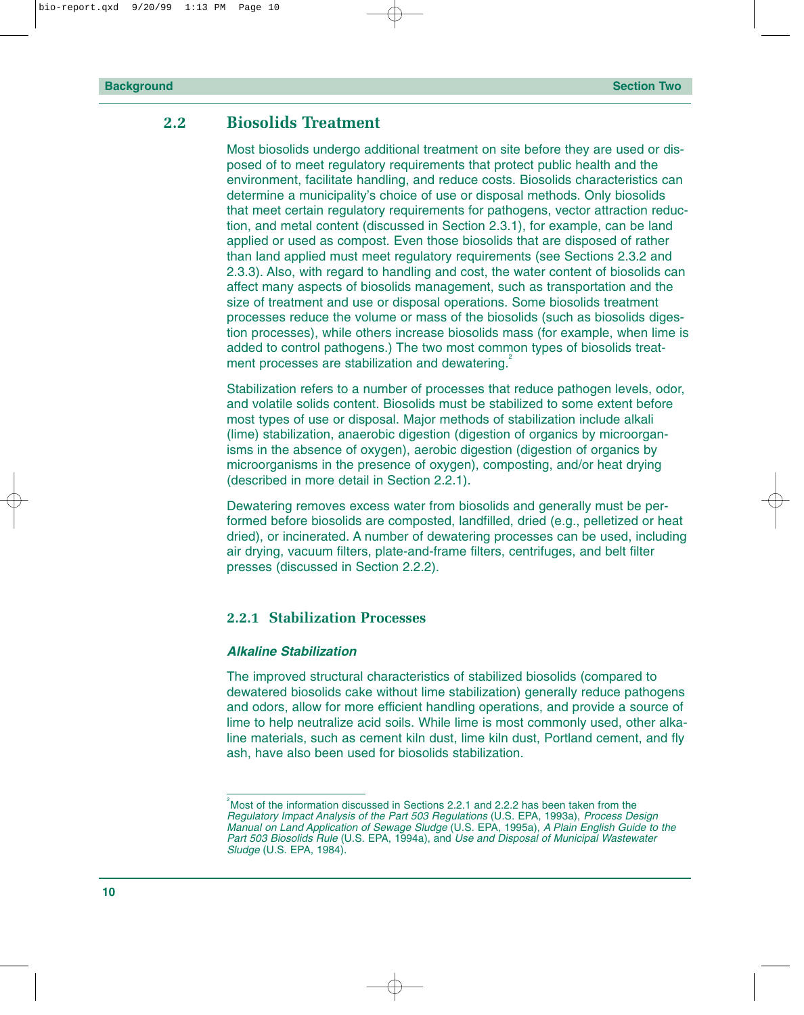#### <span id="page-15-0"></span>**2.2 Biosolids Treatment**

Most biosolids undergo additional treatment on site before they are used or disposed of to meet regulatory requirements that protect public health and the environment, facilitate handling, and reduce costs. Biosolids characteristics can determine a municipality's choice of use or disposal methods. Only biosolids that meet certain regulatory requirements for pathogens, vector attraction reduction, and metal content (discussed in Section 2.3.1), for example, can be land applied or used as compost. Even those biosolids that are disposed of rather than land applied must meet regulatory requirements (see Sections 2.3.2 and 2.3.3). Also, with regard to handling and cost, the water content of biosolids can affect many aspects of biosolids management, such as transportation and the size of treatment and use or disposal operations. Some biosolids treatment processes reduce the volume or mass of the biosolids (such as biosolids digestion processes), while others increase biosolids mass (for example, when lime is added to control pathogens.) The two most common types of biosolids treatment processes are stabilization and dewatering.

Stabilization refers to a number of processes that reduce pathogen levels, odor, and volatile solids content. Biosolids must be stabilized to some extent before most types of use or disposal. Major methods of stabilization include alkali (lime) stabilization, anaerobic digestion (digestion of organics by microorganisms in the absence of oxygen), aerobic digestion (digestion of organics by microorganisms in the presence of oxygen), composting, and/or heat drying (described in more detail in Section 2.2.1).

Dewatering removes excess water from biosolids and generally must be performed before biosolids are composted, landfilled, dried (e.g., pelletized or heat dried), or incinerated. A number of dewatering processes can be used, including air drying, vacuum filters, plate-and-frame filters, centrifuges, and belt filter presses (discussed in Section 2.2.2).

#### **2.2.1 Stabilization Processes**

#### *Alkaline Stabilization*

The improved structural characteristics of stabilized biosolids (compared to dewatered biosolids cake without lime stabilization) generally reduce pathogens and odors, allow for more efficient handling operations, and provide a source of lime to help neutralize acid soils. While lime is most commonly used, other alkaline materials, such as cement kiln dust, lime kiln dust, Portland cement, and fly ash, have also been used for biosolids stabilization.

 $2^2$ Most of the information discussed in Sections 2.2.1 and 2.2.2 has been taken from the *Regulatory Impact Analysis of the Part 503 Regulations* (U.S. EPA, 1993a), *Process Design Manual on Land Application of Sewage Sludge* (U.S. EPA, 1995a), *A Plain English Guide to the Part 503 Biosolids Rule* (U.S. EPA, 1994a), and *Use and Disposal of Municipal Wastewater Sludge* (U.S. EPA, 1984).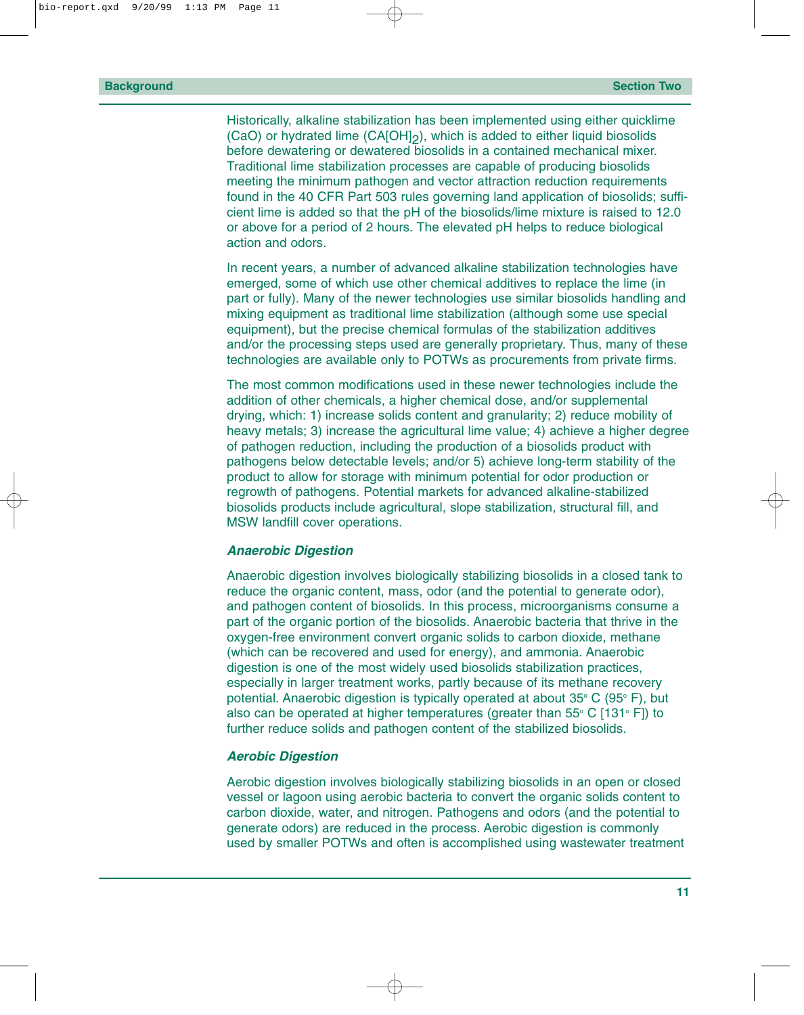Historically, alkaline stabilization has been implemented using either quicklime (CaO) or hydrated lime (CA[OH]2), which is added to either liquid biosolids before dewatering or dewatered biosolids in a contained mechanical mixer. Traditional lime stabilization processes are capable of producing biosolids meeting the minimum pathogen and vector attraction reduction requirements found in the 40 CFR Part 503 rules governing land application of biosolids; sufficient lime is added so that the pH of the biosolids/lime mixture is raised to 12.0 or above for a period of 2 hours. The elevated pH helps to reduce biological action and odors.

In recent years, a number of advanced alkaline stabilization technologies have emerged, some of which use other chemical additives to replace the lime (in part or fully). Many of the newer technologies use similar biosolids handling and mixing equipment as traditional lime stabilization (although some use special equipment), but the precise chemical formulas of the stabilization additives and/or the processing steps used are generally proprietary. Thus, many of these technologies are available only to POTWs as procurements from private firms.

The most common modifications used in these newer technologies include the addition of other chemicals, a higher chemical dose, and/or supplemental drying, which: 1) increase solids content and granularity; 2) reduce mobility of heavy metals; 3) increase the agricultural lime value; 4) achieve a higher degree of pathogen reduction, including the production of a biosolids product with pathogens below detectable levels; and/or 5) achieve long-term stability of the product to allow for storage with minimum potential for odor production or regrowth of pathogens. Potential markets for advanced alkaline-stabilized biosolids products include agricultural, slope stabilization, structural fill, and MSW landfill cover operations.

#### *Anaerobic Digestion*

Anaerobic digestion involves biologically stabilizing biosolids in a closed tank to reduce the organic content, mass, odor (and the potential to generate odor), and pathogen content of biosolids. In this process, microorganisms consume a part of the organic portion of the biosolids. Anaerobic bacteria that thrive in the oxygen-free environment convert organic solids to carbon dioxide, methane (which can be recovered and used for energy), and ammonia. Anaerobic digestion is one of the most widely used biosolids stabilization practices, especially in larger treatment works, partly because of its methane recovery potential. Anaerobic digestion is typically operated at about 35° C (95° F), but also can be operated at higher temperatures (greater than  $55^{\circ}$  C [131 $^{\circ}$  F]) to further reduce solids and pathogen content of the stabilized biosolids.

#### *Aerobic Digestion*

Aerobic digestion involves biologically stabilizing biosolids in an open or closed vessel or lagoon using aerobic bacteria to convert the organic solids content to carbon dioxide, water, and nitrogen. Pathogens and odors (and the potential to generate odors) are reduced in the process. Aerobic digestion is commonly used by smaller POTWs and often is accomplished using wastewater treatment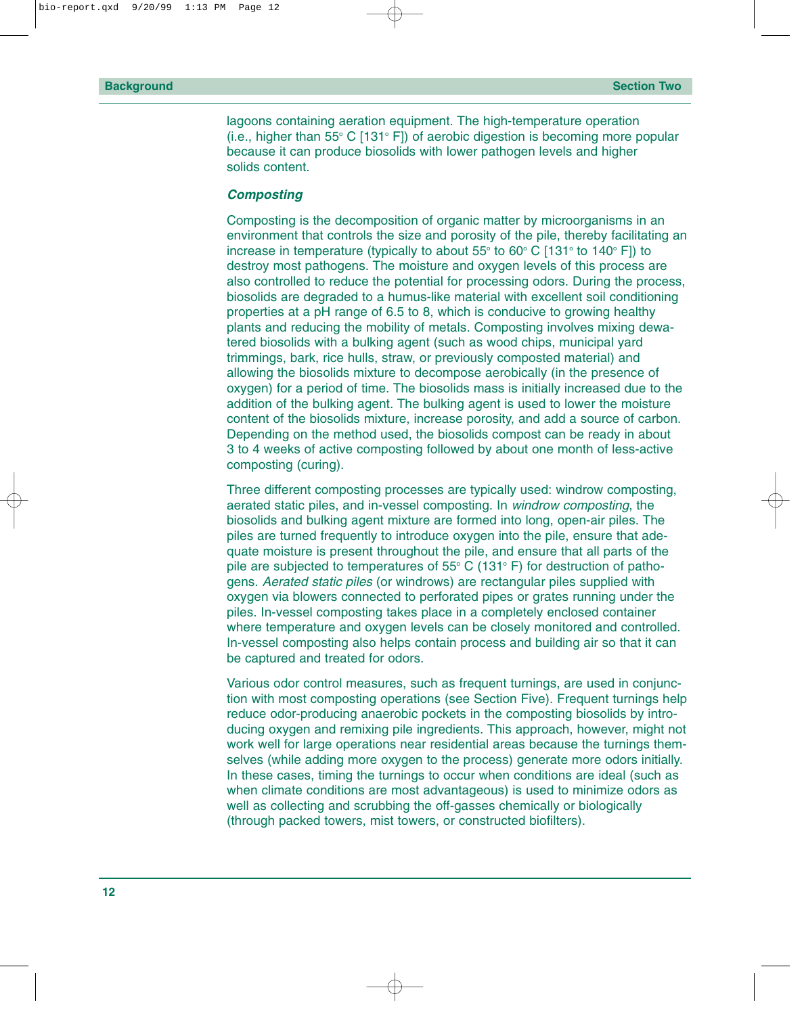lagoons containing aeration equipment. The high-temperature operation (i.e., higher than 55 $\degree$  C [131 $\degree$  F]) of aerobic digestion is becoming more popular because it can produce biosolids with lower pathogen levels and higher solids content.

#### *Composting*

Composting is the decomposition of organic matter by microorganisms in an environment that controls the size and porosity of the pile, thereby facilitating an increase in temperature (typically to about  $55^{\circ}$  to  $60^{\circ}$  C  $[131^{\circ}$  to  $140^{\circ}$  F]) to destroy most pathogens. The moisture and oxygen levels of this process are also controlled to reduce the potential for processing odors. During the process, biosolids are degraded to a humus-like material with excellent soil conditioning properties at a pH range of 6.5 to 8, which is conducive to growing healthy plants and reducing the mobility of metals. Composting involves mixing dewatered biosolids with a bulking agent (such as wood chips, municipal yard trimmings, bark, rice hulls, straw, or previously composted material) and allowing the biosolids mixture to decompose aerobically (in the presence of oxygen) for a period of time. The biosolids mass is initially increased due to the addition of the bulking agent. The bulking agent is used to lower the moisture content of the biosolids mixture, increase porosity, and add a source of carbon. Depending on the method used, the biosolids compost can be ready in about 3 to 4 weeks of active composting followed by about one month of less-active composting (curing).

Three different composting processes are typically used: windrow composting, aerated static piles, and in-vessel composting. In *windrow composting*, the biosolids and bulking agent mixture are formed into long, open-air piles. The piles are turned frequently to introduce oxygen into the pile, ensure that adequate moisture is present throughout the pile, and ensure that all parts of the pile are subjected to temperatures of 55 $\degree$  C (131 $\degree$  F) for destruction of pathogens. *Aerated static piles* (or windrows) are rectangular piles supplied with oxygen via blowers connected to perforated pipes or grates running under the piles. In-vessel composting takes place in a completely enclosed container where temperature and oxygen levels can be closely monitored and controlled. In-vessel composting also helps contain process and building air so that it can be captured and treated for odors.

Various odor control measures, such as frequent turnings, are used in conjunction with most composting operations (see Section Five). Frequent turnings help reduce odor-producing anaerobic pockets in the composting biosolids by introducing oxygen and remixing pile ingredients. This approach, however, might not work well for large operations near residential areas because the turnings themselves (while adding more oxygen to the process) generate more odors initially. In these cases, timing the turnings to occur when conditions are ideal (such as when climate conditions are most advantageous) is used to minimize odors as well as collecting and scrubbing the off-gasses chemically or biologically (through packed towers, mist towers, or constructed biofilters).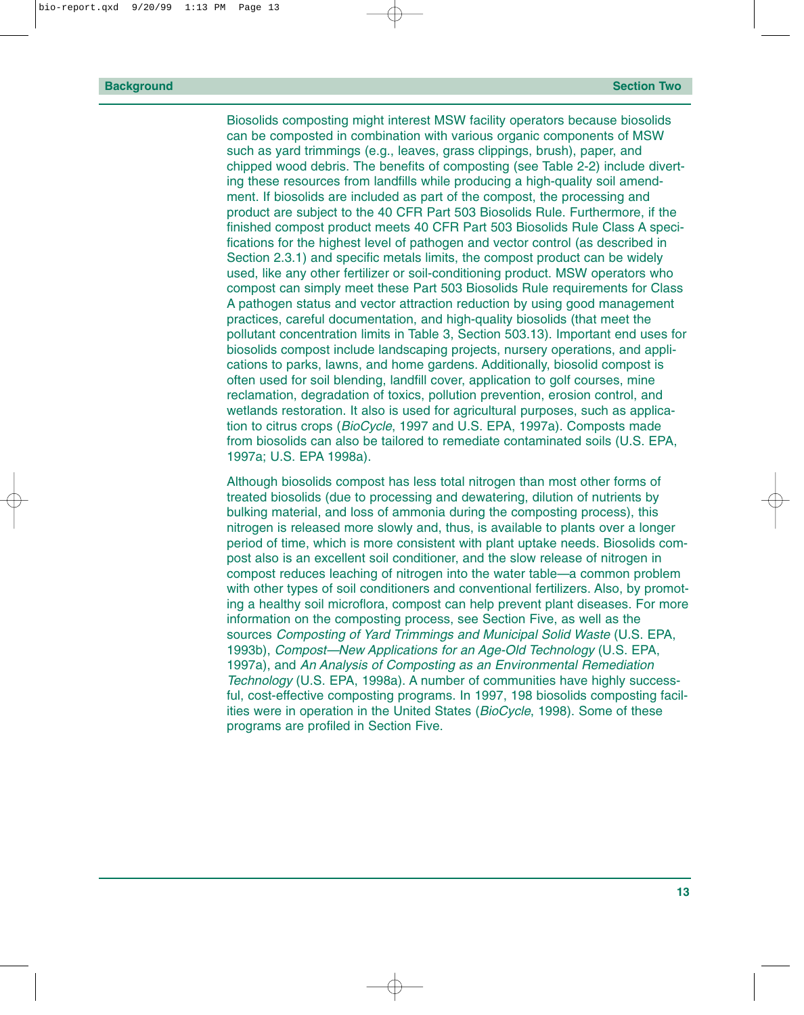Biosolids composting might interest MSW facility operators because biosolids can be composted in combination with various organic components of MSW such as yard trimmings (e.g., leaves, grass clippings, brush), paper, and chipped wood debris. The benefits of composting (see Table 2-2) include diverting these resources from landfills while producing a high-quality soil amendment. If biosolids are included as part of the compost, the processing and product are subject to the 40 CFR Part 503 Biosolids Rule. Furthermore, if the finished compost product meets 40 CFR Part 503 Biosolids Rule Class A specifications for the highest level of pathogen and vector control (as described in Section 2.3.1) and specific metals limits, the compost product can be widely used, like any other fertilizer or soil-conditioning product. MSW operators who compost can simply meet these Part 503 Biosolids Rule requirements for Class A pathogen status and vector attraction reduction by using good management practices, careful documentation, and high-quality biosolids (that meet the pollutant concentration limits in Table 3, Section 503.13). Important end uses for biosolids compost include landscaping projects, nursery operations, and applications to parks, lawns, and home gardens. Additionally, biosolid compost is often used for soil blending, landfill cover, application to golf courses, mine reclamation, degradation of toxics, pollution prevention, erosion control, and wetlands restoration. It also is used for agricultural purposes, such as application to citrus crops (*BioCycle*, 1997 and U.S. EPA, 1997a). Composts made from biosolids can also be tailored to remediate contaminated soils (U.S. EPA, 1997a; U.S. EPA 1998a).

Although biosolids compost has less total nitrogen than most other forms of treated biosolids (due to processing and dewatering, dilution of nutrients by bulking material, and loss of ammonia during the composting process), this nitrogen is released more slowly and, thus, is available to plants over a longer period of time, which is more consistent with plant uptake needs. Biosolids compost also is an excellent soil conditioner, and the slow release of nitrogen in compost reduces leaching of nitrogen into the water table—a common problem with other types of soil conditioners and conventional fertilizers. Also, by promoting a healthy soil microflora, compost can help prevent plant diseases. For more information on the composting process, see Section Five, as well as the sources *Composting of Yard Trimmings and Municipal Solid Waste* (U.S. EPA, 1993b), *Compost—New Applications for an Age-Old Technology* (U.S. EPA, 1997a), and *An Analysis of Composting as an Environmental Remediation Technology* (U.S. EPA, 1998a). A number of communities have highly successful, cost-effective composting programs. In 1997, 198 biosolids composting facilities were in operation in the United States (*BioCycle*, 1998). Some of these programs are profiled in Section Five.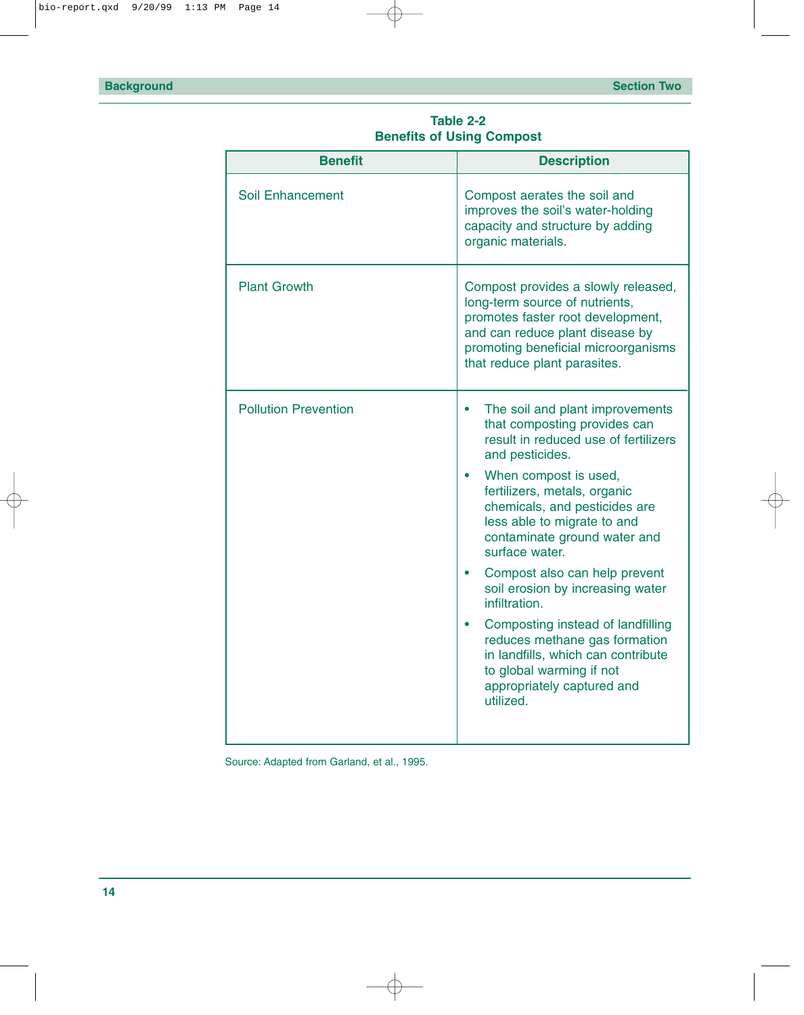<span id="page-19-0"></span>

| <b>Benefit</b>              | <b>Description</b>                                                                                                                                                                                                                                                                                                                                                                                                                                                                                                                                                             |
|-----------------------------|--------------------------------------------------------------------------------------------------------------------------------------------------------------------------------------------------------------------------------------------------------------------------------------------------------------------------------------------------------------------------------------------------------------------------------------------------------------------------------------------------------------------------------------------------------------------------------|
| <b>Soil Enhancement</b>     | Compost aerates the soil and<br>improves the soil's water-holding<br>capacity and structure by adding<br>organic materials.                                                                                                                                                                                                                                                                                                                                                                                                                                                    |
| <b>Plant Growth</b>         | Compost provides a slowly released,<br>long-term source of nutrients,<br>promotes faster root development,<br>and can reduce plant disease by<br>promoting beneficial microorganisms<br>that reduce plant parasites.                                                                                                                                                                                                                                                                                                                                                           |
| <b>Pollution Prevention</b> | The soil and plant improvements<br>that composting provides can<br>result in reduced use of fertilizers<br>and pesticides.<br>When compost is used,<br>fertilizers, metals, organic<br>chemicals, and pesticides are<br>less able to migrate to and<br>contaminate ground water and<br>surface water.<br>Compost also can help prevent<br>soil erosion by increasing water<br>infiltration.<br>Composting instead of landfilling<br>reduces methane gas formation<br>in landfills, which can contribute<br>to global warming if not<br>appropriately captured and<br>utilized. |

**Table 2-2 Benefits of Using Compost**

Source: Adapted from Garland, et al., 1995.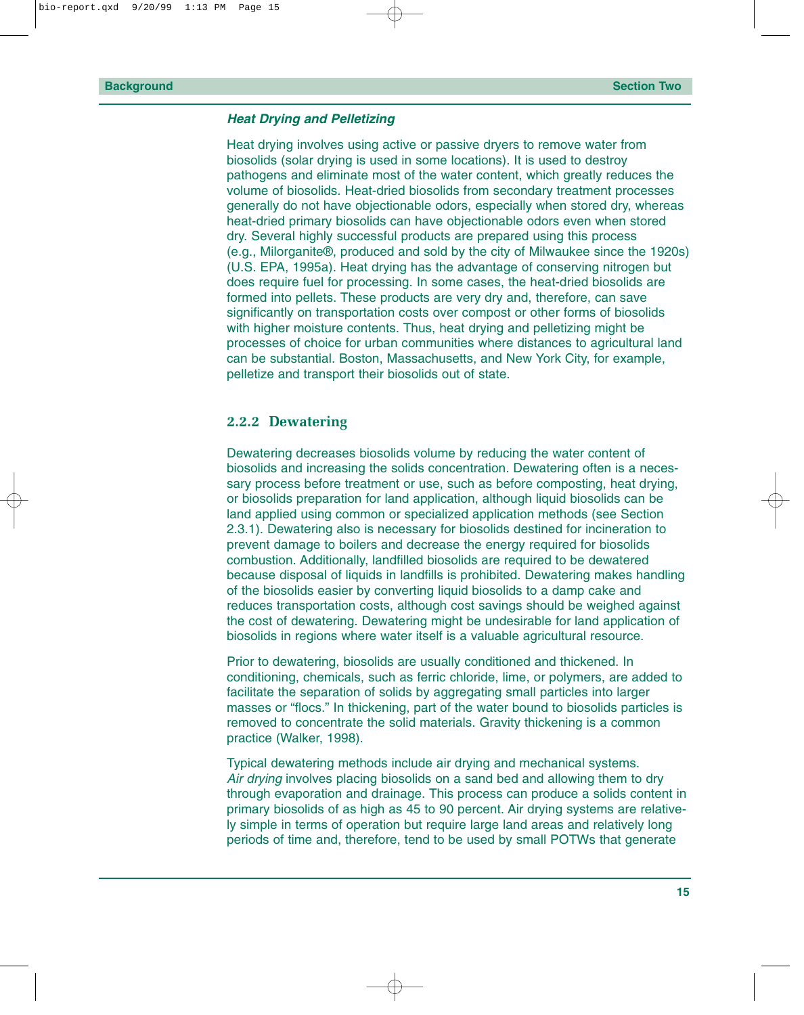#### <span id="page-20-0"></span>*Heat Drying and Pelletizing*

Heat drying involves using active or passive dryers to remove water from biosolids (solar drying is used in some locations). It is used to destroy pathogens and eliminate most of the water content, which greatly reduces the volume of biosolids. Heat-dried biosolids from secondary treatment processes generally do not have objectionable odors, especially when stored dry, whereas heat-dried primary biosolids can have objectionable odors even when stored dry. Several highly successful products are prepared using this process (e.g., Milorganite®, produced and sold by the city of Milwaukee since the 1920s) (U.S. EPA, 1995a). Heat drying has the advantage of conserving nitrogen but does require fuel for processing. In some cases, the heat-dried biosolids are formed into pellets. These products are very dry and, therefore, can save significantly on transportation costs over compost or other forms of biosolids with higher moisture contents. Thus, heat drying and pelletizing might be processes of choice for urban communities where distances to agricultural land can be substantial. Boston, Massachusetts, and New York City, for example, pelletize and transport their biosolids out of state.

#### **2.2.2 Dewatering**

Dewatering decreases biosolids volume by reducing the water content of biosolids and increasing the solids concentration. Dewatering often is a necessary process before treatment or use, such as before composting, heat drying, or biosolids preparation for land application, although liquid biosolids can be land applied using common or specialized application methods (see Section 2.3.1). Dewatering also is necessary for biosolids destined for incineration to prevent damage to boilers and decrease the energy required for biosolids combustion. Additionally, landfilled biosolids are required to be dewatered because disposal of liquids in landfills is prohibited. Dewatering makes handling of the biosolids easier by converting liquid biosolids to a damp cake and reduces transportation costs, although cost savings should be weighed against the cost of dewatering. Dewatering might be undesirable for land application of biosolids in regions where water itself is a valuable agricultural resource.

Prior to dewatering, biosolids are usually conditioned and thickened. In conditioning, chemicals, such as ferric chloride, lime, or polymers, are added to facilitate the separation of solids by aggregating small particles into larger masses or "flocs." In thickening, part of the water bound to biosolids particles is removed to concentrate the solid materials. Gravity thickening is a common practice (Walker, 1998).

Typical dewatering methods include air drying and mechanical systems. *Air drying* involves placing biosolids on a sand bed and allowing them to dry through evaporation and drainage. This process can produce a solids content in primary biosolids of as high as 45 to 90 percent. Air drying systems are relatively simple in terms of operation but require large land areas and relatively long periods of time and, therefore, tend to be used by small POTWs that generate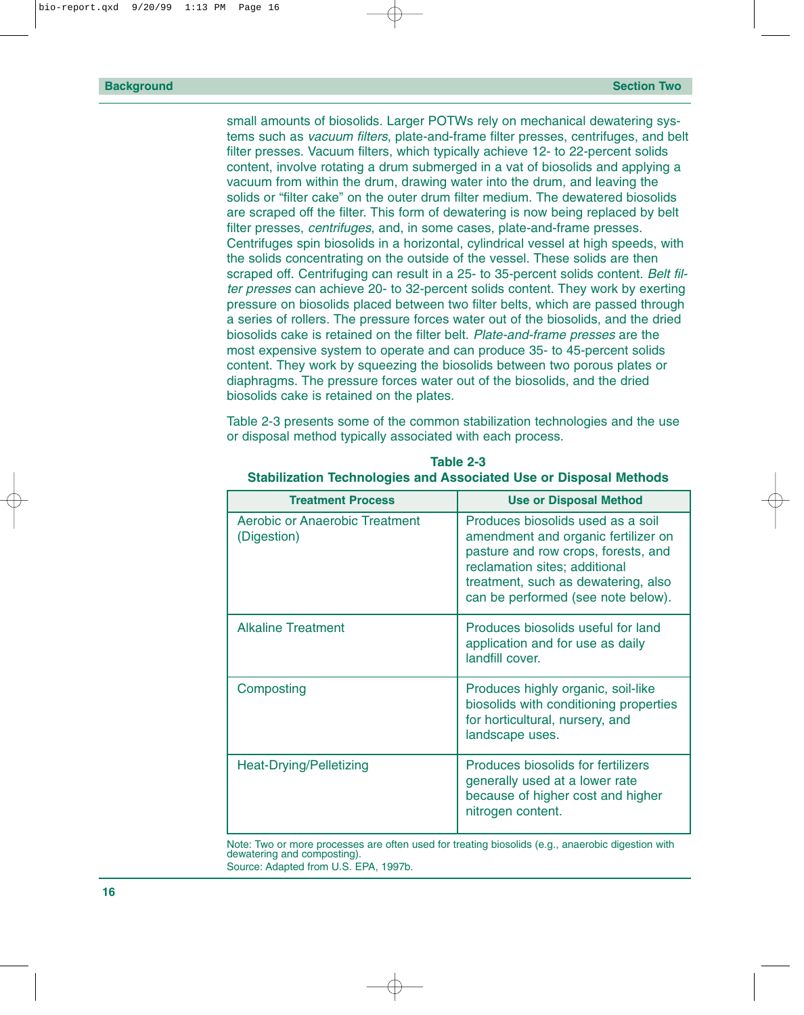<span id="page-21-0"></span>small amounts of biosolids. Larger POTWs rely on mechanical dewatering systems such as *vacuum filters*, plate-and-frame filter presses, centrifuges, and belt filter presses. Vacuum filters, which typically achieve 12- to 22-percent solids content, involve rotating a drum submerged in a vat of biosolids and applying a vacuum from within the drum, drawing water into the drum, and leaving the solids or "filter cake" on the outer drum filter medium. The dewatered biosolids are scraped off the filter. This form of dewatering is now being replaced by belt filter presses, *centrifuges*, and, in some cases, plate-and-frame presses. Centrifuges spin biosolids in a horizontal, cylindrical vessel at high speeds, with the solids concentrating on the outside of the vessel. These solids are then scraped off. Centrifuging can result in a 25- to 35-percent solids content. *Belt filter presses* can achieve 20- to 32-percent solids content. They work by exerting pressure on biosolids placed between two filter belts, which are passed through a series of rollers. The pressure forces water out of the biosolids, and the dried biosolids cake is retained on the filter belt. *Plate-and-frame presses* are the most expensive system to operate and can produce 35- to 45-percent solids content. They work by squeezing the biosolids between two porous plates or diaphragms. The pressure forces water out of the biosolids, and the dried biosolids cake is retained on the plates.

Table 2-3 presents some of the common stabilization technologies and the use or disposal method typically associated with each process.

| <b>Treatment Process</b>                      | <b>Use or Disposal Method</b>                                                                                                                                                                                                 |
|-----------------------------------------------|-------------------------------------------------------------------------------------------------------------------------------------------------------------------------------------------------------------------------------|
| Aerobic or Anaerobic Treatment<br>(Digestion) | Produces biosolids used as a soil<br>amendment and organic fertilizer on<br>pasture and row crops, forests, and<br>reclamation sites; additional<br>treatment, such as dewatering, also<br>can be performed (see note below). |
| <b>Alkaline Treatment</b>                     | Produces biosolids useful for land<br>application and for use as daily<br>landfill cover.                                                                                                                                     |
| Composting                                    | Produces highly organic, soil-like<br>biosolids with conditioning properties<br>for horticultural, nursery, and<br>landscape uses.                                                                                            |
| Heat-Drying/Pelletizing                       | <b>Produces biosolids for fertilizers</b><br>generally used at a lower rate<br>because of higher cost and higher<br>nitrogen content.                                                                                         |

**Table 2-3 Stabilization Technologies and Associated Use or Disposal Methods**

Note: Two or more processes are often used for treating biosolids (e.g., anaerobic digestion with dewatering and composting). Source: Adapted from U.S. EPA, 1997b.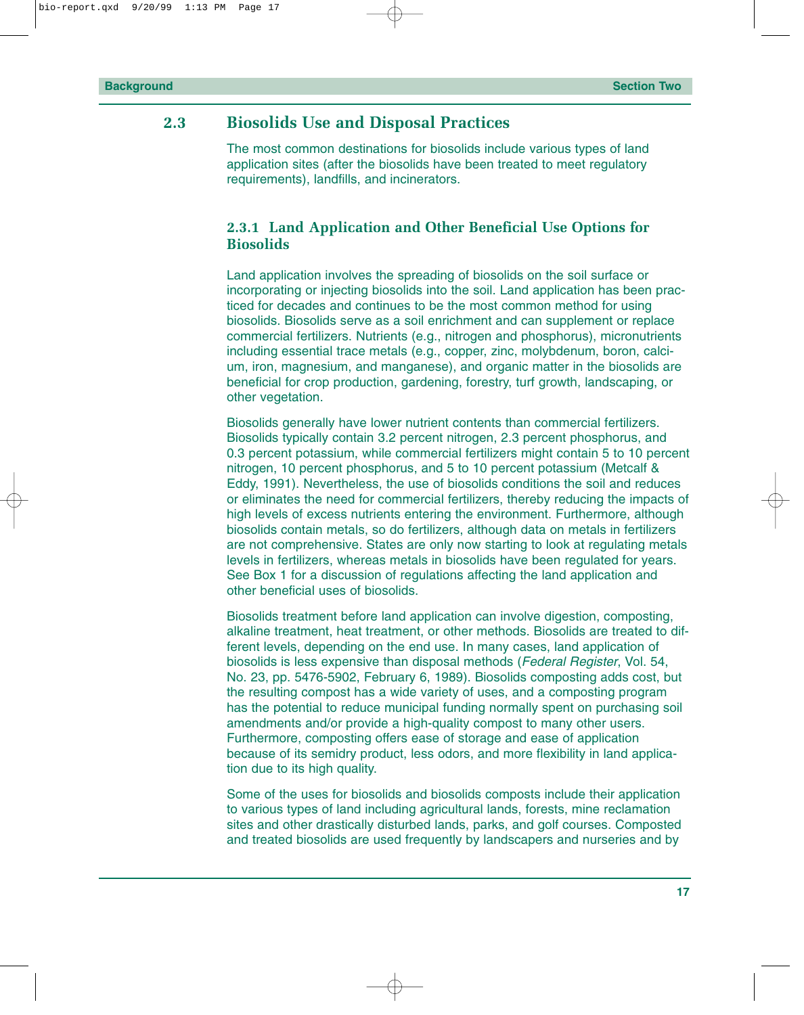#### <span id="page-22-0"></span>**2.3 Biosolids Use and Disposal Practices**

The most common destinations for biosolids include various types of land application sites (after the biosolids have been treated to meet regulatory requirements), landfills, and incinerators.

#### **2.3.1 Land Application and Other Beneficial Use Options for Biosolids**

Land application involves the spreading of biosolids on the soil surface or incorporating or injecting biosolids into the soil. Land application has been practiced for decades and continues to be the most common method for using biosolids. Biosolids serve as a soil enrichment and can supplement or replace commercial fertilizers. Nutrients (e.g., nitrogen and phosphorus), micronutrients including essential trace metals (e.g., copper, zinc, molybdenum, boron, calcium, iron, magnesium, and manganese), and organic matter in the biosolids are beneficial for crop production, gardening, forestry, turf growth, landscaping, or other vegetation.

Biosolids generally have lower nutrient contents than commercial fertilizers. Biosolids typically contain 3.2 percent nitrogen, 2.3 percent phosphorus, and 0.3 percent potassium, while commercial fertilizers might contain 5 to 10 percent nitrogen, 10 percent phosphorus, and 5 to 10 percent potassium (Metcalf & Eddy, 1991). Nevertheless, the use of biosolids conditions the soil and reduces or eliminates the need for commercial fertilizers, thereby reducing the impacts of high levels of excess nutrients entering the environment. Furthermore, although biosolids contain metals, so do fertilizers, although data on metals in fertilizers are not comprehensive. States are only now starting to look at regulating metals levels in fertilizers, whereas metals in biosolids have been regulated for years. See Box 1 for a discussion of regulations affecting the land application and other beneficial uses of biosolids.

Biosolids treatment before land application can involve digestion, composting, alkaline treatment, heat treatment, or other methods. Biosolids are treated to different levels, depending on the end use. In many cases, land application of biosolids is less expensive than disposal methods (*Federal Register*, Vol. 54, No. 23, pp. 5476-5902, February 6, 1989). Biosolids composting adds cost, but the resulting compost has a wide variety of uses, and a composting program has the potential to reduce municipal funding normally spent on purchasing soil amendments and/or provide a high-quality compost to many other users. Furthermore, composting offers ease of storage and ease of application because of its semidry product, less odors, and more flexibility in land application due to its high quality.

Some of the uses for biosolids and biosolids composts include their application to various types of land including agricultural lands, forests, mine reclamation sites and other drastically disturbed lands, parks, and golf courses. Composted and treated biosolids are used frequently by landscapers and nurseries and by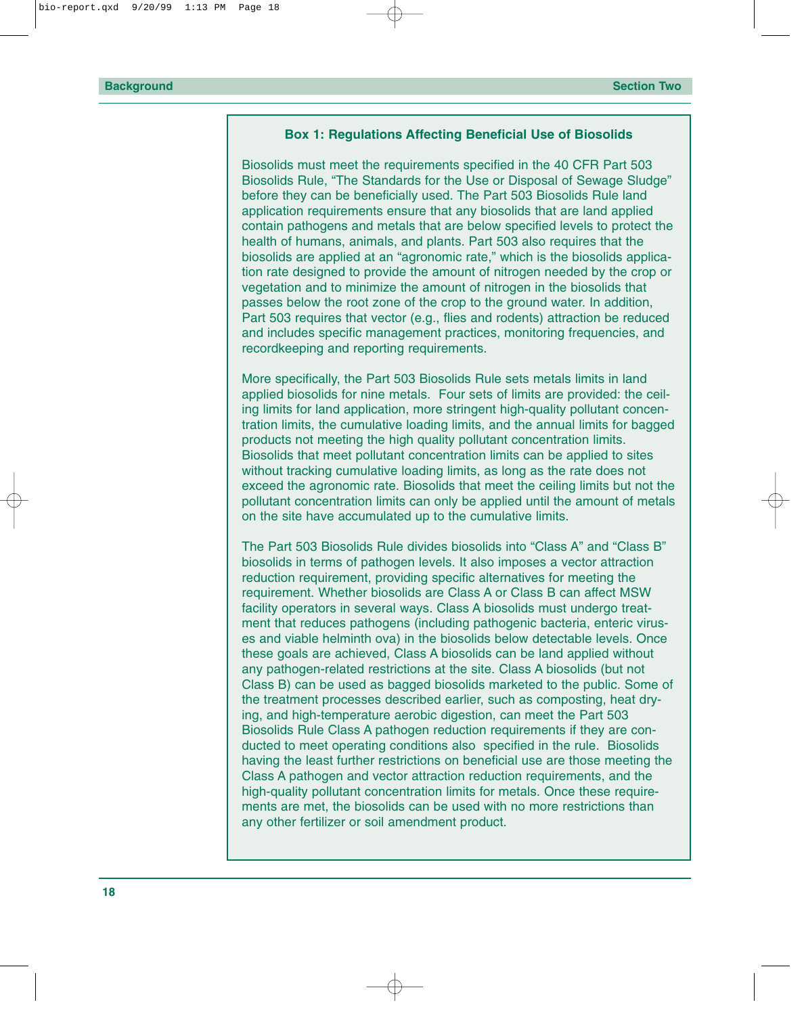#### **Box 1: Regulations Affecting Beneficial Use of Biosolids**

Biosolids must meet the requirements specified in the 40 CFR Part 503 Biosolids Rule, "The Standards for the Use or Disposal of Sewage Sludge" before they can be beneficially used. The Part 503 Biosolids Rule land application requirements ensure that any biosolids that are land applied contain pathogens and metals that are below specified levels to protect the health of humans, animals, and plants. Part 503 also requires that the biosolids are applied at an "agronomic rate," which is the biosolids application rate designed to provide the amount of nitrogen needed by the crop or vegetation and to minimize the amount of nitrogen in the biosolids that passes below the root zone of the crop to the ground water. In addition, Part 503 requires that vector (e.g., flies and rodents) attraction be reduced and includes specific management practices, monitoring frequencies, and recordkeeping and reporting requirements.

More specifically, the Part 503 Biosolids Rule sets metals limits in land applied biosolids for nine metals. Four sets of limits are provided: the ceiling limits for land application, more stringent high-quality pollutant concentration limits, the cumulative loading limits, and the annual limits for bagged products not meeting the high quality pollutant concentration limits. Biosolids that meet pollutant concentration limits can be applied to sites without tracking cumulative loading limits, as long as the rate does not exceed the agronomic rate. Biosolids that meet the ceiling limits but not the pollutant concentration limits can only be applied until the amount of metals on the site have accumulated up to the cumulative limits.

The Part 503 Biosolids Rule divides biosolids into "Class A" and "Class B" biosolids in terms of pathogen levels. It also imposes a vector attraction reduction requirement, providing specific alternatives for meeting the requirement. Whether biosolids are Class A or Class B can affect MSW facility operators in several ways. Class A biosolids must undergo treatment that reduces pathogens (including pathogenic bacteria, enteric viruses and viable helminth ova) in the biosolids below detectable levels. Once these goals are achieved, Class A biosolids can be land applied without any pathogen-related restrictions at the site. Class A biosolids (but not Class B) can be used as bagged biosolids marketed to the public. Some of the treatment processes described earlier, such as composting, heat drying, and high-temperature aerobic digestion, can meet the Part 503 Biosolids Rule Class A pathogen reduction requirements if they are conducted to meet operating conditions also specified in the rule. Biosolids having the least further restrictions on beneficial use are those meeting the Class A pathogen and vector attraction reduction requirements, and the high-quality pollutant concentration limits for metals. Once these requirements are met, the biosolids can be used with no more restrictions than any other fertilizer or soil amendment product.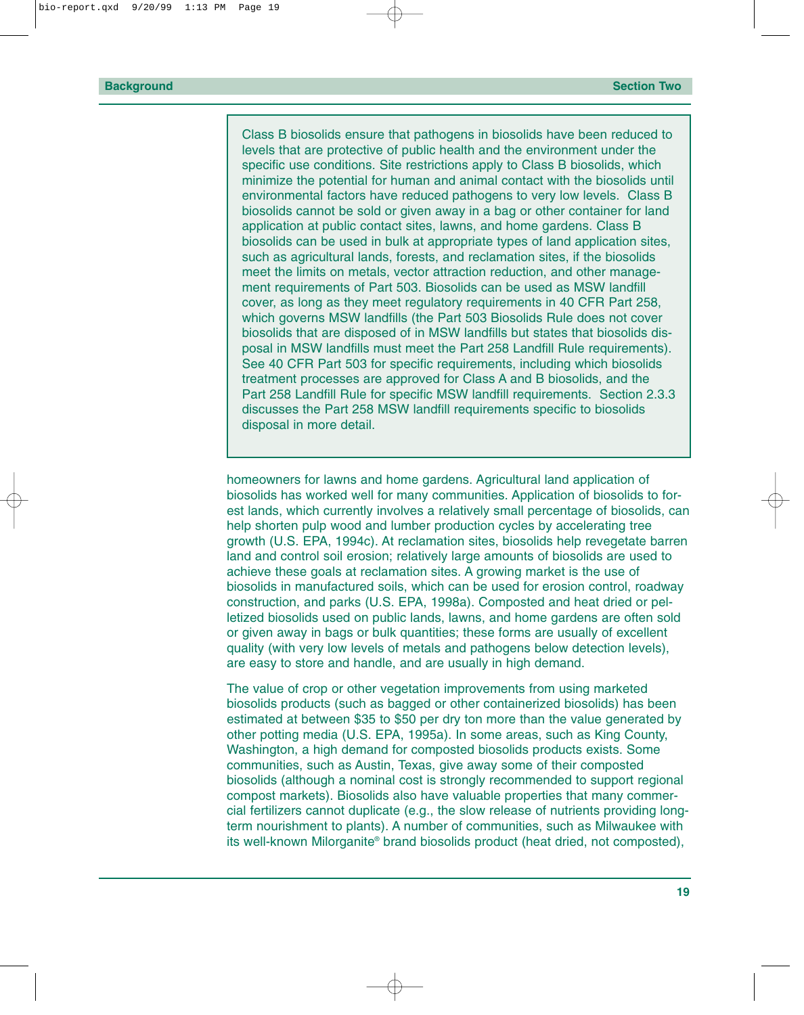Class B biosolids ensure that pathogens in biosolids have been reduced to levels that are protective of public health and the environment under the specific use conditions. Site restrictions apply to Class B biosolids, which minimize the potential for human and animal contact with the biosolids until environmental factors have reduced pathogens to very low levels. Class B biosolids cannot be sold or given away in a bag or other container for land application at public contact sites, lawns, and home gardens. Class B biosolids can be used in bulk at appropriate types of land application sites, such as agricultural lands, forests, and reclamation sites, if the biosolids meet the limits on metals, vector attraction reduction, and other management requirements of Part 503. Biosolids can be used as MSW landfill cover, as long as they meet regulatory requirements in 40 CFR Part 258, which governs MSW landfills (the Part 503 Biosolids Rule does not cover biosolids that are disposed of in MSW landfills but states that biosolids disposal in MSW landfills must meet the Part 258 Landfill Rule requirements). See 40 CFR Part 503 for specific requirements, including which biosolids treatment processes are approved for Class A and B biosolids, and the Part 258 Landfill Rule for specific MSW landfill requirements. Section 2.3.3 discusses the Part 258 MSW landfill requirements specific to biosolids disposal in more detail.

homeowners for lawns and home gardens. Agricultural land application of biosolids has worked well for many communities. Application of biosolids to forest lands, which currently involves a relatively small percentage of biosolids, can help shorten pulp wood and lumber production cycles by accelerating tree growth (U.S. EPA, 1994c). At reclamation sites, biosolids help revegetate barren land and control soil erosion; relatively large amounts of biosolids are used to achieve these goals at reclamation sites. A growing market is the use of biosolids in manufactured soils, which can be used for erosion control, roadway construction, and parks (U.S. EPA, 1998a). Composted and heat dried or pelletized biosolids used on public lands, lawns, and home gardens are often sold or given away in bags or bulk quantities; these forms are usually of excellent quality (with very low levels of metals and pathogens below detection levels), are easy to store and handle, and are usually in high demand.

The value of crop or other vegetation improvements from using marketed biosolids products (such as bagged or other containerized biosolids) has been estimated at between \$35 to \$50 per dry ton more than the value generated by other potting media (U.S. EPA, 1995a). In some areas, such as King County, Washington, a high demand for composted biosolids products exists. Some communities, such as Austin, Texas, give away some of their composted biosolids (although a nominal cost is strongly recommended to support regional compost markets). Biosolids also have valuable properties that many commercial fertilizers cannot duplicate (e.g., the slow release of nutrients providing longterm nourishment to plants). A number of communities, such as Milwaukee with its well-known Milorganite® brand biosolids product (heat dried, not composted),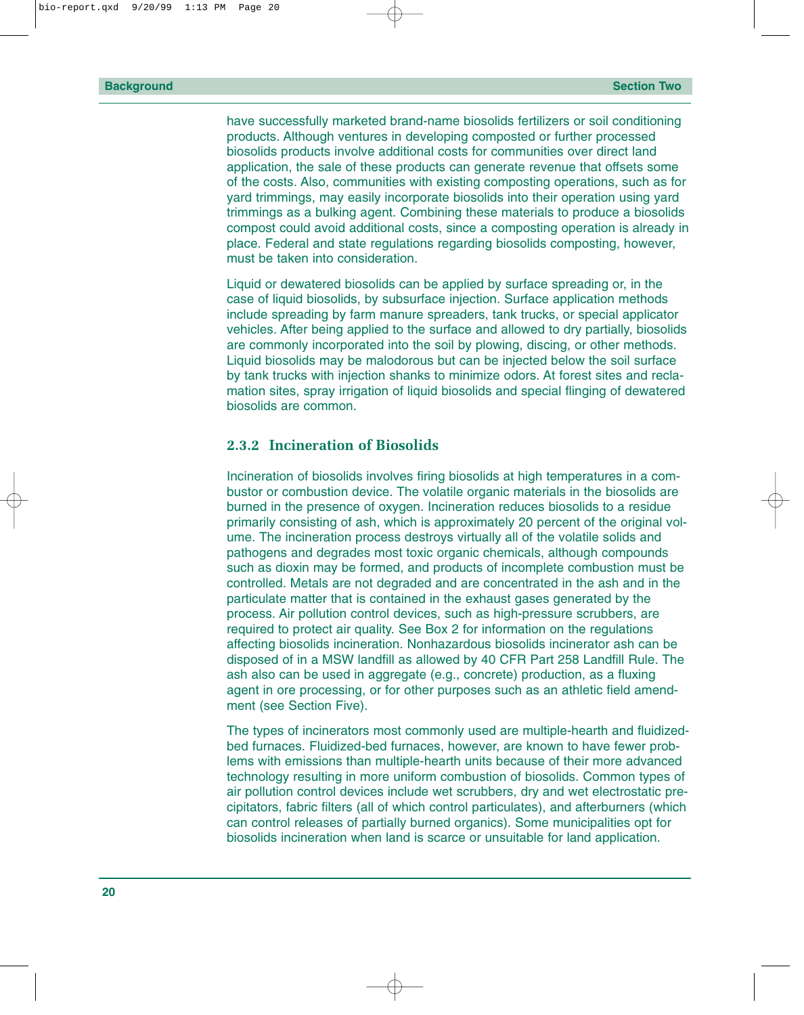<span id="page-25-0"></span>have successfully marketed brand-name biosolids fertilizers or soil conditioning products. Although ventures in developing composted or further processed biosolids products involve additional costs for communities over direct land application, the sale of these products can generate revenue that offsets some of the costs. Also, communities with existing composting operations, such as for yard trimmings, may easily incorporate biosolids into their operation using yard trimmings as a bulking agent. Combining these materials to produce a biosolids compost could avoid additional costs, since a composting operation is already in place. Federal and state regulations regarding biosolids composting, however, must be taken into consideration.

Liquid or dewatered biosolids can be applied by surface spreading or, in the case of liquid biosolids, by subsurface injection. Surface application methods include spreading by farm manure spreaders, tank trucks, or special applicator vehicles. After being applied to the surface and allowed to dry partially, biosolids are commonly incorporated into the soil by plowing, discing, or other methods. Liquid biosolids may be malodorous but can be injected below the soil surface by tank trucks with injection shanks to minimize odors. At forest sites and reclamation sites, spray irrigation of liquid biosolids and special flinging of dewatered biosolids are common.

#### **2.3.2 Incineration of Biosolids**

Incineration of biosolids involves firing biosolids at high temperatures in a combustor or combustion device. The volatile organic materials in the biosolids are burned in the presence of oxygen. Incineration reduces biosolids to a residue primarily consisting of ash, which is approximately 20 percent of the original volume. The incineration process destroys virtually all of the volatile solids and pathogens and degrades most toxic organic chemicals, although compounds such as dioxin may be formed, and products of incomplete combustion must be controlled. Metals are not degraded and are concentrated in the ash and in the particulate matter that is contained in the exhaust gases generated by the process. Air pollution control devices, such as high-pressure scrubbers, are required to protect air quality. See Box 2 for information on the regulations affecting biosolids incineration. Nonhazardous biosolids incinerator ash can be disposed of in a MSW landfill as allowed by 40 CFR Part 258 Landfill Rule. The ash also can be used in aggregate (e.g., concrete) production, as a fluxing agent in ore processing, or for other purposes such as an athletic field amendment (see Section Five).

The types of incinerators most commonly used are multiple-hearth and fluidizedbed furnaces. Fluidized-bed furnaces, however, are known to have fewer problems with emissions than multiple-hearth units because of their more advanced technology resulting in more uniform combustion of biosolids. Common types of air pollution control devices include wet scrubbers, dry and wet electrostatic precipitators, fabric filters (all of which control particulates), and afterburners (which can control releases of partially burned organics). Some municipalities opt for biosolids incineration when land is scarce or unsuitable for land application.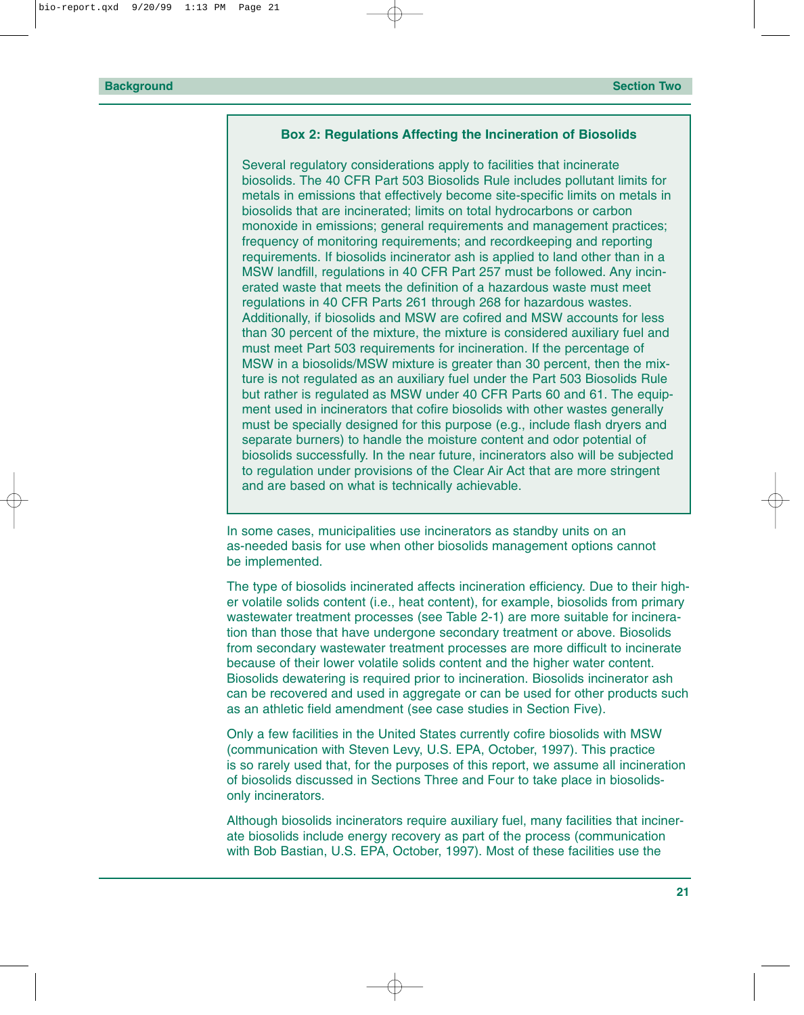#### **Box 2: Regulations Affecting the Incineration of Biosolids**

Several regulatory considerations apply to facilities that incinerate biosolids. The 40 CFR Part 503 Biosolids Rule includes pollutant limits for metals in emissions that effectively become site-specific limits on metals in biosolids that are incinerated; limits on total hydrocarbons or carbon monoxide in emissions; general requirements and management practices; frequency of monitoring requirements; and recordkeeping and reporting requirements. If biosolids incinerator ash is applied to land other than in a MSW landfill, regulations in 40 CFR Part 257 must be followed. Any incinerated waste that meets the definition of a hazardous waste must meet regulations in 40 CFR Parts 261 through 268 for hazardous wastes. Additionally, if biosolids and MSW are cofired and MSW accounts for less than 30 percent of the mixture, the mixture is considered auxiliary fuel and must meet Part 503 requirements for incineration. If the percentage of MSW in a biosolids/MSW mixture is greater than 30 percent, then the mixture is not regulated as an auxiliary fuel under the Part 503 Biosolids Rule but rather is regulated as MSW under 40 CFR Parts 60 and 61. The equipment used in incinerators that cofire biosolids with other wastes generally must be specially designed for this purpose (e.g., include flash dryers and separate burners) to handle the moisture content and odor potential of biosolids successfully. In the near future, incinerators also will be subjected to regulation under provisions of the Clear Air Act that are more stringent and are based on what is technically achievable.

In some cases, municipalities use incinerators as standby units on an as-needed basis for use when other biosolids management options cannot be implemented.

The type of biosolids incinerated affects incineration efficiency. Due to their higher volatile solids content (i.e., heat content), for example, biosolids from primary wastewater treatment processes (see Table 2-1) are more suitable for incineration than those that have undergone secondary treatment or above. Biosolids from secondary wastewater treatment processes are more difficult to incinerate because of their lower volatile solids content and the higher water content. Biosolids dewatering is required prior to incineration. Biosolids incinerator ash can be recovered and used in aggregate or can be used for other products such as an athletic field amendment (see case studies in Section Five).

Only a few facilities in the United States currently cofire biosolids with MSW (communication with Steven Levy, U.S. EPA, October, 1997). This practice is so rarely used that, for the purposes of this report, we assume all incineration of biosolids discussed in Sections Three and Four to take place in biosolidsonly incinerators.

Although biosolids incinerators require auxiliary fuel, many facilities that incinerate biosolids include energy recovery as part of the process (communication with Bob Bastian, U.S. EPA, October, 1997). Most of these facilities use the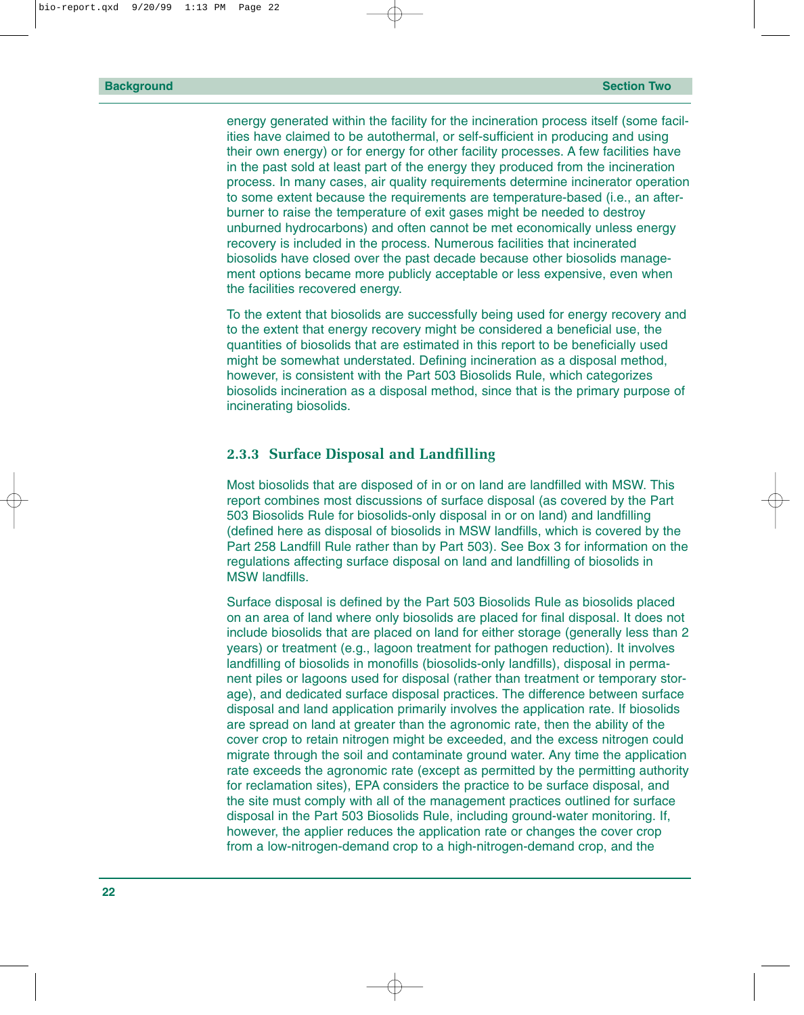<span id="page-27-0"></span>energy generated within the facility for the incineration process itself (some facilities have claimed to be autothermal, or self-sufficient in producing and using their own energy) or for energy for other facility processes. A few facilities have in the past sold at least part of the energy they produced from the incineration process. In many cases, air quality requirements determine incinerator operation to some extent because the requirements are temperature-based (i.e., an afterburner to raise the temperature of exit gases might be needed to destroy unburned hydrocarbons) and often cannot be met economically unless energy recovery is included in the process. Numerous facilities that incinerated biosolids have closed over the past decade because other biosolids management options became more publicly acceptable or less expensive, even when the facilities recovered energy.

To the extent that biosolids are successfully being used for energy recovery and to the extent that energy recovery might be considered a beneficial use, the quantities of biosolids that are estimated in this report to be beneficially used might be somewhat understated. Defining incineration as a disposal method, however, is consistent with the Part 503 Biosolids Rule, which categorizes biosolids incineration as a disposal method, since that is the primary purpose of incinerating biosolids.

#### **2.3.3 Surface Disposal and Landfilling**

Most biosolids that are disposed of in or on land are landfilled with MSW. This report combines most discussions of surface disposal (as covered by the Part 503 Biosolids Rule for biosolids-only disposal in or on land) and landfilling (defined here as disposal of biosolids in MSW landfills, which is covered by the Part 258 Landfill Rule rather than by Part 503). See Box 3 for information on the regulations affecting surface disposal on land and landfilling of biosolids in MSW landfills.

Surface disposal is defined by the Part 503 Biosolids Rule as biosolids placed on an area of land where only biosolids are placed for final disposal. It does not include biosolids that are placed on land for either storage (generally less than 2 years) or treatment (e.g., lagoon treatment for pathogen reduction). It involves landfilling of biosolids in monofills (biosolids-only landfills), disposal in permanent piles or lagoons used for disposal (rather than treatment or temporary storage), and dedicated surface disposal practices. The difference between surface disposal and land application primarily involves the application rate. If biosolids are spread on land at greater than the agronomic rate, then the ability of the cover crop to retain nitrogen might be exceeded, and the excess nitrogen could migrate through the soil and contaminate ground water. Any time the application rate exceeds the agronomic rate (except as permitted by the permitting authority for reclamation sites), EPA considers the practice to be surface disposal, and the site must comply with all of the management practices outlined for surface disposal in the Part 503 Biosolids Rule, including ground-water monitoring. If, however, the applier reduces the application rate or changes the cover crop from a low-nitrogen-demand crop to a high-nitrogen-demand crop, and the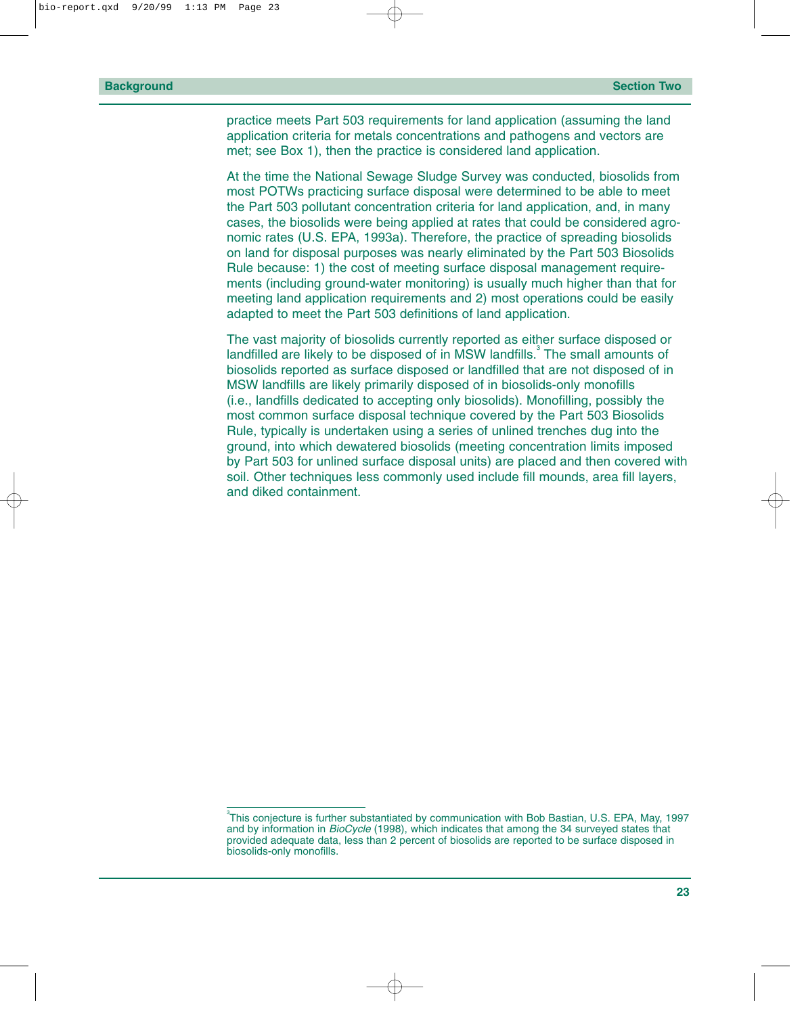practice meets Part 503 requirements for land application (assuming the land application criteria for metals concentrations and pathogens and vectors are met; see Box 1), then the practice is considered land application.

At the time the National Sewage Sludge Survey was conducted, biosolids from most POTWs practicing surface disposal were determined to be able to meet the Part 503 pollutant concentration criteria for land application, and, in many cases, the biosolids were being applied at rates that could be considered agronomic rates (U.S. EPA, 1993a). Therefore, the practice of spreading biosolids on land for disposal purposes was nearly eliminated by the Part 503 Biosolids Rule because: 1) the cost of meeting surface disposal management requirements (including ground-water monitoring) is usually much higher than that for meeting land application requirements and 2) most operations could be easily adapted to meet the Part 503 definitions of land application.

The vast majority of biosolids currently reported as either surface disposed or landfilled are likely to be disposed of in MSW landfills. $3$  The small amounts of biosolids reported as surface disposed or landfilled that are not disposed of in MSW landfills are likely primarily disposed of in biosolids-only monofills (i.e., landfills dedicated to accepting only biosolids). Monofilling, possibly the most common surface disposal technique covered by the Part 503 Biosolids Rule, typically is undertaken using a series of unlined trenches dug into the ground, into which dewatered biosolids (meeting concentration limits imposed by Part 503 for unlined surface disposal units) are placed and then covered with soil. Other techniques less commonly used include fill mounds, area fill layers, and diked containment.

 $^3$ This conjecture is further substantiated by communication with Bob Bastian, U.S. EPA, May, 1997 and by information in *BioCycle* (1998), which indicates that among the 34 surveyed states that provided adequate data, less than 2 percent of biosolids are reported to be surface disposed in biosolids-only monofills.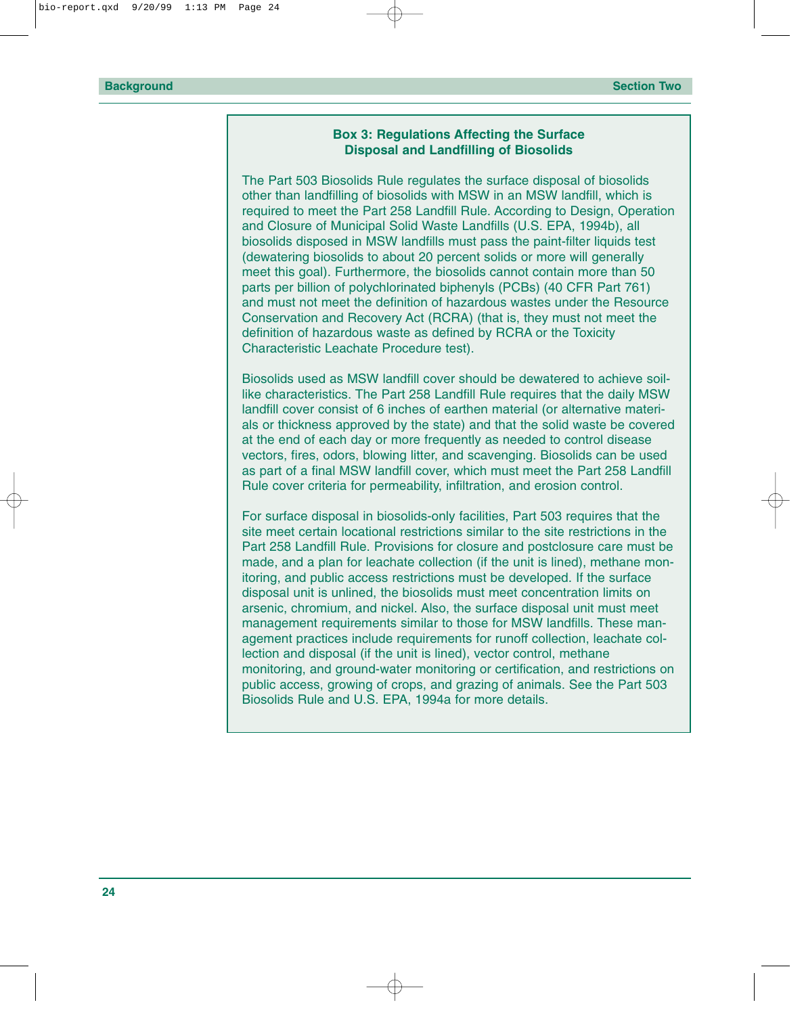#### **Box 3: Regulations Affecting the Surface Disposal and Landfilling of Biosolids**

The Part 503 Biosolids Rule regulates the surface disposal of biosolids other than landfilling of biosolids with MSW in an MSW landfill, which is required to meet the Part 258 Landfill Rule. According to Design, Operation and Closure of Municipal Solid Waste Landfills (U.S. EPA, 1994b), all biosolids disposed in MSW landfills must pass the paint-filter liquids test (dewatering biosolids to about 20 percent solids or more will generally meet this goal). Furthermore, the biosolids cannot contain more than 50 parts per billion of polychlorinated biphenyls (PCBs) (40 CFR Part 761) and must not meet the definition of hazardous wastes under the Resource Conservation and Recovery Act (RCRA) (that is, they must not meet the definition of hazardous waste as defined by RCRA or the Toxicity Characteristic Leachate Procedure test).

Biosolids used as MSW landfill cover should be dewatered to achieve soillike characteristics. The Part 258 Landfill Rule requires that the daily MSW landfill cover consist of 6 inches of earthen material (or alternative materials or thickness approved by the state) and that the solid waste be covered at the end of each day or more frequently as needed to control disease vectors, fires, odors, blowing litter, and scavenging. Biosolids can be used as part of a final MSW landfill cover, which must meet the Part 258 Landfill Rule cover criteria for permeability, infiltration, and erosion control.

For surface disposal in biosolids-only facilities, Part 503 requires that the site meet certain locational restrictions similar to the site restrictions in the Part 258 Landfill Rule. Provisions for closure and postclosure care must be made, and a plan for leachate collection (if the unit is lined), methane monitoring, and public access restrictions must be developed. If the surface disposal unit is unlined, the biosolids must meet concentration limits on arsenic, chromium, and nickel. Also, the surface disposal unit must meet management requirements similar to those for MSW landfills. These management practices include requirements for runoff collection, leachate collection and disposal (if the unit is lined), vector control, methane monitoring, and ground-water monitoring or certification, and restrictions on public access, growing of crops, and grazing of animals. See the Part 503 Biosolids Rule and U.S. EPA, 1994a for more details.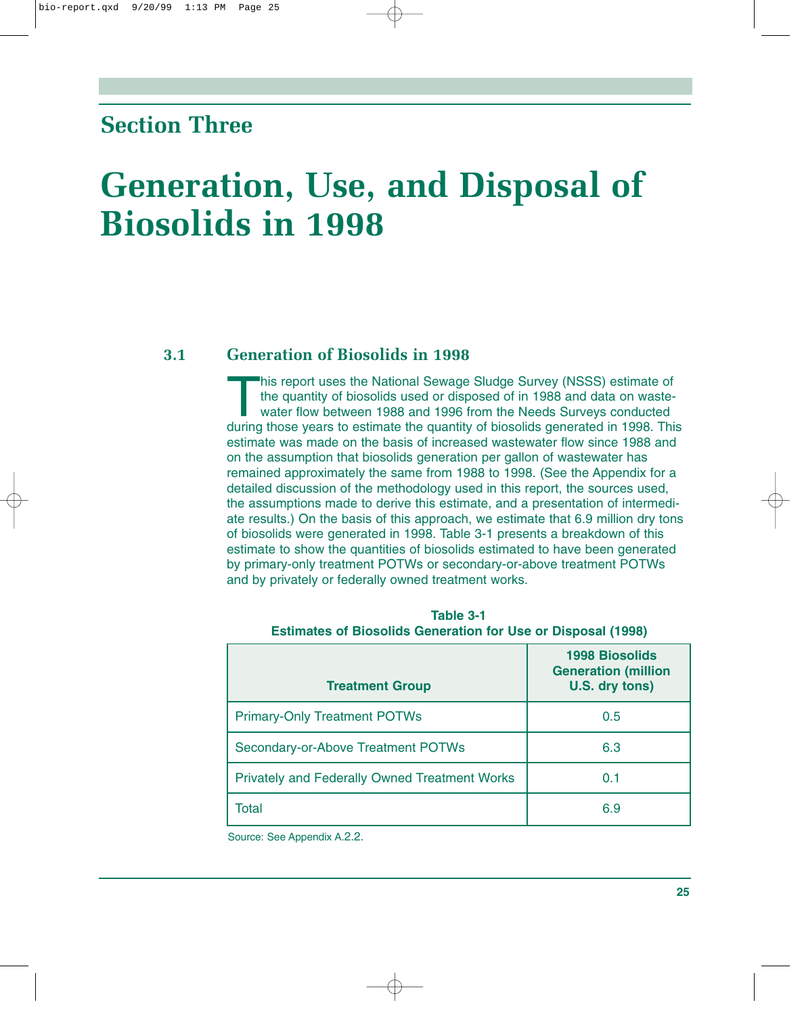### <span id="page-30-0"></span>**Section Three**

## **Generation, Use, and Disposal of Biosolids in 1998**

#### **3.1 Generation of Biosolids in 1998**

This report uses the National Sewage Sludge Survey (NSSS) estimate of the quantity of biosolids used or disposed of in 1988 and data on wastewater flow between 1988 and 1996 from the Needs Surveys conducted during those years to estimate the quantity of biosolids generated in 1998. This estimate was made on the basis of increased wastewater flow since 1988 and on the assumption that biosolids generation per gallon of wastewater has remained approximately the same from 1988 to 1998. (See the Appendix for a detailed discussion of the methodology used in this report, the sources used, the assumptions made to derive this estimate, and a presentation of intermediate results.) On the basis of this approach, we estimate that 6.9 million dry tons of biosolids were generated in 1998. Table 3-1 presents a breakdown of this estimate to show the quantities of biosolids estimated to have been generated by primary-only treatment POTWs or secondary-or-above treatment POTWs and by privately or federally owned treatment works.

| <b>Treatment Group</b>                               | <b>1998 Biosolids</b><br><b>Generation (million</b><br>U.S. dry tons) |
|------------------------------------------------------|-----------------------------------------------------------------------|
| <b>Primary-Only Treatment POTWs</b>                  | 0.5                                                                   |
| Secondary-or-Above Treatment POTWs                   | 6.3                                                                   |
| <b>Privately and Federally Owned Treatment Works</b> | 0.1                                                                   |
| Total                                                | 6.9                                                                   |

**Table 3-1 Estimates of Biosolids Generation for Use or Disposal (1998)**

Source: See Appendix A.2.2.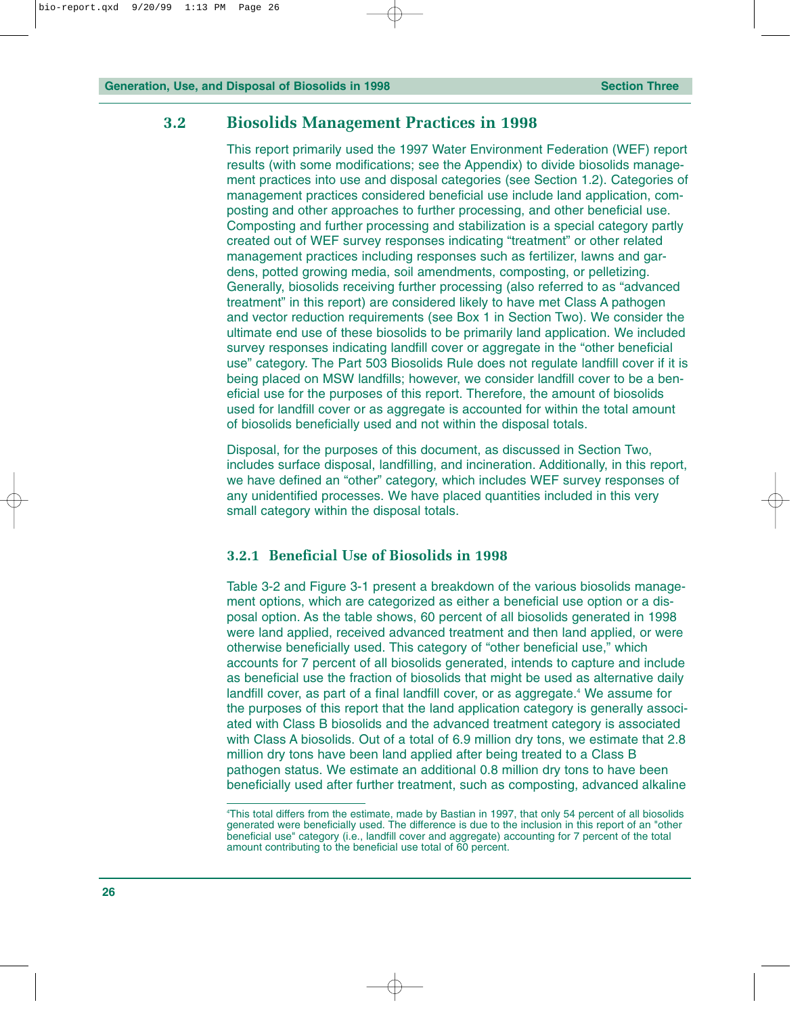#### <span id="page-31-0"></span>**3.2 Biosolids Management Practices in 1998**

This report primarily used the 1997 Water Environment Federation (WEF) report results (with some modifications; see the Appendix) to divide biosolids management practices into use and disposal categories (see Section 1.2). Categories of management practices considered beneficial use include land application, composting and other approaches to further processing, and other beneficial use. Composting and further processing and stabilization is a special category partly created out of WEF survey responses indicating "treatment" or other related management practices including responses such as fertilizer, lawns and gardens, potted growing media, soil amendments, composting, or pelletizing. Generally, biosolids receiving further processing (also referred to as "advanced treatment" in this report) are considered likely to have met Class A pathogen and vector reduction requirements (see Box 1 in Section Two). We consider the ultimate end use of these biosolids to be primarily land application. We included survey responses indicating landfill cover or aggregate in the "other beneficial use" category. The Part 503 Biosolids Rule does not regulate landfill cover if it is being placed on MSW landfills; however, we consider landfill cover to be a beneficial use for the purposes of this report. Therefore, the amount of biosolids used for landfill cover or as aggregate is accounted for within the total amount of biosolids beneficially used and not within the disposal totals.

Disposal, for the purposes of this document, as discussed in Section Two, includes surface disposal, landfilling, and incineration. Additionally, in this report, we have defined an "other" category, which includes WEF survey responses of any unidentified processes. We have placed quantities included in this very small category within the disposal totals.

#### **3.2.1 Beneficial Use of Biosolids in 1998**

Table 3-2 and Figure 3-1 present a breakdown of the various biosolids management options, which are categorized as either a beneficial use option or a disposal option. As the table shows, 60 percent of all biosolids generated in 1998 were land applied, received advanced treatment and then land applied, or were otherwise beneficially used. This category of "other beneficial use," which accounts for 7 percent of all biosolids generated, intends to capture and include as beneficial use the fraction of biosolids that might be used as alternative daily landfill cover, as part of a final landfill cover, or as aggregate.<sup>4</sup> We assume for the purposes of this report that the land application category is generally associated with Class B biosolids and the advanced treatment category is associated with Class A biosolids. Out of a total of 6.9 million dry tons, we estimate that 2.8 million dry tons have been land applied after being treated to a Class B pathogen status. We estimate an additional 0.8 million dry tons to have been beneficially used after further treatment, such as composting, advanced alkaline

<sup>4</sup> This total differs from the estimate, made by Bastian in 1997, that only 54 percent of all biosolids generated were beneficially used. The difference is due to the inclusion in this report of an "other beneficial use" category (i.e., landfill cover and aggregate) accounting for 7 percent of the total amount contributing to the beneficial use total of 60 percent.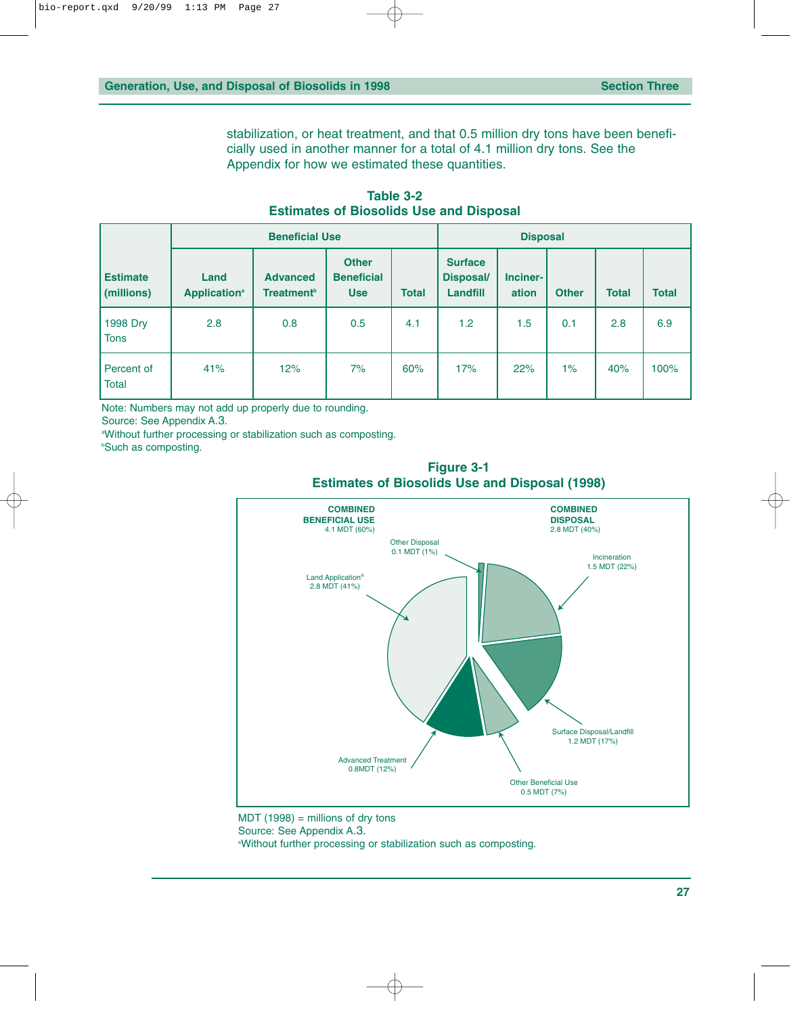stabilization, or heat treatment, and that 0.5 million dry tons have been beneficially used in another manner for a total of 4.1 million dry tons. See the Appendix for how we estimated these quantities.

<span id="page-32-0"></span>

|                               | <b>Beneficial Use</b>                   |                                                  |                                                 | <b>Disposal</b> |                                                       |                   |              |              |              |
|-------------------------------|-----------------------------------------|--------------------------------------------------|-------------------------------------------------|-----------------|-------------------------------------------------------|-------------------|--------------|--------------|--------------|
| <b>Estimate</b><br>(millions) | Land<br><b>Application</b> <sup>a</sup> | <b>Advanced</b><br><b>Treatment</b> <sup>b</sup> | <b>Other</b><br><b>Beneficial</b><br><b>Use</b> | <b>Total</b>    | <b>Surface</b><br><b>Disposal/</b><br><b>Landfill</b> | Inciner-<br>ation | <b>Other</b> | <b>Total</b> | <b>Total</b> |
| 1998 Dry<br><b>Tons</b>       | 2.8                                     | 0.8                                              | 0.5                                             | 4.1             | 1.2                                                   | 1.5               | 0.1          | 2.8          | 6.9          |
| Percent of<br><b>Total</b>    | 41%                                     | 12%                                              | 7%                                              | 60%             | 17%                                                   | 22%               | $1\%$        | 40%          | 100%         |

**Table 3-2 Estimates of Biosolids Use and Disposal**

Note: Numbers may not add up properly due to rounding.

Source: See Appendix A.3.

a Without further processing or stabilization such as composting.

**Such as composting.** 

**Figure 3-1 Estimates of Biosolids Use and Disposal (1998)**



 $MDT (1998) =$  millions of dry tons Source: See Appendix A.3. a Without further processing or stabilization such as composting.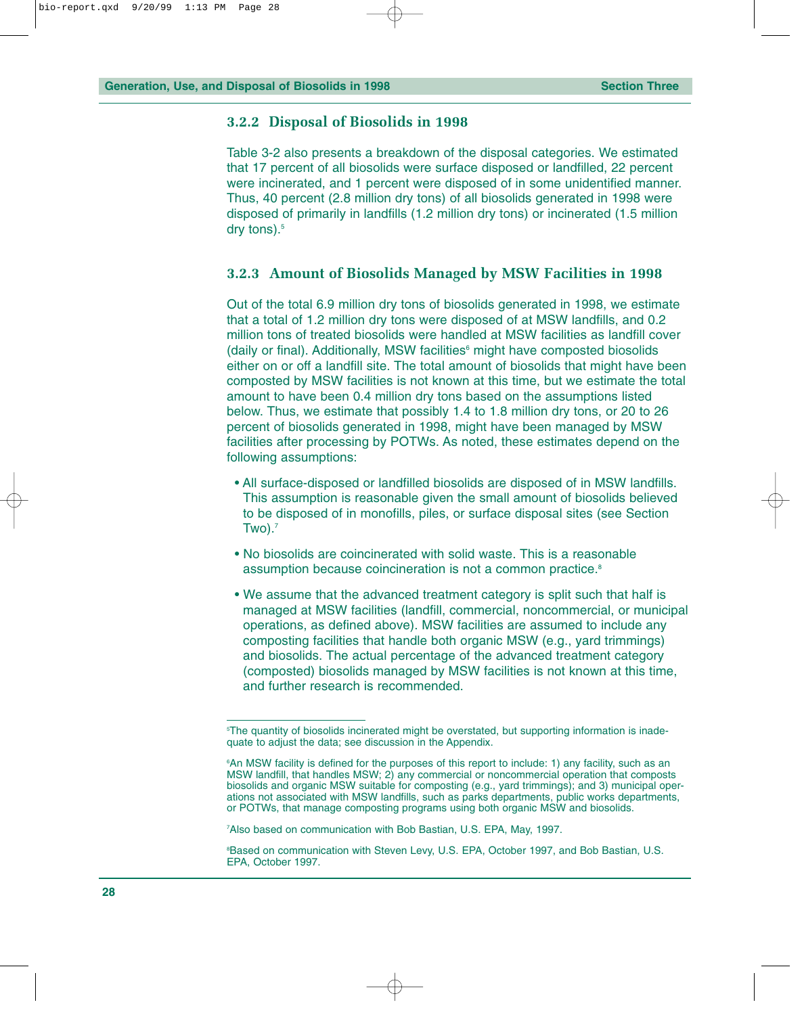#### <span id="page-33-0"></span>**3.2.2 Disposal of Biosolids in 1998**

Table 3-2 also presents a breakdown of the disposal categories. We estimated that 17 percent of all biosolids were surface disposed or landfilled, 22 percent were incinerated, and 1 percent were disposed of in some unidentified manner. Thus, 40 percent (2.8 million dry tons) of all biosolids generated in 1998 were disposed of primarily in landfills (1.2 million dry tons) or incinerated (1.5 million dry tons).<sup>5</sup>

#### **3.2.3 Amount of Biosolids Managed by MSW Facilities in 1998**

Out of the total 6.9 million dry tons of biosolids generated in 1998, we estimate that a total of 1.2 million dry tons were disposed of at MSW landfills, and 0.2 million tons of treated biosolids were handled at MSW facilities as landfill cover  $(daiiv)$  or final). Additionally, MSW facilities $<sup>6</sup>$  might have composted biosolids</sup> either on or off a landfill site. The total amount of biosolids that might have been composted by MSW facilities is not known at this time, but we estimate the total amount to have been 0.4 million dry tons based on the assumptions listed below. Thus, we estimate that possibly 1.4 to 1.8 million dry tons, or 20 to 26 percent of biosolids generated in 1998, might have been managed by MSW facilities after processing by POTWs. As noted, these estimates depend on the following assumptions:

- All surface-disposed or landfilled biosolids are disposed of in MSW landfills. This assumption is reasonable given the small amount of biosolids believed to be disposed of in monofills, piles, or surface disposal sites (see Section  $Two).<sup>7</sup>$
- No biosolids are coincinerated with solid waste. This is a reasonable assumption because coincineration is not a common practice.<sup>8</sup>
- We assume that the advanced treatment category is split such that half is managed at MSW facilities (landfill, commercial, noncommercial, or municipal operations, as defined above). MSW facilities are assumed to include any composting facilities that handle both organic MSW (e.g., yard trimmings) and biosolids. The actual percentage of the advanced treatment category (composted) biosolids managed by MSW facilities is not known at this time, and further research is recommended.

7 Also based on communication with Bob Bastian, U.S. EPA, May, 1997.

<sup>5</sup> The quantity of biosolids incinerated might be overstated, but supporting information is inadequate to adjust the data; see discussion in the Appendix.

<sup>6</sup> An MSW facility is defined for the purposes of this report to include: 1) any facility, such as an MSW landfill, that handles MSW; 2) any commercial or noncommercial operation that composts biosolids and organic MSW suitable for composting (e.g., yard trimmings); and 3) municipal operations not associated with MSW landfills, such as parks departments, public works departments, or POTWs, that manage composting programs using both organic MSW and biosolids.

<sup>8</sup> Based on communication with Steven Levy, U.S. EPA, October 1997, and Bob Bastian, U.S. EPA, October 1997.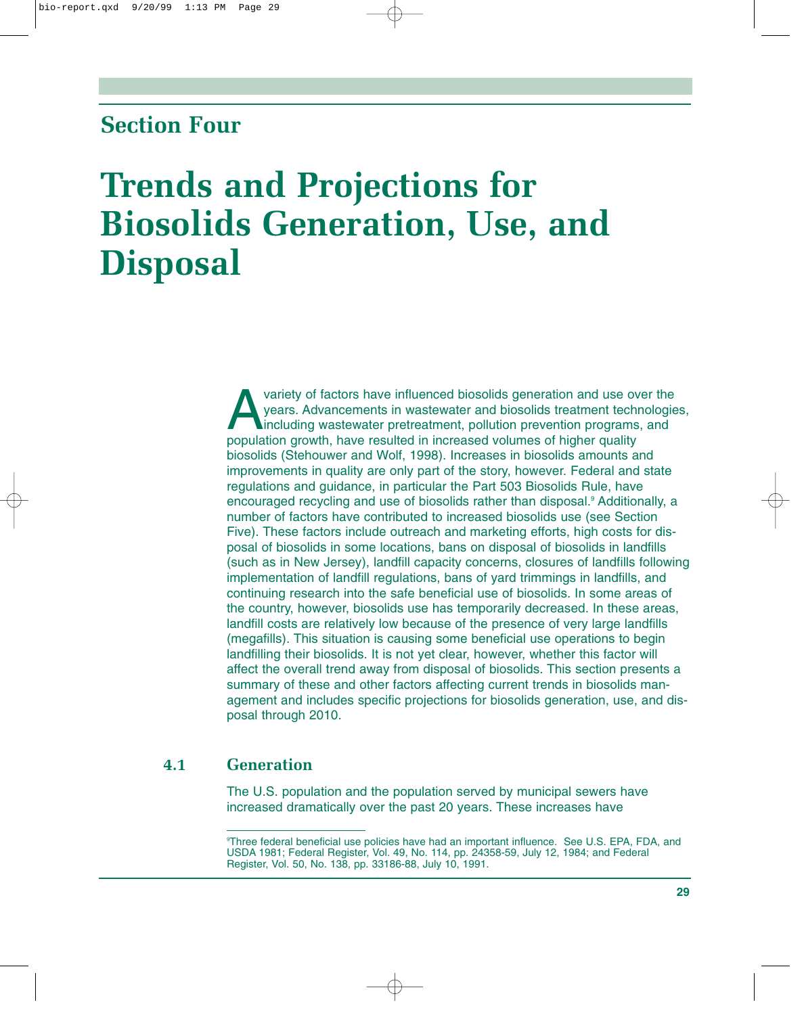### <span id="page-34-0"></span>**Section Four**

## **Trends and Projections for Biosolids Generation, Use, and Disposal**

variety of factors have influenced biosolids generation and use over the years. Advancements in wastewater and biosolids treatment technological<br>including wastewater pretreatment, pollution prevention programs, and<br>populat years. Advancements in wastewater and biosolids treatment technologies, including wastewater pretreatment, pollution prevention programs, and population growth, have resulted in increased volumes of higher quality biosolids (Stehouwer and Wolf, 1998). Increases in biosolids amounts and improvements in quality are only part of the story, however. Federal and state regulations and guidance, in particular the Part 503 Biosolids Rule, have encouraged recycling and use of biosolids rather than disposal.<sup>9</sup> Additionally, a number of factors have contributed to increased biosolids use (see Section Five). These factors include outreach and marketing efforts, high costs for disposal of biosolids in some locations, bans on disposal of biosolids in landfills (such as in New Jersey), landfill capacity concerns, closures of landfills following implementation of landfill regulations, bans of yard trimmings in landfills, and continuing research into the safe beneficial use of biosolids. In some areas of the country, however, biosolids use has temporarily decreased. In these areas, landfill costs are relatively low because of the presence of very large landfills (megafills). This situation is causing some beneficial use operations to begin landfilling their biosolids. It is not yet clear, however, whether this factor will affect the overall trend away from disposal of biosolids. This section presents a summary of these and other factors affecting current trends in biosolids management and includes specific projections for biosolids generation, use, and disposal through 2010.

#### **4.1 Generation**

The U.S. population and the population served by municipal sewers have increased dramatically over the past 20 years. These increases have

<sup>9</sup> Three federal beneficial use policies have had an important influence. See U.S. EPA, FDA, and USDA 1981; Federal Register, Vol. 49, No. 114, pp. 24358-59, July 12, 1984; and Federal Register, Vol. 50, No. 138, pp. 33186-88, July 10, 1991.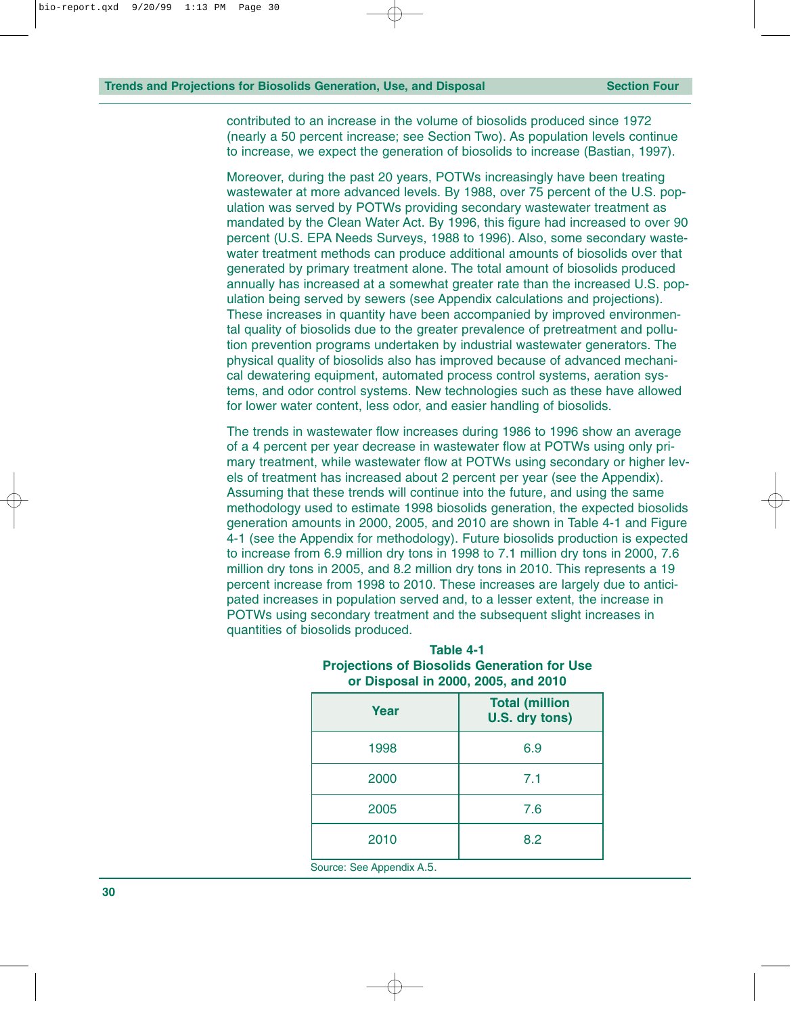<span id="page-35-0"></span>contributed to an increase in the volume of biosolids produced since 1972 (nearly a 50 percent increase; see Section Two). As population levels continue to increase, we expect the generation of biosolids to increase (Bastian, 1997).

Moreover, during the past 20 years, POTWs increasingly have been treating wastewater at more advanced levels. By 1988, over 75 percent of the U.S. population was served by POTWs providing secondary wastewater treatment as mandated by the Clean Water Act. By 1996, this figure had increased to over 90 percent (U.S. EPA Needs Surveys, 1988 to 1996). Also, some secondary wastewater treatment methods can produce additional amounts of biosolids over that generated by primary treatment alone. The total amount of biosolids produced annually has increased at a somewhat greater rate than the increased U.S. population being served by sewers (see Appendix calculations and projections). These increases in quantity have been accompanied by improved environmental quality of biosolids due to the greater prevalence of pretreatment and pollution prevention programs undertaken by industrial wastewater generators. The physical quality of biosolids also has improved because of advanced mechanical dewatering equipment, automated process control systems, aeration systems, and odor control systems. New technologies such as these have allowed for lower water content, less odor, and easier handling of biosolids.

The trends in wastewater flow increases during 1986 to 1996 show an average of a 4 percent per year decrease in wastewater flow at POTWs using only primary treatment, while wastewater flow at POTWs using secondary or higher levels of treatment has increased about 2 percent per year (see the Appendix). Assuming that these trends will continue into the future, and using the same methodology used to estimate 1998 biosolids generation, the expected biosolids generation amounts in 2000, 2005, and 2010 are shown in Table 4-1 and Figure 4-1 (see the Appendix for methodology). Future biosolids production is expected to increase from 6.9 million dry tons in 1998 to 7.1 million dry tons in 2000, 7.6 million dry tons in 2005, and 8.2 million dry tons in 2010. This represents a 19 percent increase from 1998 to 2010. These increases are largely due to anticipated increases in population served and, to a lesser extent, the increase in POTWs using secondary treatment and the subsequent slight increases in quantities of biosolids produced.

| Year                      | <b>Total (million</b><br>U.S. dry tons) |
|---------------------------|-----------------------------------------|
| 1998                      | 6.9                                     |
| 2000                      | 7.1                                     |
| 2005                      | 7.6                                     |
| 2010                      | 8.2                                     |
| Source: See Appendix A.5. |                                         |

| Table 4-1                                          |
|----------------------------------------------------|
| <b>Projections of Biosolids Generation for Use</b> |
| or Disposal in 2000, 2005, and 2010                |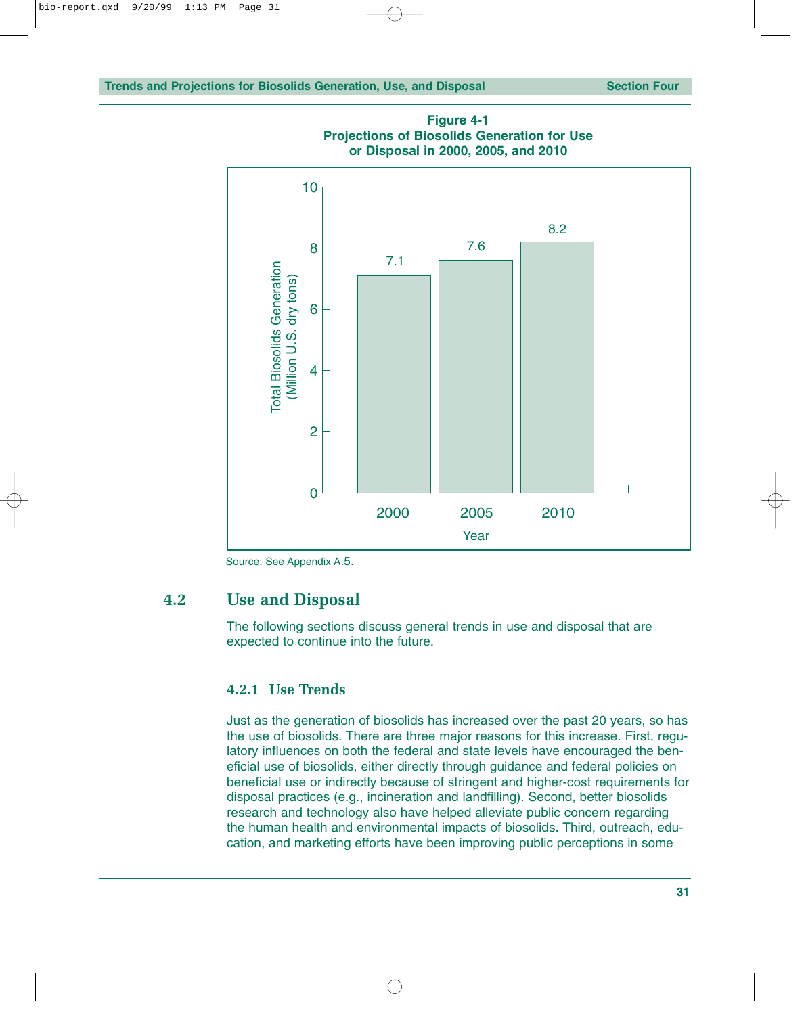

**Figure 4-1 Projections of Biosolids Generation for Use or Disposal in 2000, 2005, and 2010**

Source: See Appendix A.5.

#### **4.2 Use and Disposal**

The following sections discuss general trends in use and disposal that are expected to continue into the future.

#### **4.2.1 Use Trends**

Just as the generation of biosolids has increased over the past 20 years, so has the use of biosolids. There are three major reasons for this increase. First, regulatory influences on both the federal and state levels have encouraged the beneficial use of biosolids, either directly through guidance and federal policies on beneficial use or indirectly because of stringent and higher-cost requirements for disposal practices (e.g., incineration and landfilling). Second, better biosolids research and technology also have helped alleviate public concern regarding the human health and environmental impacts of biosolids. Third, outreach, education, and marketing efforts have been improving public perceptions in some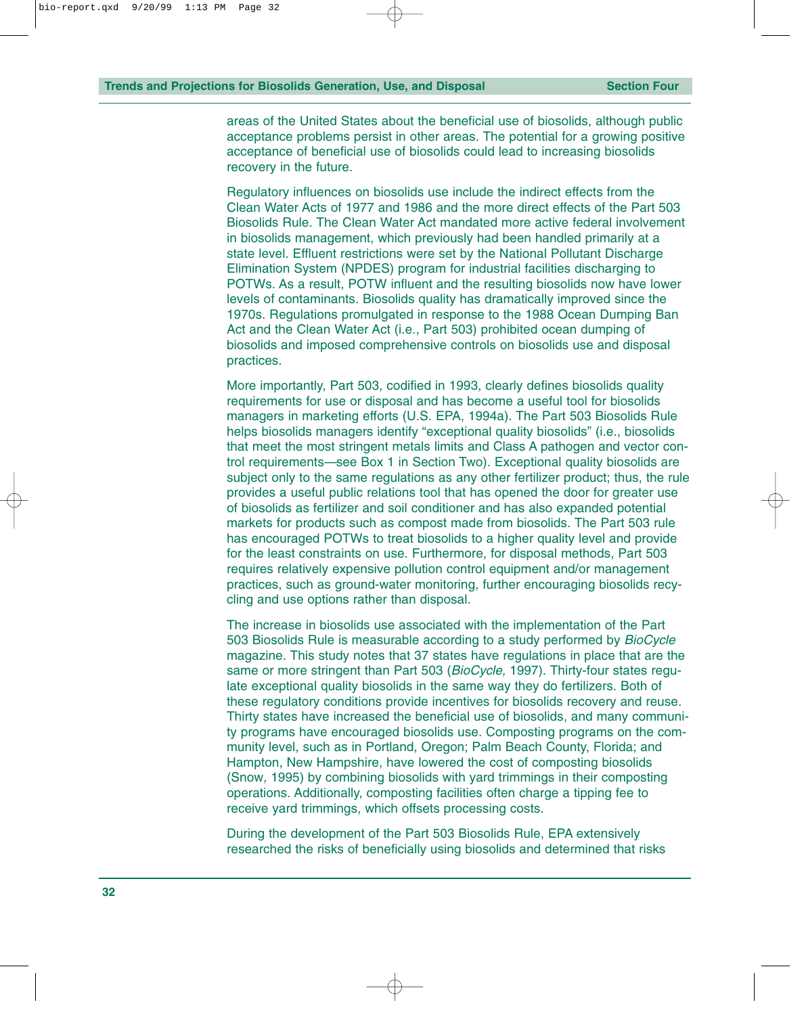areas of the United States about the beneficial use of biosolids, although public acceptance problems persist in other areas. The potential for a growing positive acceptance of beneficial use of biosolids could lead to increasing biosolids recovery in the future.

Regulatory influences on biosolids use include the indirect effects from the Clean Water Acts of 1977 and 1986 and the more direct effects of the Part 503 Biosolids Rule. The Clean Water Act mandated more active federal involvement in biosolids management, which previously had been handled primarily at a state level. Effluent restrictions were set by the National Pollutant Discharge Elimination System (NPDES) program for industrial facilities discharging to POTWs. As a result, POTW influent and the resulting biosolids now have lower levels of contaminants. Biosolids quality has dramatically improved since the 1970s. Regulations promulgated in response to the 1988 Ocean Dumping Ban Act and the Clean Water Act (i.e., Part 503) prohibited ocean dumping of biosolids and imposed comprehensive controls on biosolids use and disposal practices.

More importantly, Part 503, codified in 1993, clearly defines biosolids quality requirements for use or disposal and has become a useful tool for biosolids managers in marketing efforts (U.S. EPA, 1994a). The Part 503 Biosolids Rule helps biosolids managers identify "exceptional quality biosolids" (i.e., biosolids that meet the most stringent metals limits and Class A pathogen and vector control requirements—see Box 1 in Section Two). Exceptional quality biosolids are subject only to the same regulations as any other fertilizer product; thus, the rule provides a useful public relations tool that has opened the door for greater use of biosolids as fertilizer and soil conditioner and has also expanded potential markets for products such as compost made from biosolids. The Part 503 rule has encouraged POTWs to treat biosolids to a higher quality level and provide for the least constraints on use. Furthermore, for disposal methods, Part 503 requires relatively expensive pollution control equipment and/or management practices, such as ground-water monitoring, further encouraging biosolids recycling and use options rather than disposal.

The increase in biosolids use associated with the implementation of the Part 503 Biosolids Rule is measurable according to a study performed by *BioCycle* magazine. This study notes that 37 states have regulations in place that are the same or more stringent than Part 503 (*BioCycle,* 1997). Thirty-four states regulate exceptional quality biosolids in the same way they do fertilizers. Both of these regulatory conditions provide incentives for biosolids recovery and reuse. Thirty states have increased the beneficial use of biosolids, and many community programs have encouraged biosolids use. Composting programs on the community level, such as in Portland, Oregon; Palm Beach County, Florida; and Hampton, New Hampshire, have lowered the cost of composting biosolids (Snow*,* 1995) by combining biosolids with yard trimmings in their composting operations. Additionally, composting facilities often charge a tipping fee to receive yard trimmings, which offsets processing costs.

During the development of the Part 503 Biosolids Rule, EPA extensively researched the risks of beneficially using biosolids and determined that risks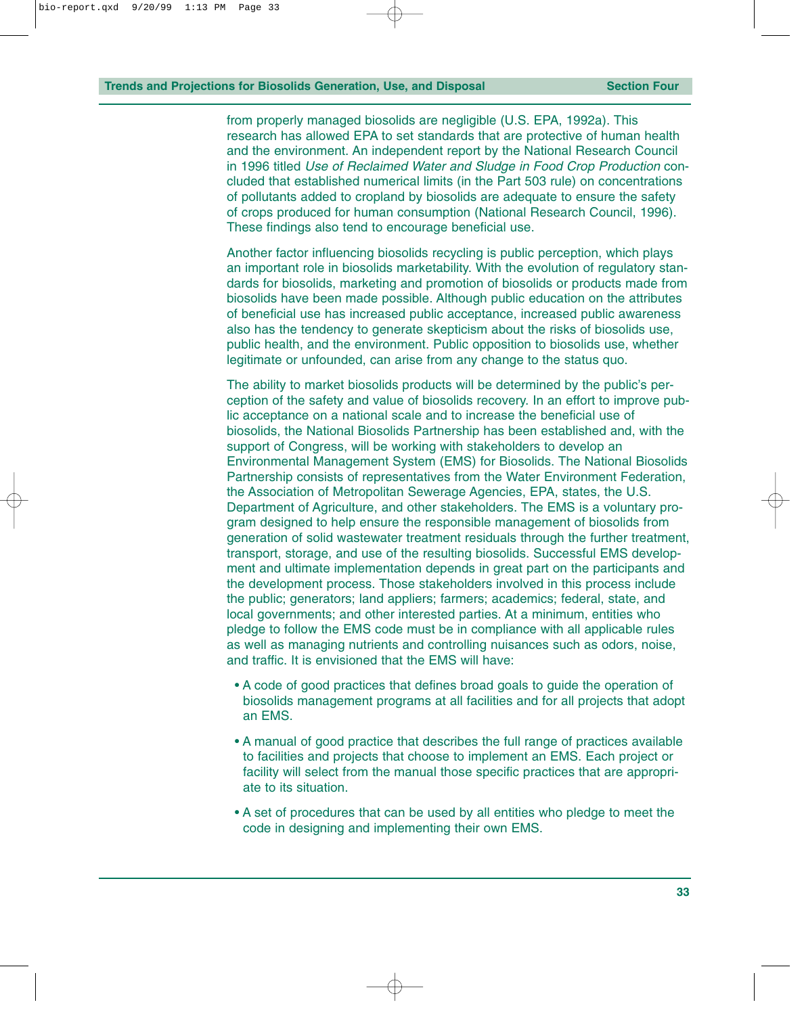from properly managed biosolids are negligible (U.S. EPA, 1992a). This research has allowed EPA to set standards that are protective of human health and the environment. An independent report by the National Research Council in 1996 titled *Use of Reclaimed Water and Sludge in Food Crop Production* concluded that established numerical limits (in the Part 503 rule) on concentrations of pollutants added to cropland by biosolids are adequate to ensure the safety of crops produced for human consumption (National Research Council, 1996). These findings also tend to encourage beneficial use.

Another factor influencing biosolids recycling is public perception, which plays an important role in biosolids marketability. With the evolution of regulatory standards for biosolids, marketing and promotion of biosolids or products made from biosolids have been made possible. Although public education on the attributes of beneficial use has increased public acceptance, increased public awareness also has the tendency to generate skepticism about the risks of biosolids use, public health, and the environment. Public opposition to biosolids use, whether legitimate or unfounded, can arise from any change to the status quo.

The ability to market biosolids products will be determined by the public's perception of the safety and value of biosolids recovery. In an effort to improve public acceptance on a national scale and to increase the beneficial use of biosolids, the National Biosolids Partnership has been established and, with the support of Congress, will be working with stakeholders to develop an Environmental Management System (EMS) for Biosolids. The National Biosolids Partnership consists of representatives from the Water Environment Federation, the Association of Metropolitan Sewerage Agencies, EPA, states, the U.S. Department of Agriculture, and other stakeholders. The EMS is a voluntary program designed to help ensure the responsible management of biosolids from generation of solid wastewater treatment residuals through the further treatment, transport, storage, and use of the resulting biosolids. Successful EMS development and ultimate implementation depends in great part on the participants and the development process. Those stakeholders involved in this process include the public; generators; land appliers; farmers; academics; federal, state, and local governments; and other interested parties. At a minimum, entities who pledge to follow the EMS code must be in compliance with all applicable rules as well as managing nutrients and controlling nuisances such as odors, noise, and traffic. It is envisioned that the EMS will have:

- A code of good practices that defines broad goals to guide the operation of biosolids management programs at all facilities and for all projects that adopt an EMS.
- A manual of good practice that describes the full range of practices available to facilities and projects that choose to implement an EMS. Each project or facility will select from the manual those specific practices that are appropriate to its situation.
- A set of procedures that can be used by all entities who pledge to meet the code in designing and implementing their own EMS.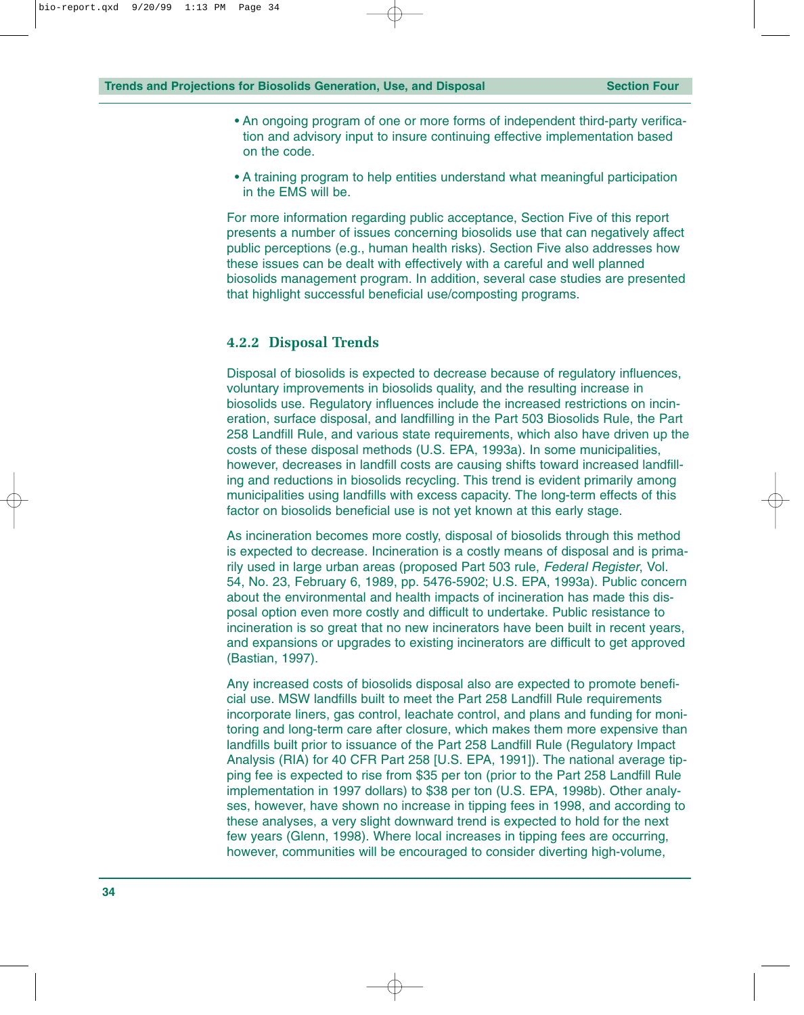- An ongoing program of one or more forms of independent third-party verification and advisory input to insure continuing effective implementation based on the code.
- A training program to help entities understand what meaningful participation in the EMS will be.

For more information regarding public acceptance, Section Five of this report presents a number of issues concerning biosolids use that can negatively affect public perceptions (e.g., human health risks). Section Five also addresses how these issues can be dealt with effectively with a careful and well planned biosolids management program. In addition, several case studies are presented that highlight successful beneficial use/composting programs.

#### **4.2.2 Disposal Trends**

Disposal of biosolids is expected to decrease because of regulatory influences, voluntary improvements in biosolids quality, and the resulting increase in biosolids use. Regulatory influences include the increased restrictions on incineration, surface disposal, and landfilling in the Part 503 Biosolids Rule, the Part 258 Landfill Rule, and various state requirements, which also have driven up the costs of these disposal methods (U.S. EPA, 1993a). In some municipalities, however, decreases in landfill costs are causing shifts toward increased landfilling and reductions in biosolids recycling. This trend is evident primarily among municipalities using landfills with excess capacity. The long-term effects of this factor on biosolids beneficial use is not yet known at this early stage.

As incineration becomes more costly, disposal of biosolids through this method is expected to decrease. Incineration is a costly means of disposal and is primarily used in large urban areas (proposed Part 503 rule, *Federal Register*, Vol. 54, No. 23, February 6, 1989, pp. 5476-5902; U.S. EPA, 1993a). Public concern about the environmental and health impacts of incineration has made this disposal option even more costly and difficult to undertake. Public resistance to incineration is so great that no new incinerators have been built in recent years, and expansions or upgrades to existing incinerators are difficult to get approved (Bastian, 1997).

Any increased costs of biosolids disposal also are expected to promote beneficial use. MSW landfills built to meet the Part 258 Landfill Rule requirements incorporate liners, gas control, leachate control, and plans and funding for monitoring and long-term care after closure, which makes them more expensive than landfills built prior to issuance of the Part 258 Landfill Rule (Regulatory Impact Analysis (RIA) for 40 CFR Part 258 [U.S. EPA, 1991]). The national average tipping fee is expected to rise from \$35 per ton (prior to the Part 258 Landfill Rule implementation in 1997 dollars) to \$38 per ton (U.S. EPA, 1998b). Other analyses, however, have shown no increase in tipping fees in 1998, and according to these analyses, a very slight downward trend is expected to hold for the next few years (Glenn, 1998). Where local increases in tipping fees are occurring, however, communities will be encouraged to consider diverting high-volume,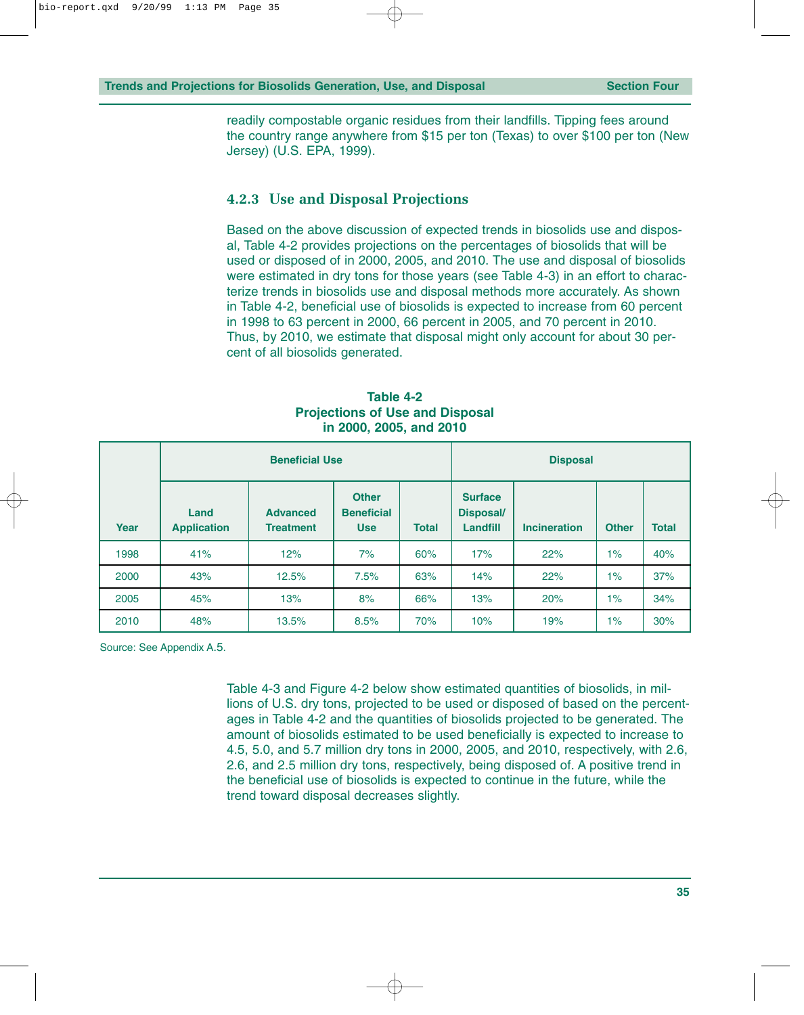readily compostable organic residues from their landfills. Tipping fees around the country range anywhere from \$15 per ton (Texas) to over \$100 per ton (New Jersey) (U.S. EPA, 1999).

#### **4.2.3 Use and Disposal Projections**

Based on the above discussion of expected trends in biosolids use and disposal, Table 4-2 provides projections on the percentages of biosolids that will be used or disposed of in 2000, 2005, and 2010. The use and disposal of biosolids were estimated in dry tons for those years (see Table 4-3) in an effort to characterize trends in biosolids use and disposal methods more accurately. As shown in Table 4-2, beneficial use of biosolids is expected to increase from 60 percent in 1998 to 63 percent in 2000, 66 percent in 2005, and 70 percent in 2010. Thus, by 2010, we estimate that disposal might only account for about 30 percent of all biosolids generated.

**Table 4-2 Projections of Use and Disposal in 2000, 2005, and 2010**

|      |                                                                   | <b>Beneficial Use</b> |                                                                 | <b>Disposal</b> |                                                |                     |              |              |
|------|-------------------------------------------------------------------|-----------------------|-----------------------------------------------------------------|-----------------|------------------------------------------------|---------------------|--------------|--------------|
| Year | <b>Advanced</b><br>Land<br><b>Application</b><br><b>Treatment</b> |                       | <b>Other</b><br><b>Beneficial</b><br><b>Total</b><br><b>Use</b> |                 | <b>Surface</b><br><b>Disposal/</b><br>Landfill | <b>Incineration</b> | <b>Other</b> | <b>Total</b> |
| 1998 | 41%                                                               | 12%                   | 7%                                                              | 60%             | 17%                                            | 22%                 | $1\%$        | 40%          |
| 2000 | 43%                                                               | 12.5%                 | 7.5%                                                            | 63%             | 14%                                            | 22%                 | $1\%$        | 37%          |
| 2005 | 45%                                                               | 13%                   | 8%                                                              | 66%             | 13%                                            | 20%                 | $1\%$        | 34%          |
| 2010 | 48%                                                               | 13.5%                 | 8.5%                                                            | 70%             | 10%                                            | 19%                 | $1\%$        | 30%          |

Source: See Appendix A.5.

Table 4-3 and Figure 4-2 below show estimated quantities of biosolids, in millions of U.S. dry tons, projected to be used or disposed of based on the percentages in Table 4-2 and the quantities of biosolids projected to be generated. The amount of biosolids estimated to be used beneficially is expected to increase to 4.5, 5.0, and 5.7 million dry tons in 2000, 2005, and 2010, respectively, with 2.6, 2.6, and 2.5 million dry tons, respectively, being disposed of. A positive trend in the beneficial use of biosolids is expected to continue in the future, while the trend toward disposal decreases slightly.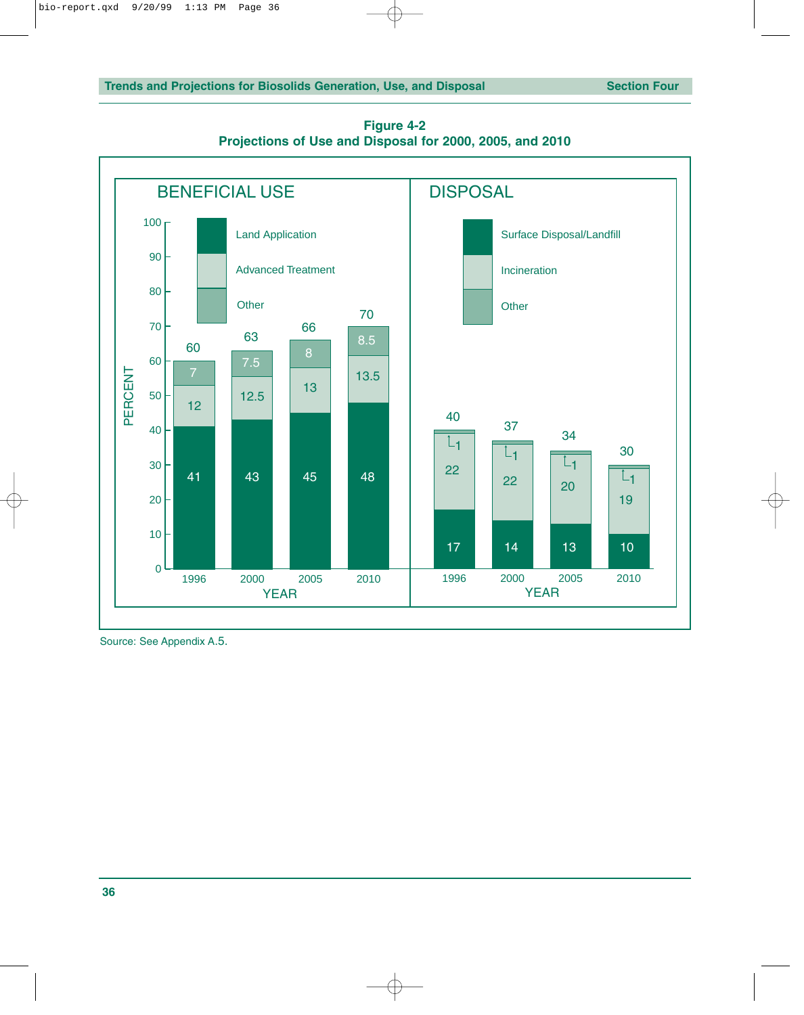

**Figure 4-2 Projections of Use and Disposal for 2000, 2005, and 2010**

Source: See Appendix A.5.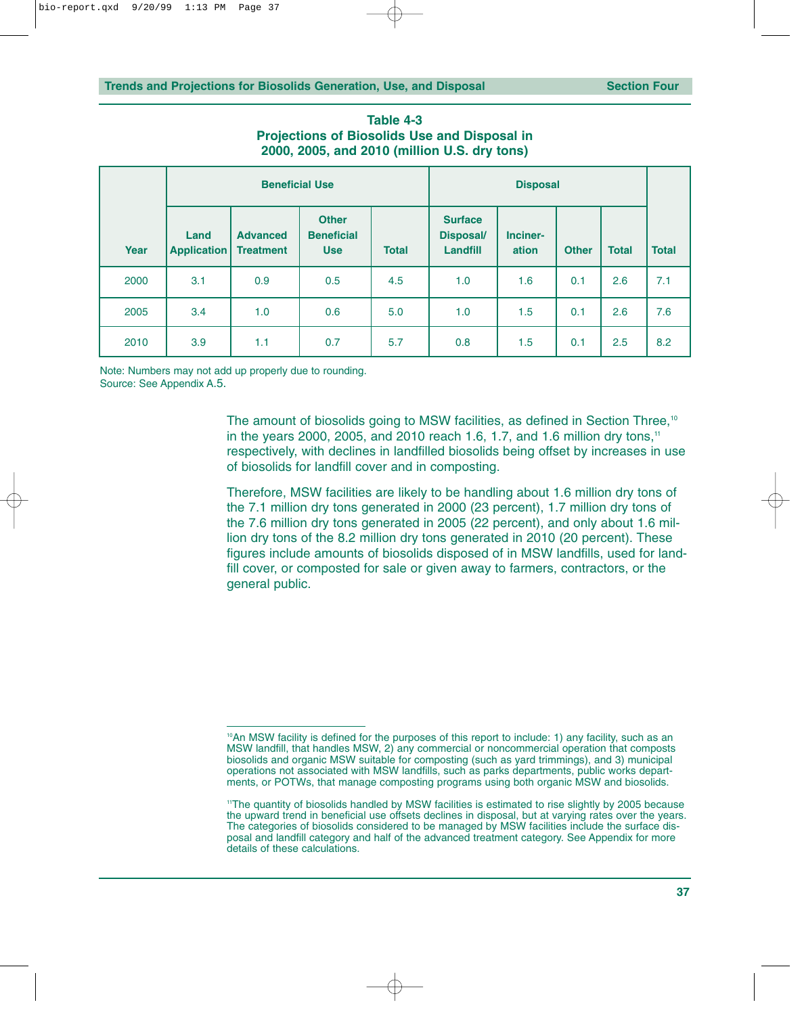| Table 4-3                                           |  |  |  |  |  |  |  |
|-----------------------------------------------------|--|--|--|--|--|--|--|
| <b>Projections of Biosolids Use and Disposal in</b> |  |  |  |  |  |  |  |
| 2000, 2005, and 2010 (million U.S. dry tons)        |  |  |  |  |  |  |  |

| <b>Beneficial Use</b> |                     |                                     |                                                 |              |                                                |                   |              |              |              |
|-----------------------|---------------------|-------------------------------------|-------------------------------------------------|--------------|------------------------------------------------|-------------------|--------------|--------------|--------------|
| Year                  | Land<br>Application | <b>Advanced</b><br><b>Treatment</b> | <b>Other</b><br><b>Beneficial</b><br><b>Use</b> | <b>Total</b> | <b>Surface</b><br><b>Disposal/</b><br>Landfill | Inciner-<br>ation | <b>Other</b> | <b>Total</b> | <b>Total</b> |
| 2000                  | 3.1                 | 0.9                                 | 0.5                                             | 4.5          | 1.0                                            | 1.6               | 0.1          | 2.6          | 7.1          |
| 2005                  | 3.4                 | 1.0                                 | 0.6                                             | 5.0          | 1.0                                            | 1.5               | 0.1          | 2.6          | 7.6          |
| 2010                  | 3.9                 | 1.1                                 | 0.7                                             | 5.7          | 0.8                                            | 1.5               | 0.1          | 2.5          | 8.2          |

Note: Numbers may not add up properly due to rounding. Source: See Appendix A.5.

> The amount of biosolids going to MSW facilities, as defined in Section Three,<sup>10</sup> in the years 2000, 2005, and 2010 reach 1.6, 1.7, and 1.6 million dry tons,<sup>11</sup> respectively, with declines in landfilled biosolids being offset by increases in use of biosolids for landfill cover and in composting.

> Therefore, MSW facilities are likely to be handling about 1.6 million dry tons of the 7.1 million dry tons generated in 2000 (23 percent), 1.7 million dry tons of the 7.6 million dry tons generated in 2005 (22 percent), and only about 1.6 million dry tons of the 8.2 million dry tons generated in 2010 (20 percent). These figures include amounts of biosolids disposed of in MSW landfills, used for landfill cover, or composted for sale or given away to farmers, contractors, or the general public.

<sup>&</sup>lt;sup>10</sup>An MSW facility is defined for the purposes of this report to include: 1) any facility, such as an MSW landfill, that handles MSW, 2) any commercial or noncommercial operation that composts biosolids and organic MSW suitable for composting (such as yard trimmings), and 3) municipal operations not associated with MSW landfills, such as parks departments, public works departments, or POTWs, that manage composting programs using both organic MSW and biosolids.

<sup>11</sup>The quantity of biosolids handled by MSW facilities is estimated to rise slightly by 2005 because the upward trend in beneficial use offsets declines in disposal, but at varying rates over the years. The categories of biosolids considered to be managed by MSW facilities include the surface disposal and landfill category and half of the advanced treatment category. See Appendix for more details of these calculations.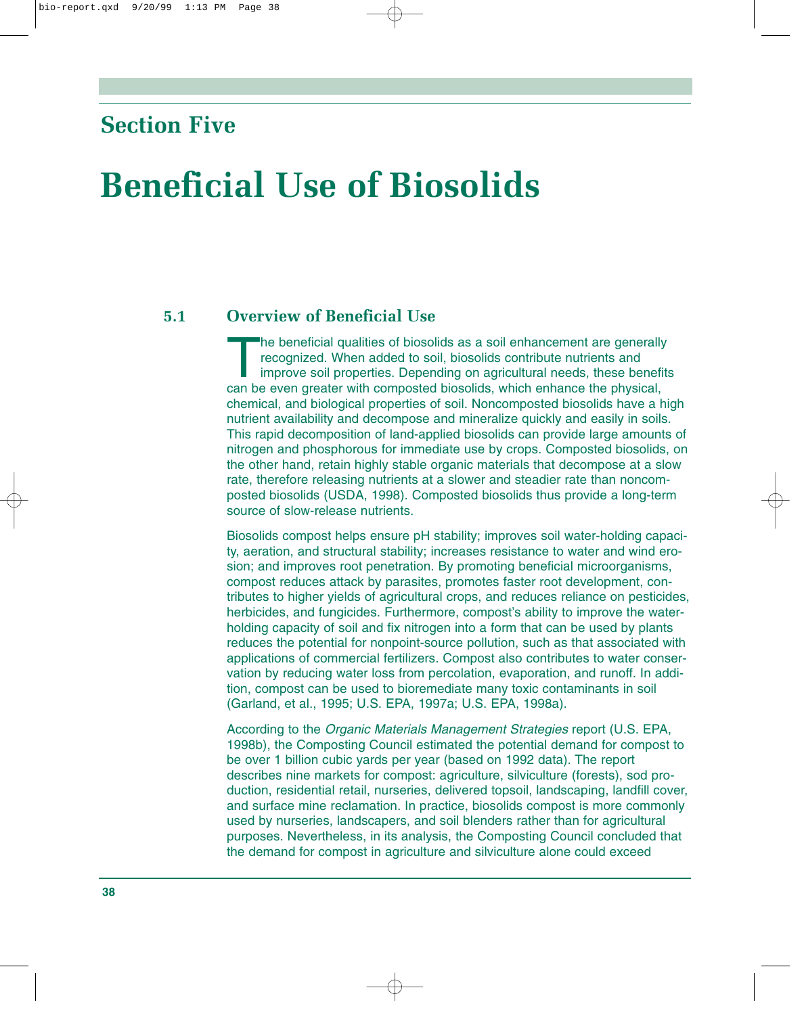### **Section Five**

## **Beneficial Use of Biosolids**

#### **5.1 Overview of Beneficial Use**

The beneficial qualities of biosolids as a soil enhancement are generally recognized. When added to soil, biosolids contribute nutrients and improve soil properties. Depending on agricultural needs, these benefits can be even greater with composted biosolids, which enhance the physical, chemical, and biological properties of soil. Noncomposted biosolids have a high nutrient availability and decompose and mineralize quickly and easily in soils. This rapid decomposition of land-applied biosolids can provide large amounts of nitrogen and phosphorous for immediate use by crops. Composted biosolids, on the other hand, retain highly stable organic materials that decompose at a slow rate, therefore releasing nutrients at a slower and steadier rate than noncomposted biosolids (USDA, 1998). Composted biosolids thus provide a long-term source of slow-release nutrients.

Biosolids compost helps ensure pH stability; improves soil water-holding capacity, aeration, and structural stability; increases resistance to water and wind erosion; and improves root penetration. By promoting beneficial microorganisms, compost reduces attack by parasites, promotes faster root development, contributes to higher yields of agricultural crops, and reduces reliance on pesticides, herbicides, and fungicides. Furthermore, compost's ability to improve the waterholding capacity of soil and fix nitrogen into a form that can be used by plants reduces the potential for nonpoint-source pollution, such as that associated with applications of commercial fertilizers. Compost also contributes to water conservation by reducing water loss from percolation, evaporation, and runoff. In addition, compost can be used to bioremediate many toxic contaminants in soil (Garland, et al., 1995; U.S. EPA, 1997a; U.S. EPA, 1998a).

According to the *Organic Materials Management Strategies* report (U.S. EPA, 1998b), the Composting Council estimated the potential demand for compost to be over 1 billion cubic yards per year (based on 1992 data). The report describes nine markets for compost: agriculture, silviculture (forests), sod production, residential retail, nurseries, delivered topsoil, landscaping, landfill cover, and surface mine reclamation. In practice, biosolids compost is more commonly used by nurseries, landscapers, and soil blenders rather than for agricultural purposes. Nevertheless, in its analysis, the Composting Council concluded that the demand for compost in agriculture and silviculture alone could exceed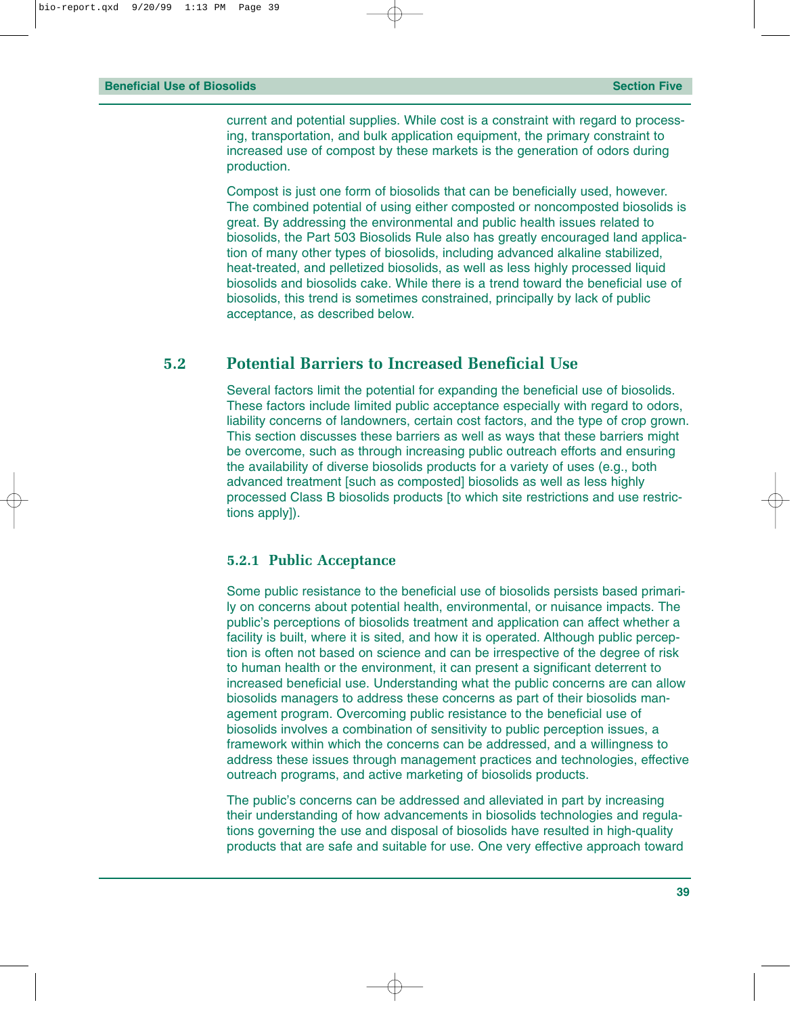current and potential supplies. While cost is a constraint with regard to processing, transportation, and bulk application equipment, the primary constraint to increased use of compost by these markets is the generation of odors during production.

Compost is just one form of biosolids that can be beneficially used, however. The combined potential of using either composted or noncomposted biosolids is great. By addressing the environmental and public health issues related to biosolids, the Part 503 Biosolids Rule also has greatly encouraged land application of many other types of biosolids, including advanced alkaline stabilized, heat-treated, and pelletized biosolids, as well as less highly processed liquid biosolids and biosolids cake. While there is a trend toward the beneficial use of biosolids, this trend is sometimes constrained, principally by lack of public acceptance, as described below.

#### **5.2 Potential Barriers to Increased Beneficial Use**

Several factors limit the potential for expanding the beneficial use of biosolids. These factors include limited public acceptance especially with regard to odors, liability concerns of landowners, certain cost factors, and the type of crop grown. This section discusses these barriers as well as ways that these barriers might be overcome, such as through increasing public outreach efforts and ensuring the availability of diverse biosolids products for a variety of uses (e.g., both advanced treatment [such as composted] biosolids as well as less highly processed Class B biosolids products [to which site restrictions and use restrictions apply]).

#### **5.2.1 Public Acceptance**

Some public resistance to the beneficial use of biosolids persists based primarily on concerns about potential health, environmental, or nuisance impacts. The public's perceptions of biosolids treatment and application can affect whether a facility is built, where it is sited, and how it is operated. Although public perception is often not based on science and can be irrespective of the degree of risk to human health or the environment, it can present a significant deterrent to increased beneficial use. Understanding what the public concerns are can allow biosolids managers to address these concerns as part of their biosolids management program. Overcoming public resistance to the beneficial use of biosolids involves a combination of sensitivity to public perception issues, a framework within which the concerns can be addressed, and a willingness to address these issues through management practices and technologies, effective outreach programs, and active marketing of biosolids products.

The public's concerns can be addressed and alleviated in part by increasing their understanding of how advancements in biosolids technologies and regulations governing the use and disposal of biosolids have resulted in high-quality products that are safe and suitable for use. One very effective approach toward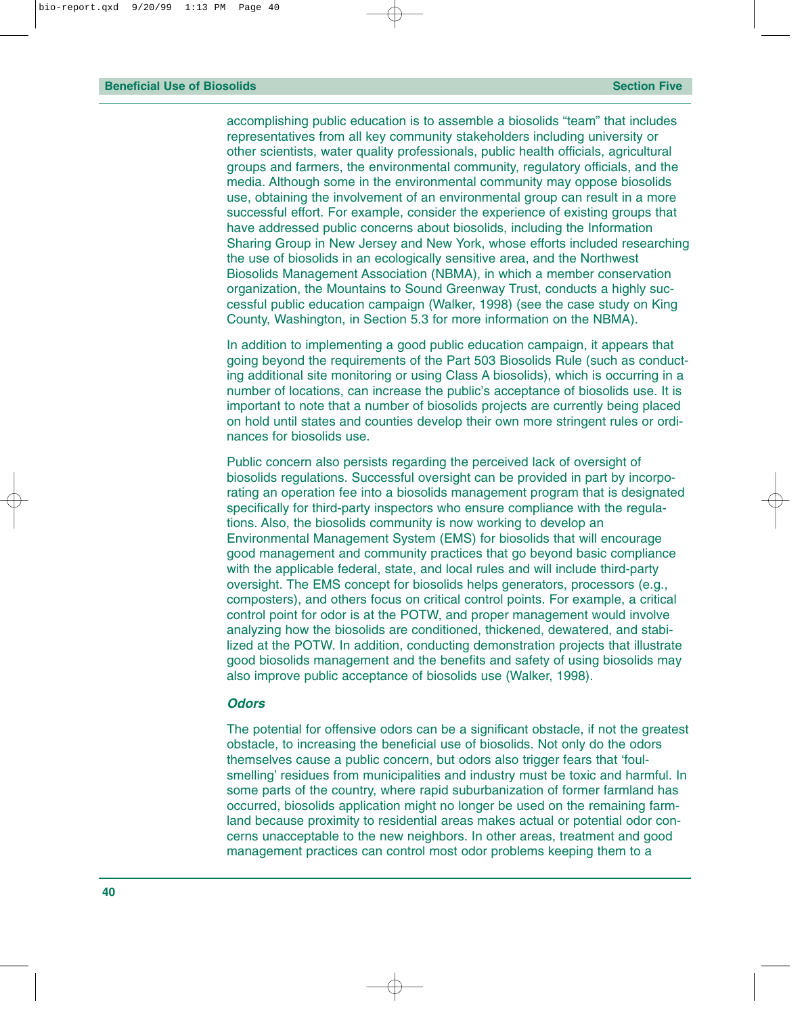accomplishing public education is to assemble a biosolids "team" that includes representatives from all key community stakeholders including university or other scientists, water quality professionals, public health officials, agricultural groups and farmers, the environmental community, regulatory officials, and the media. Although some in the environmental community may oppose biosolids use, obtaining the involvement of an environmental group can result in a more successful effort. For example, consider the experience of existing groups that have addressed public concerns about biosolids, including the Information Sharing Group in New Jersey and New York, whose efforts included researching the use of biosolids in an ecologically sensitive area, and the Northwest Biosolids Management Association (NBMA), in which a member conservation organization, the Mountains to Sound Greenway Trust, conducts a highly successful public education campaign (Walker, 1998) (see the case study on King County, Washington, in Section 5.3 for more information on the NBMA).

In addition to implementing a good public education campaign, it appears that going beyond the requirements of the Part 503 Biosolids Rule (such as conducting additional site monitoring or using Class A biosolids), which is occurring in a number of locations, can increase the public's acceptance of biosolids use. It is important to note that a number of biosolids projects are currently being placed on hold until states and counties develop their own more stringent rules or ordinances for biosolids use.

Public concern also persists regarding the perceived lack of oversight of biosolids regulations. Successful oversight can be provided in part by incorporating an operation fee into a biosolids management program that is designated specifically for third-party inspectors who ensure compliance with the regulations. Also, the biosolids community is now working to develop an Environmental Management System (EMS) for biosolids that will encourage good management and community practices that go beyond basic compliance with the applicable federal, state, and local rules and will include third-party oversight. The EMS concept for biosolids helps generators, processors (e.g., composters), and others focus on critical control points. For example, a critical control point for odor is at the POTW, and proper management would involve analyzing how the biosolids are conditioned, thickened, dewatered, and stabilized at the POTW. In addition, conducting demonstration projects that illustrate good biosolids management and the benefits and safety of using biosolids may also improve public acceptance of biosolids use (Walker, 1998).

#### *Odors*

The potential for offensive odors can be a significant obstacle, if not the greatest obstacle, to increasing the beneficial use of biosolids. Not only do the odors themselves cause a public concern, but odors also trigger fears that 'foulsmelling' residues from municipalities and industry must be toxic and harmful. In some parts of the country, where rapid suburbanization of former farmland has occurred, biosolids application might no longer be used on the remaining farmland because proximity to residential areas makes actual or potential odor concerns unacceptable to the new neighbors. In other areas, treatment and good management practices can control most odor problems keeping them to a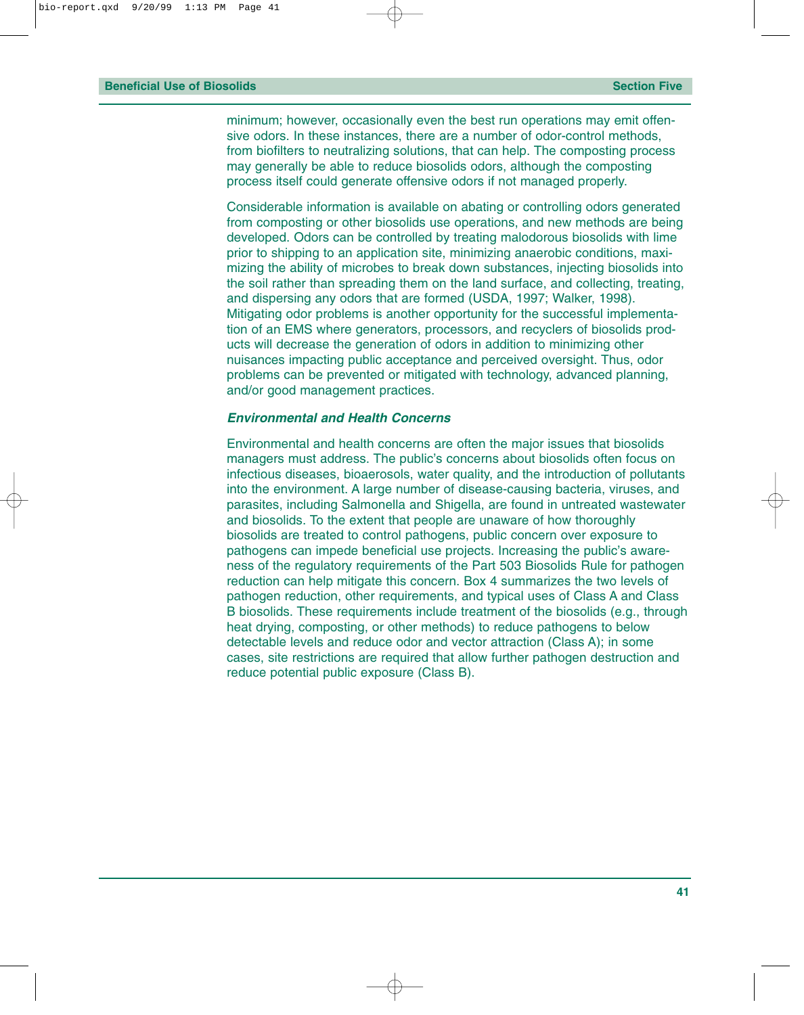minimum; however, occasionally even the best run operations may emit offensive odors. In these instances, there are a number of odor-control methods, from biofilters to neutralizing solutions, that can help. The composting process may generally be able to reduce biosolids odors, although the composting process itself could generate offensive odors if not managed properly.

Considerable information is available on abating or controlling odors generated from composting or other biosolids use operations, and new methods are being developed. Odors can be controlled by treating malodorous biosolids with lime prior to shipping to an application site, minimizing anaerobic conditions, maximizing the ability of microbes to break down substances, injecting biosolids into the soil rather than spreading them on the land surface, and collecting, treating, and dispersing any odors that are formed (USDA, 1997; Walker, 1998). Mitigating odor problems is another opportunity for the successful implementation of an EMS where generators, processors, and recyclers of biosolids products will decrease the generation of odors in addition to minimizing other nuisances impacting public acceptance and perceived oversight. Thus, odor problems can be prevented or mitigated with technology, advanced planning, and/or good management practices.

#### *Environmental and Health Concerns*

Environmental and health concerns are often the major issues that biosolids managers must address. The public's concerns about biosolids often focus on infectious diseases, bioaerosols, water quality, and the introduction of pollutants into the environment. A large number of disease-causing bacteria, viruses, and parasites, including Salmonella and Shigella, are found in untreated wastewater and biosolids. To the extent that people are unaware of how thoroughly biosolids are treated to control pathogens, public concern over exposure to pathogens can impede beneficial use projects. Increasing the public's awareness of the regulatory requirements of the Part 503 Biosolids Rule for pathogen reduction can help mitigate this concern. Box 4 summarizes the two levels of pathogen reduction, other requirements, and typical uses of Class A and Class B biosolids. These requirements include treatment of the biosolids (e.g., through heat drying, composting, or other methods) to reduce pathogens to below detectable levels and reduce odor and vector attraction (Class A); in some cases, site restrictions are required that allow further pathogen destruction and reduce potential public exposure (Class B).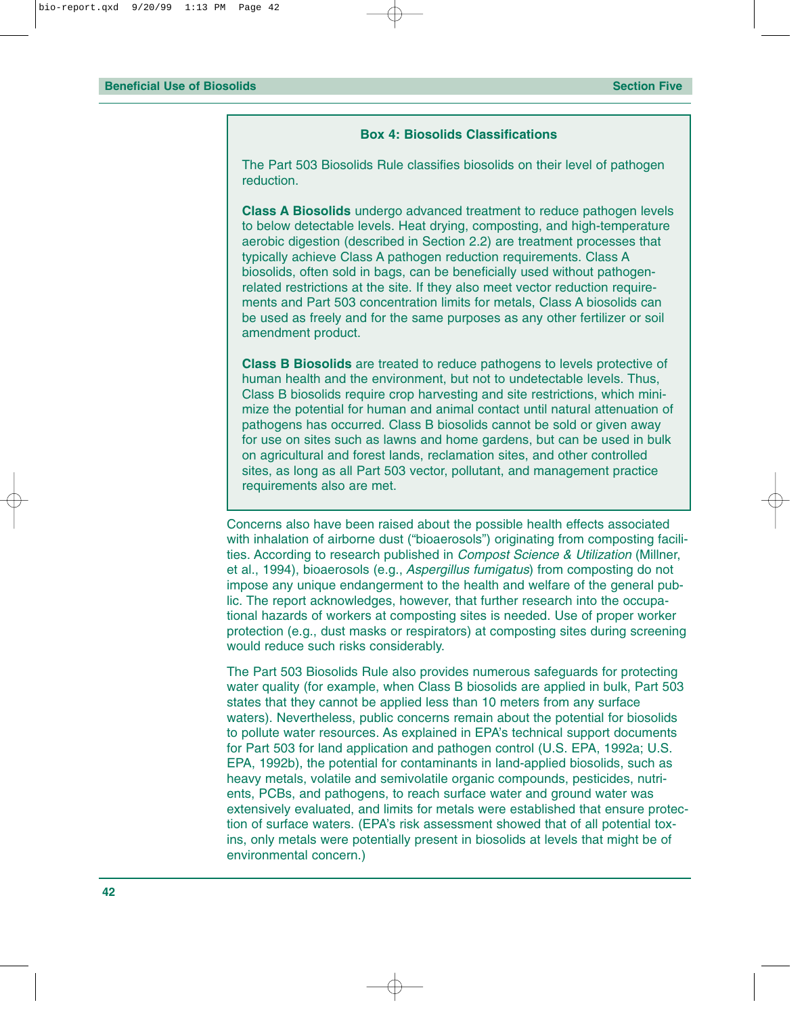#### **Box 4: Biosolids Classifications**

The Part 503 Biosolids Rule classifies biosolids on their level of pathogen reduction.

**Class A Biosolids** undergo advanced treatment to reduce pathogen levels to below detectable levels. Heat drying, composting, and high-temperature aerobic digestion (described in Section 2.2) are treatment processes that typically achieve Class A pathogen reduction requirements. Class A biosolids, often sold in bags, can be beneficially used without pathogenrelated restrictions at the site. If they also meet vector reduction requirements and Part 503 concentration limits for metals, Class A biosolids can be used as freely and for the same purposes as any other fertilizer or soil amendment product.

**Class B Biosolids** are treated to reduce pathogens to levels protective of human health and the environment, but not to undetectable levels. Thus, Class B biosolids require crop harvesting and site restrictions, which minimize the potential for human and animal contact until natural attenuation of pathogens has occurred. Class B biosolids cannot be sold or given away for use on sites such as lawns and home gardens, but can be used in bulk on agricultural and forest lands, reclamation sites, and other controlled sites, as long as all Part 503 vector, pollutant, and management practice requirements also are met.

Concerns also have been raised about the possible health effects associated with inhalation of airborne dust ("bioaerosols") originating from composting facilities. According to research published in *Compost Science & Utilization* (Millner, et al., 1994), bioaerosols (e.g., *Aspergillus fumigatus*) from composting do not impose any unique endangerment to the health and welfare of the general public. The report acknowledges, however, that further research into the occupational hazards of workers at composting sites is needed. Use of proper worker protection (e.g., dust masks or respirators) at composting sites during screening would reduce such risks considerably.

The Part 503 Biosolids Rule also provides numerous safeguards for protecting water quality (for example, when Class B biosolids are applied in bulk, Part 503 states that they cannot be applied less than 10 meters from any surface waters). Nevertheless, public concerns remain about the potential for biosolids to pollute water resources. As explained in EPA's technical support documents for Part 503 for land application and pathogen control (U.S. EPA, 1992a; U.S. EPA, 1992b), the potential for contaminants in land-applied biosolids, such as heavy metals, volatile and semivolatile organic compounds, pesticides, nutrients, PCBs, and pathogens, to reach surface water and ground water was extensively evaluated, and limits for metals were established that ensure protection of surface waters. (EPA's risk assessment showed that of all potential toxins, only metals were potentially present in biosolids at levels that might be of environmental concern.)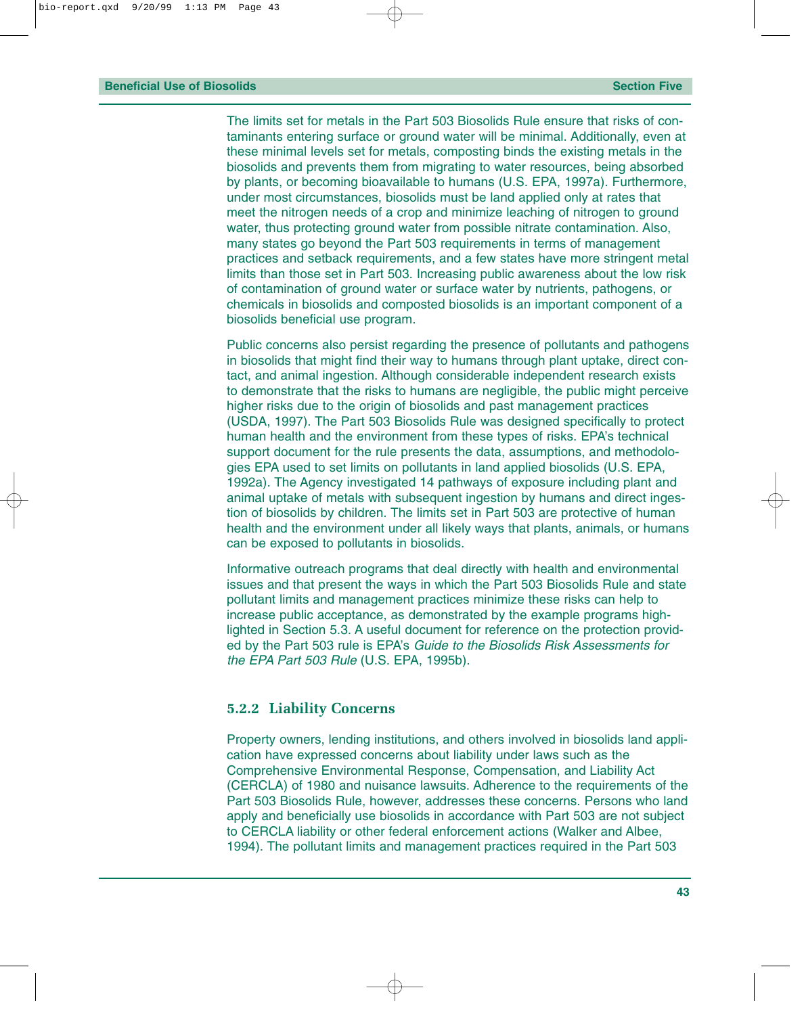The limits set for metals in the Part 503 Biosolids Rule ensure that risks of contaminants entering surface or ground water will be minimal. Additionally, even at these minimal levels set for metals, composting binds the existing metals in the biosolids and prevents them from migrating to water resources, being absorbed by plants, or becoming bioavailable to humans (U.S. EPA, 1997a). Furthermore, under most circumstances, biosolids must be land applied only at rates that meet the nitrogen needs of a crop and minimize leaching of nitrogen to ground water, thus protecting ground water from possible nitrate contamination. Also, many states go beyond the Part 503 requirements in terms of management practices and setback requirements, and a few states have more stringent metal limits than those set in Part 503. Increasing public awareness about the low risk of contamination of ground water or surface water by nutrients, pathogens, or chemicals in biosolids and composted biosolids is an important component of a biosolids beneficial use program.

Public concerns also persist regarding the presence of pollutants and pathogens in biosolids that might find their way to humans through plant uptake, direct contact, and animal ingestion. Although considerable independent research exists to demonstrate that the risks to humans are negligible, the public might perceive higher risks due to the origin of biosolids and past management practices (USDA, 1997). The Part 503 Biosolids Rule was designed specifically to protect human health and the environment from these types of risks. EPA's technical support document for the rule presents the data, assumptions, and methodologies EPA used to set limits on pollutants in land applied biosolids (U.S. EPA, 1992a). The Agency investigated 14 pathways of exposure including plant and animal uptake of metals with subsequent ingestion by humans and direct ingestion of biosolids by children. The limits set in Part 503 are protective of human health and the environment under all likely ways that plants, animals, or humans can be exposed to pollutants in biosolids.

Informative outreach programs that deal directly with health and environmental issues and that present the ways in which the Part 503 Biosolids Rule and state pollutant limits and management practices minimize these risks can help to increase public acceptance, as demonstrated by the example programs highlighted in Section 5.3. A useful document for reference on the protection provided by the Part 503 rule is EPA's *Guide to the Biosolids Risk Assessments for the EPA Part 503 Rule* (U.S. EPA, 1995b).

#### **5.2.2 Liability Concerns**

Property owners, lending institutions, and others involved in biosolids land application have expressed concerns about liability under laws such as the Comprehensive Environmental Response, Compensation, and Liability Act (CERCLA) of 1980 and nuisance lawsuits. Adherence to the requirements of the Part 503 Biosolids Rule, however, addresses these concerns. Persons who land apply and beneficially use biosolids in accordance with Part 503 are not subject to CERCLA liability or other federal enforcement actions (Walker and Albee, 1994). The pollutant limits and management practices required in the Part 503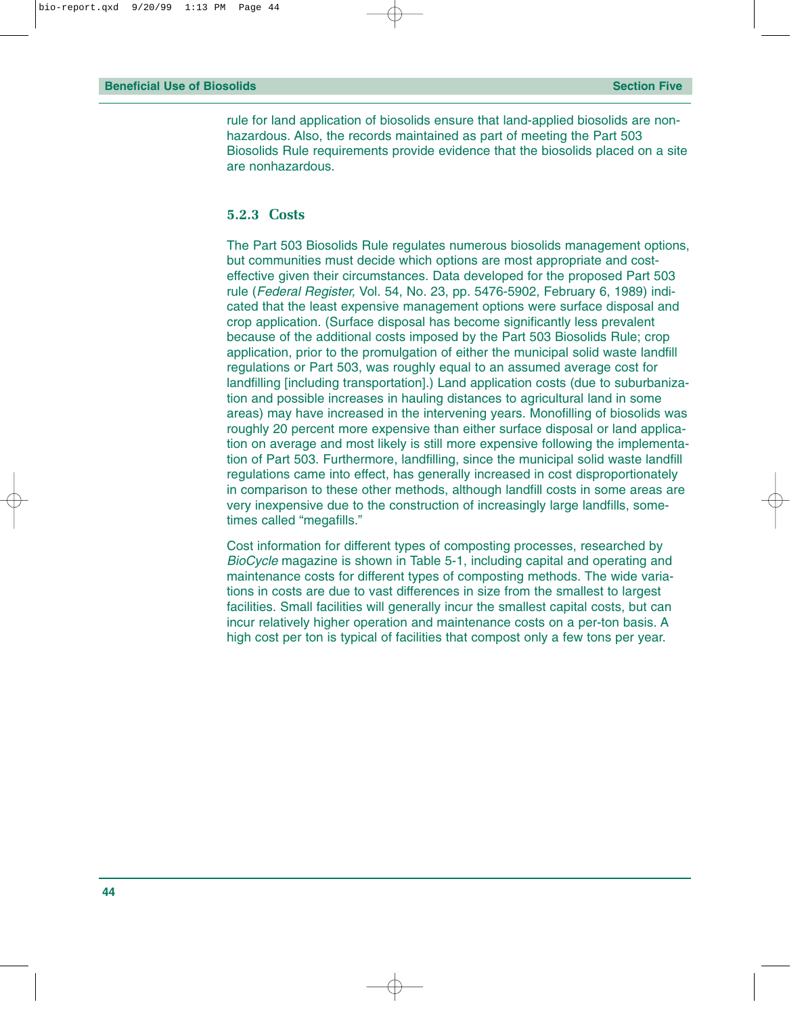rule for land application of biosolids ensure that land-applied biosolids are nonhazardous. Also, the records maintained as part of meeting the Part 503 Biosolids Rule requirements provide evidence that the biosolids placed on a site are nonhazardous.

#### **5.2.3 Costs**

The Part 503 Biosolids Rule regulates numerous biosolids management options, but communities must decide which options are most appropriate and costeffective given their circumstances. Data developed for the proposed Part 503 rule (*Federal Register,* Vol. 54, No. 23, pp. 5476-5902, February 6, 1989) indicated that the least expensive management options were surface disposal and crop application. (Surface disposal has become significantly less prevalent because of the additional costs imposed by the Part 503 Biosolids Rule; crop application, prior to the promulgation of either the municipal solid waste landfill regulations or Part 503, was roughly equal to an assumed average cost for landfilling [including transportation].) Land application costs (due to suburbanization and possible increases in hauling distances to agricultural land in some areas) may have increased in the intervening years. Monofilling of biosolids was roughly 20 percent more expensive than either surface disposal or land application on average and most likely is still more expensive following the implementation of Part 503. Furthermore, landfilling, since the municipal solid waste landfill regulations came into effect, has generally increased in cost disproportionately in comparison to these other methods, although landfill costs in some areas are very inexpensive due to the construction of increasingly large landfills, sometimes called "megafills."

Cost information for different types of composting processes, researched by *BioCycle* magazine is shown in Table 5-1, including capital and operating and maintenance costs for different types of composting methods. The wide variations in costs are due to vast differences in size from the smallest to largest facilities. Small facilities will generally incur the smallest capital costs, but can incur relatively higher operation and maintenance costs on a per-ton basis. A high cost per ton is typical of facilities that compost only a few tons per year.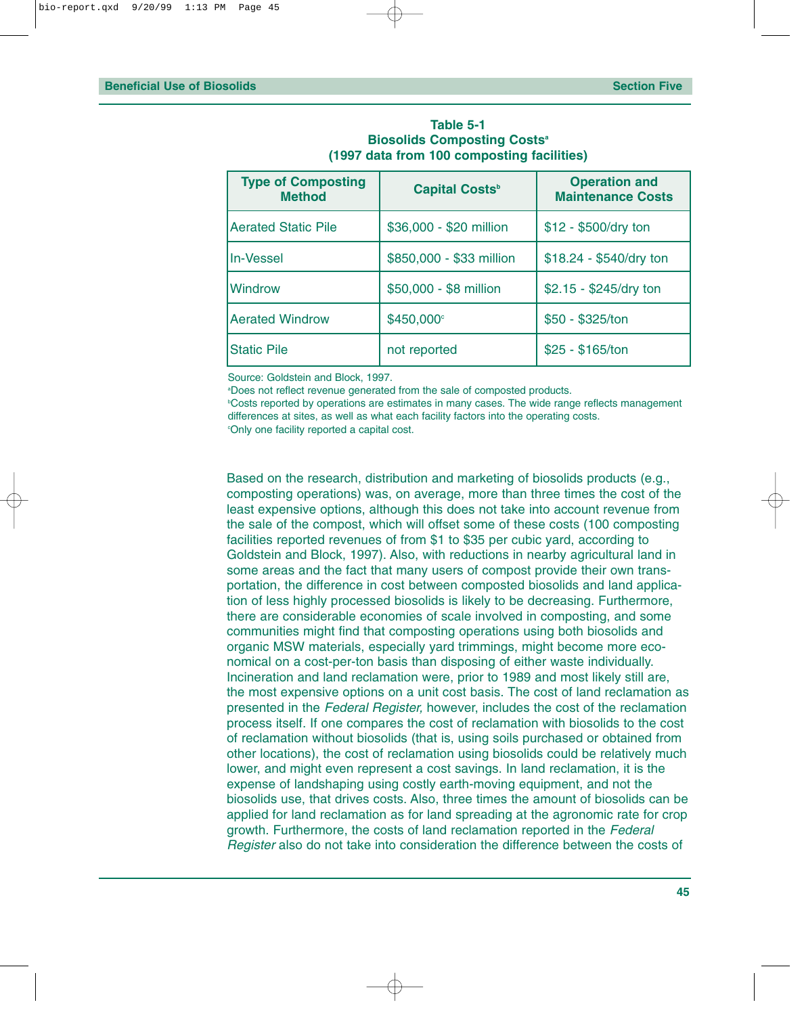| <b>Type of Composting</b><br><b>Method</b> | <b>Capital Costs</b> <sup>b</sup> | <b>Operation and</b><br><b>Maintenance Costs</b> |  |  |
|--------------------------------------------|-----------------------------------|--------------------------------------------------|--|--|
| <b>Aerated Static Pile</b>                 | \$36,000 - \$20 million           | \$12 - \$500/dry ton                             |  |  |
| <b>In-Vessel</b>                           | \$850,000 - \$33 million          | \$18.24 - \$540/dry ton                          |  |  |
| <b>Windrow</b>                             | \$50,000 - \$8 million            | \$2.15 - \$245/dry ton                           |  |  |
| <b>Aerated Windrow</b>                     | \$450,000°                        | \$50 - \$325/ton                                 |  |  |
| <b>Static Pile</b>                         | not reported                      | \$25 - \$165/ton                                 |  |  |

#### **Table 5-1 Biosolids Composting Costs<sup>a</sup> (1997 data from 100 composting facilities)**

Source: Goldstein and Block, 1997.

a Does not reflect revenue generated from the sale of composted products.

b Costs reported by operations are estimates in many cases. The wide range reflects management differences at sites, as well as what each facility factors into the operating costs.

c Only one facility reported a capital cost.

Based on the research, distribution and marketing of biosolids products (e.g., composting operations) was, on average, more than three times the cost of the least expensive options, although this does not take into account revenue from the sale of the compost, which will offset some of these costs (100 composting facilities reported revenues of from \$1 to \$35 per cubic yard, according to Goldstein and Block, 1997). Also, with reductions in nearby agricultural land in some areas and the fact that many users of compost provide their own transportation, the difference in cost between composted biosolids and land application of less highly processed biosolids is likely to be decreasing. Furthermore, there are considerable economies of scale involved in composting, and some communities might find that composting operations using both biosolids and organic MSW materials, especially yard trimmings, might become more economical on a cost-per-ton basis than disposing of either waste individually. Incineration and land reclamation were, prior to 1989 and most likely still are, the most expensive options on a unit cost basis. The cost of land reclamation as presented in the *Federal Register,* however, includes the cost of the reclamation process itself. If one compares the cost of reclamation with biosolids to the cost of reclamation without biosolids (that is, using soils purchased or obtained from other locations), the cost of reclamation using biosolids could be relatively much lower, and might even represent a cost savings. In land reclamation, it is the expense of landshaping using costly earth-moving equipment, and not the biosolids use, that drives costs. Also, three times the amount of biosolids can be applied for land reclamation as for land spreading at the agronomic rate for crop growth. Furthermore, the costs of land reclamation reported in the *Federal Register* also do not take into consideration the difference between the costs of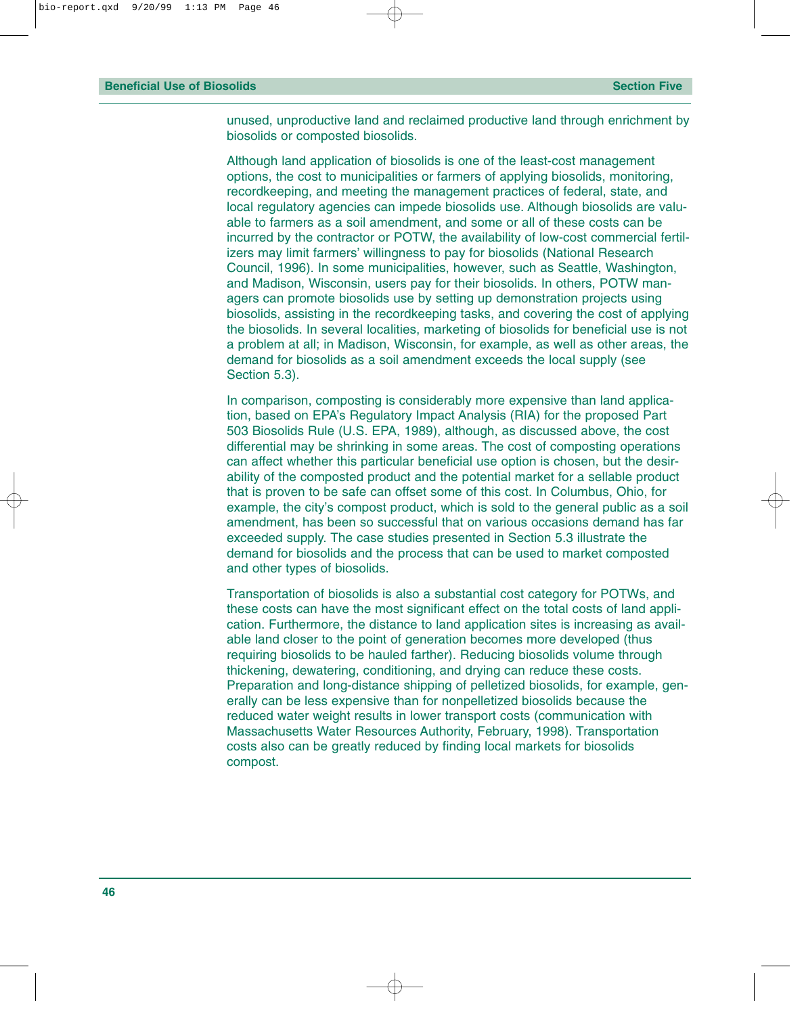unused, unproductive land and reclaimed productive land through enrichment by biosolids or composted biosolids.

Although land application of biosolids is one of the least-cost management options, the cost to municipalities or farmers of applying biosolids, monitoring, recordkeeping, and meeting the management practices of federal, state, and local regulatory agencies can impede biosolids use. Although biosolids are valuable to farmers as a soil amendment, and some or all of these costs can be incurred by the contractor or POTW, the availability of low-cost commercial fertilizers may limit farmers' willingness to pay for biosolids (National Research Council, 1996). In some municipalities, however, such as Seattle, Washington, and Madison, Wisconsin, users pay for their biosolids. In others, POTW managers can promote biosolids use by setting up demonstration projects using biosolids, assisting in the recordkeeping tasks, and covering the cost of applying the biosolids. In several localities, marketing of biosolids for beneficial use is not a problem at all; in Madison, Wisconsin, for example, as well as other areas, the demand for biosolids as a soil amendment exceeds the local supply (see Section 5.3).

In comparison, composting is considerably more expensive than land application, based on EPA's Regulatory Impact Analysis (RIA) for the proposed Part 503 Biosolids Rule (U.S. EPA, 1989), although, as discussed above, the cost differential may be shrinking in some areas. The cost of composting operations can affect whether this particular beneficial use option is chosen, but the desirability of the composted product and the potential market for a sellable product that is proven to be safe can offset some of this cost. In Columbus, Ohio, for example, the city's compost product, which is sold to the general public as a soil amendment, has been so successful that on various occasions demand has far exceeded supply. The case studies presented in Section 5.3 illustrate the demand for biosolids and the process that can be used to market composted and other types of biosolids.

Transportation of biosolids is also a substantial cost category for POTWs, and these costs can have the most significant effect on the total costs of land application. Furthermore, the distance to land application sites is increasing as available land closer to the point of generation becomes more developed (thus requiring biosolids to be hauled farther). Reducing biosolids volume through thickening, dewatering, conditioning, and drying can reduce these costs. Preparation and long-distance shipping of pelletized biosolids, for example, generally can be less expensive than for nonpelletized biosolids because the reduced water weight results in lower transport costs (communication with Massachusetts Water Resources Authority, February, 1998). Transportation costs also can be greatly reduced by finding local markets for biosolids compost.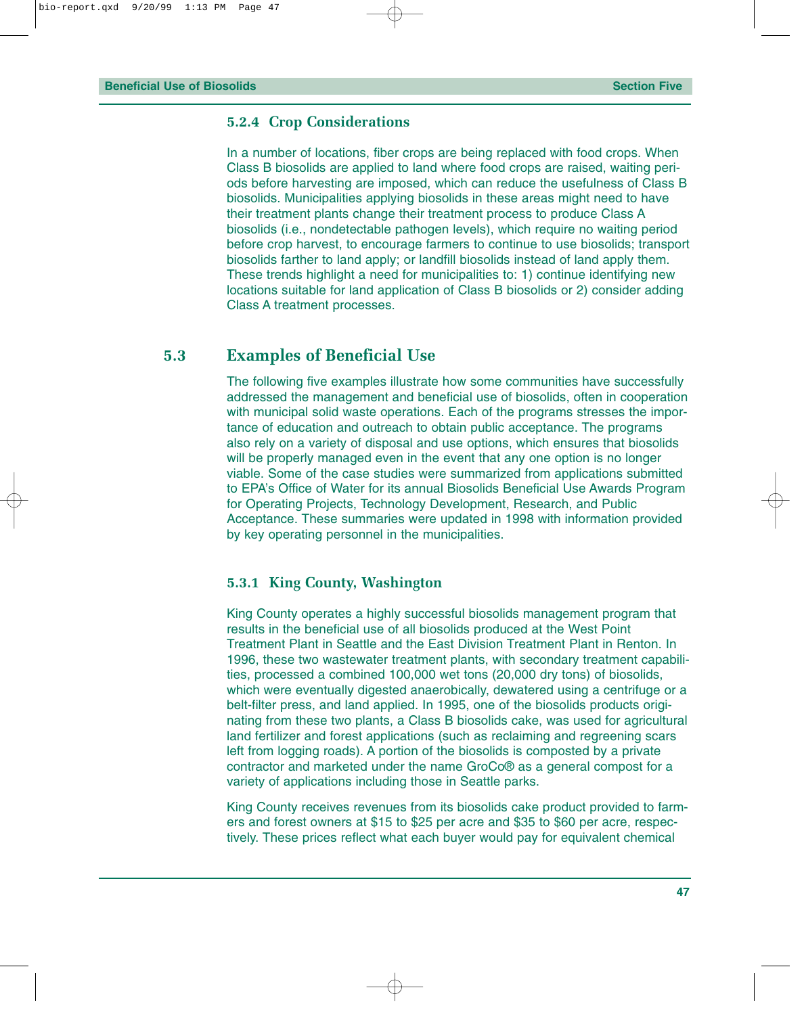#### **5.2.4 Crop Considerations**

In a number of locations, fiber crops are being replaced with food crops. When Class B biosolids are applied to land where food crops are raised, waiting periods before harvesting are imposed, which can reduce the usefulness of Class B biosolids. Municipalities applying biosolids in these areas might need to have their treatment plants change their treatment process to produce Class A biosolids (i.e., nondetectable pathogen levels), which require no waiting period before crop harvest, to encourage farmers to continue to use biosolids; transport biosolids farther to land apply; or landfill biosolids instead of land apply them. These trends highlight a need for municipalities to: 1) continue identifying new locations suitable for land application of Class B biosolids or 2) consider adding Class A treatment processes.

#### **5.3 Examples of Beneficial Use**

The following five examples illustrate how some communities have successfully addressed the management and beneficial use of biosolids, often in cooperation with municipal solid waste operations. Each of the programs stresses the importance of education and outreach to obtain public acceptance. The programs also rely on a variety of disposal and use options, which ensures that biosolids will be properly managed even in the event that any one option is no longer viable. Some of the case studies were summarized from applications submitted to EPA's Office of Water for its annual Biosolids Beneficial Use Awards Program for Operating Projects, Technology Development, Research, and Public Acceptance. These summaries were updated in 1998 with information provided by key operating personnel in the municipalities.

#### **5.3.1 King County, Washington**

King County operates a highly successful biosolids management program that results in the beneficial use of all biosolids produced at the West Point Treatment Plant in Seattle and the East Division Treatment Plant in Renton. In 1996, these two wastewater treatment plants, with secondary treatment capabilities, processed a combined 100,000 wet tons (20,000 dry tons) of biosolids, which were eventually digested anaerobically, dewatered using a centrifuge or a belt-filter press, and land applied. In 1995, one of the biosolids products originating from these two plants, a Class B biosolids cake, was used for agricultural land fertilizer and forest applications (such as reclaiming and regreening scars left from logging roads). A portion of the biosolids is composted by a private contractor and marketed under the name GroCo® as a general compost for a variety of applications including those in Seattle parks.

King County receives revenues from its biosolids cake product provided to farmers and forest owners at \$15 to \$25 per acre and \$35 to \$60 per acre, respectively. These prices reflect what each buyer would pay for equivalent chemical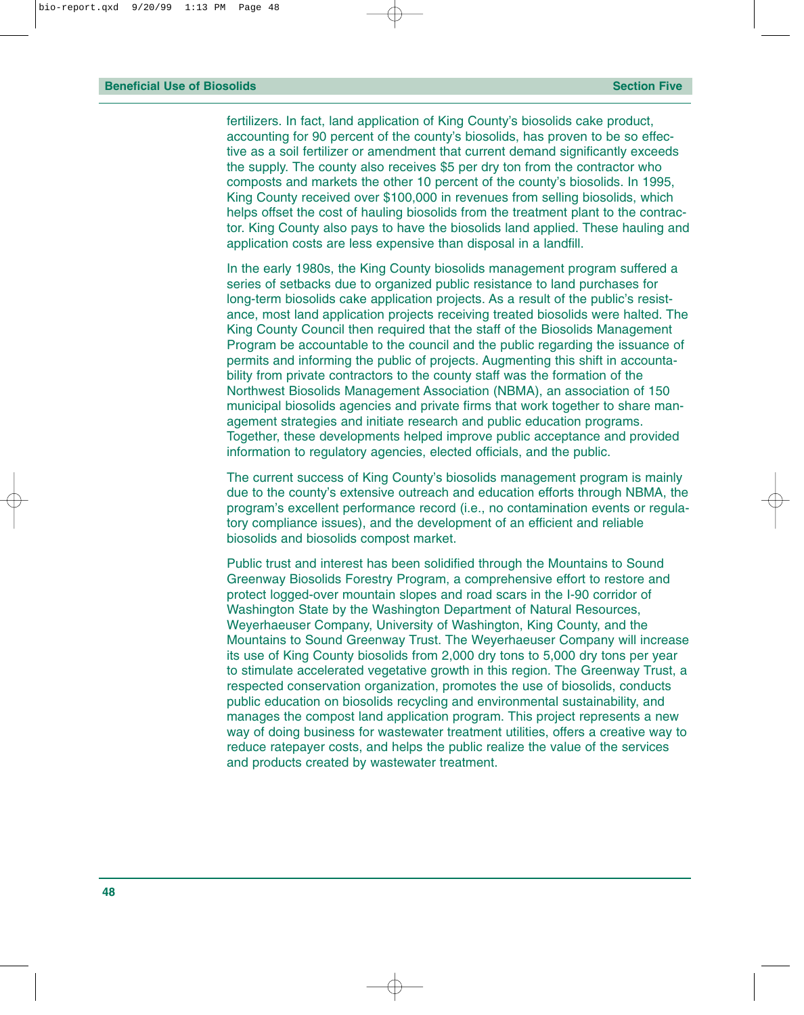fertilizers. In fact, land application of King County's biosolids cake product, accounting for 90 percent of the county's biosolids, has proven to be so effective as a soil fertilizer or amendment that current demand significantly exceeds the supply. The county also receives \$5 per dry ton from the contractor who composts and markets the other 10 percent of the county's biosolids. In 1995, King County received over \$100,000 in revenues from selling biosolids, which helps offset the cost of hauling biosolids from the treatment plant to the contractor. King County also pays to have the biosolids land applied. These hauling and application costs are less expensive than disposal in a landfill.

In the early 1980s, the King County biosolids management program suffered a series of setbacks due to organized public resistance to land purchases for long-term biosolids cake application projects. As a result of the public's resistance, most land application projects receiving treated biosolids were halted. The King County Council then required that the staff of the Biosolids Management Program be accountable to the council and the public regarding the issuance of permits and informing the public of projects. Augmenting this shift in accountability from private contractors to the county staff was the formation of the Northwest Biosolids Management Association (NBMA), an association of 150 municipal biosolids agencies and private firms that work together to share management strategies and initiate research and public education programs. Together, these developments helped improve public acceptance and provided information to regulatory agencies, elected officials, and the public.

The current success of King County's biosolids management program is mainly due to the county's extensive outreach and education efforts through NBMA, the program's excellent performance record (i.e., no contamination events or regulatory compliance issues), and the development of an efficient and reliable biosolids and biosolids compost market.

Public trust and interest has been solidified through the Mountains to Sound Greenway Biosolids Forestry Program, a comprehensive effort to restore and protect logged-over mountain slopes and road scars in the I-90 corridor of Washington State by the Washington Department of Natural Resources, Weyerhaeuser Company, University of Washington, King County, and the Mountains to Sound Greenway Trust. The Weyerhaeuser Company will increase its use of King County biosolids from 2,000 dry tons to 5,000 dry tons per year to stimulate accelerated vegetative growth in this region. The Greenway Trust, a respected conservation organization, promotes the use of biosolids, conducts public education on biosolids recycling and environmental sustainability, and manages the compost land application program. This project represents a new way of doing business for wastewater treatment utilities, offers a creative way to reduce ratepayer costs, and helps the public realize the value of the services and products created by wastewater treatment.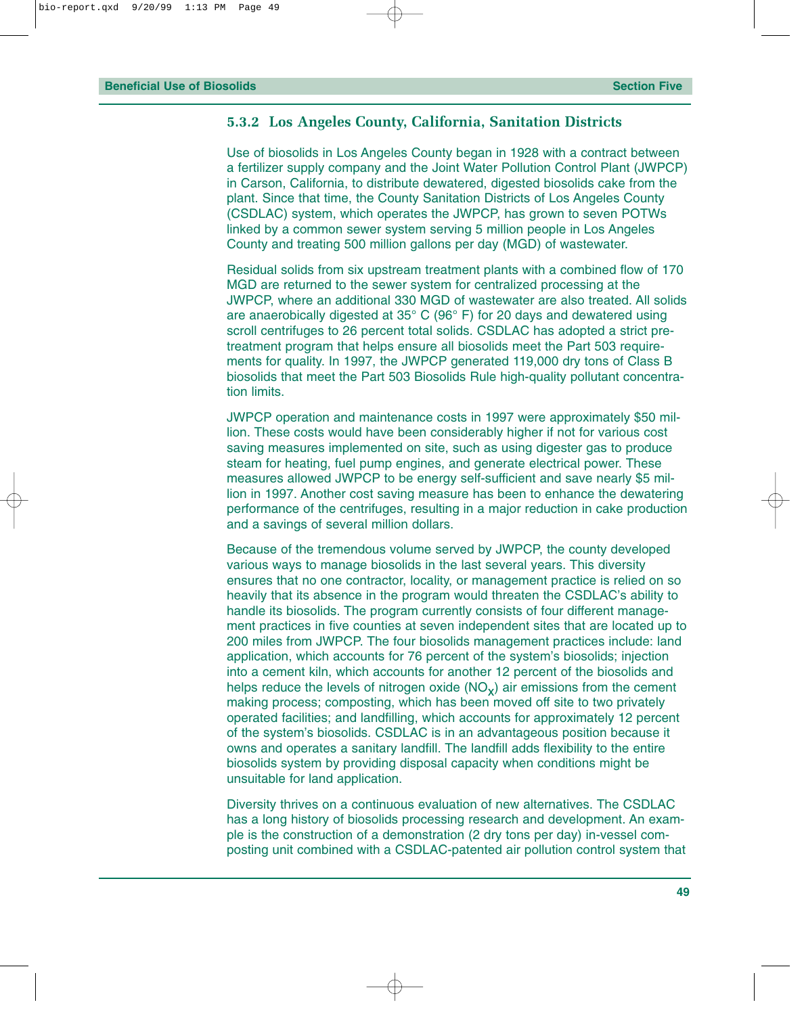#### **5.3.2 Los Angeles County, California, Sanitation Districts**

Use of biosolids in Los Angeles County began in 1928 with a contract between a fertilizer supply company and the Joint Water Pollution Control Plant (JWPCP) in Carson, California, to distribute dewatered, digested biosolids cake from the plant. Since that time, the County Sanitation Districts of Los Angeles County (CSDLAC) system, which operates the JWPCP, has grown to seven POTWs linked by a common sewer system serving 5 million people in Los Angeles County and treating 500 million gallons per day (MGD) of wastewater.

Residual solids from six upstream treatment plants with a combined flow of 170 MGD are returned to the sewer system for centralized processing at the JWPCP, where an additional 330 MGD of wastewater are also treated. All solids are anaerobically digested at  $35^{\circ}$  C (96 $^{\circ}$  F) for 20 days and dewatered using scroll centrifuges to 26 percent total solids. CSDLAC has adopted a strict pretreatment program that helps ensure all biosolids meet the Part 503 requirements for quality. In 1997, the JWPCP generated 119,000 dry tons of Class B biosolids that meet the Part 503 Biosolids Rule high-quality pollutant concentration limits.

JWPCP operation and maintenance costs in 1997 were approximately \$50 million. These costs would have been considerably higher if not for various cost saving measures implemented on site, such as using digester gas to produce steam for heating, fuel pump engines, and generate electrical power. These measures allowed JWPCP to be energy self-sufficient and save nearly \$5 million in 1997. Another cost saving measure has been to enhance the dewatering performance of the centrifuges, resulting in a major reduction in cake production and a savings of several million dollars.

Because of the tremendous volume served by JWPCP, the county developed various ways to manage biosolids in the last several years. This diversity ensures that no one contractor, locality, or management practice is relied on so heavily that its absence in the program would threaten the CSDLAC's ability to handle its biosolids. The program currently consists of four different management practices in five counties at seven independent sites that are located up to 200 miles from JWPCP. The four biosolids management practices include: land application, which accounts for 76 percent of the system's biosolids; injection into a cement kiln, which accounts for another 12 percent of the biosolids and helps reduce the levels of nitrogen oxide  $(NO_x)$  air emissions from the cement making process; composting, which has been moved off site to two privately operated facilities; and landfilling, which accounts for approximately 12 percent of the system's biosolids. CSDLAC is in an advantageous position because it owns and operates a sanitary landfill. The landfill adds flexibility to the entire biosolids system by providing disposal capacity when conditions might be unsuitable for land application.

Diversity thrives on a continuous evaluation of new alternatives. The CSDLAC has a long history of biosolids processing research and development. An example is the construction of a demonstration (2 dry tons per day) in-vessel composting unit combined with a CSDLAC-patented air pollution control system that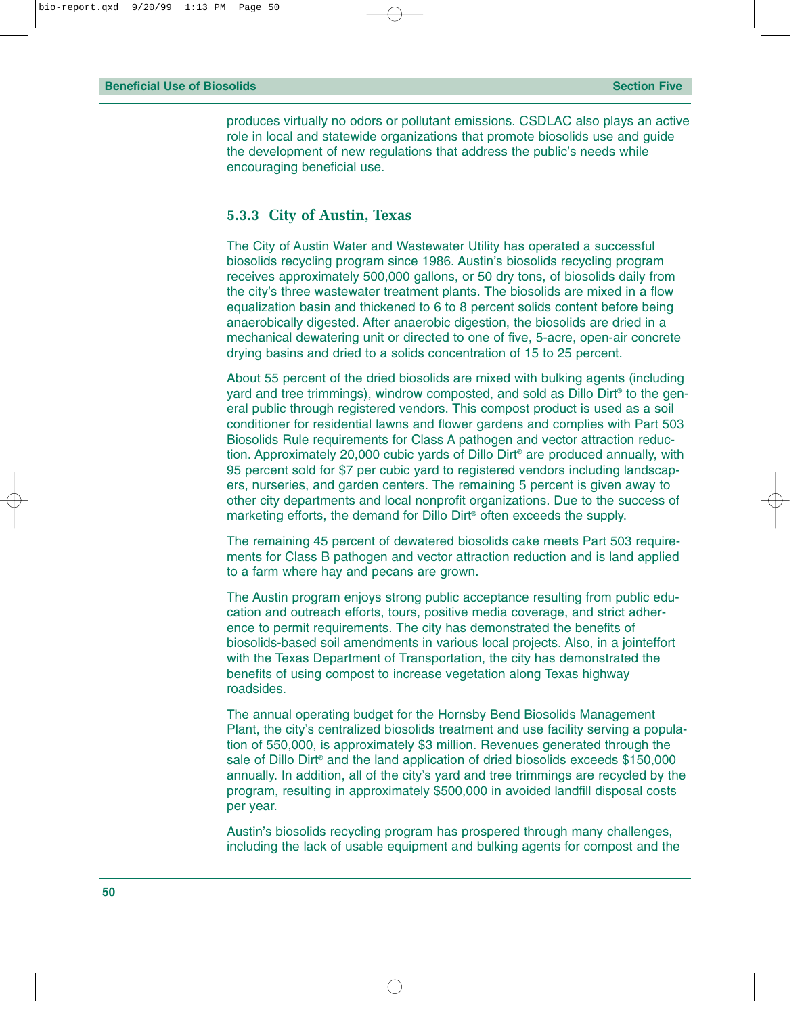produces virtually no odors or pollutant emissions. CSDLAC also plays an active role in local and statewide organizations that promote biosolids use and guide the development of new regulations that address the public's needs while encouraging beneficial use.

#### **5.3.3 City of Austin, Texas**

The City of Austin Water and Wastewater Utility has operated a successful biosolids recycling program since 1986. Austin's biosolids recycling program receives approximately 500,000 gallons, or 50 dry tons, of biosolids daily from the city's three wastewater treatment plants. The biosolids are mixed in a flow equalization basin and thickened to 6 to 8 percent solids content before being anaerobically digested. After anaerobic digestion, the biosolids are dried in a mechanical dewatering unit or directed to one of five, 5-acre, open-air concrete drying basins and dried to a solids concentration of 15 to 25 percent.

About 55 percent of the dried biosolids are mixed with bulking agents (including yard and tree trimmings), windrow composted, and sold as Dillo Dirt® to the general public through registered vendors. This compost product is used as a soil conditioner for residential lawns and flower gardens and complies with Part 503 Biosolids Rule requirements for Class A pathogen and vector attraction reduction. Approximately 20,000 cubic yards of Dillo Dirt® are produced annually, with 95 percent sold for \$7 per cubic yard to registered vendors including landscapers, nurseries, and garden centers. The remaining 5 percent is given away to other city departments and local nonprofit organizations. Due to the success of marketing efforts, the demand for Dillo Dirt® often exceeds the supply.

The remaining 45 percent of dewatered biosolids cake meets Part 503 requirements for Class B pathogen and vector attraction reduction and is land applied to a farm where hay and pecans are grown.

The Austin program enjoys strong public acceptance resulting from public education and outreach efforts, tours, positive media coverage, and strict adherence to permit requirements. The city has demonstrated the benefits of biosolids-based soil amendments in various local projects. Also, in a jointeffort with the Texas Department of Transportation, the city has demonstrated the benefits of using compost to increase vegetation along Texas highway roadsides.

The annual operating budget for the Hornsby Bend Biosolids Management Plant, the city's centralized biosolids treatment and use facility serving a population of 550,000, is approximately \$3 million. Revenues generated through the sale of Dillo Dirt® and the land application of dried biosolids exceeds \$150,000 annually. In addition, all of the city's yard and tree trimmings are recycled by the program, resulting in approximately \$500,000 in avoided landfill disposal costs per year.

Austin's biosolids recycling program has prospered through many challenges, including the lack of usable equipment and bulking agents for compost and the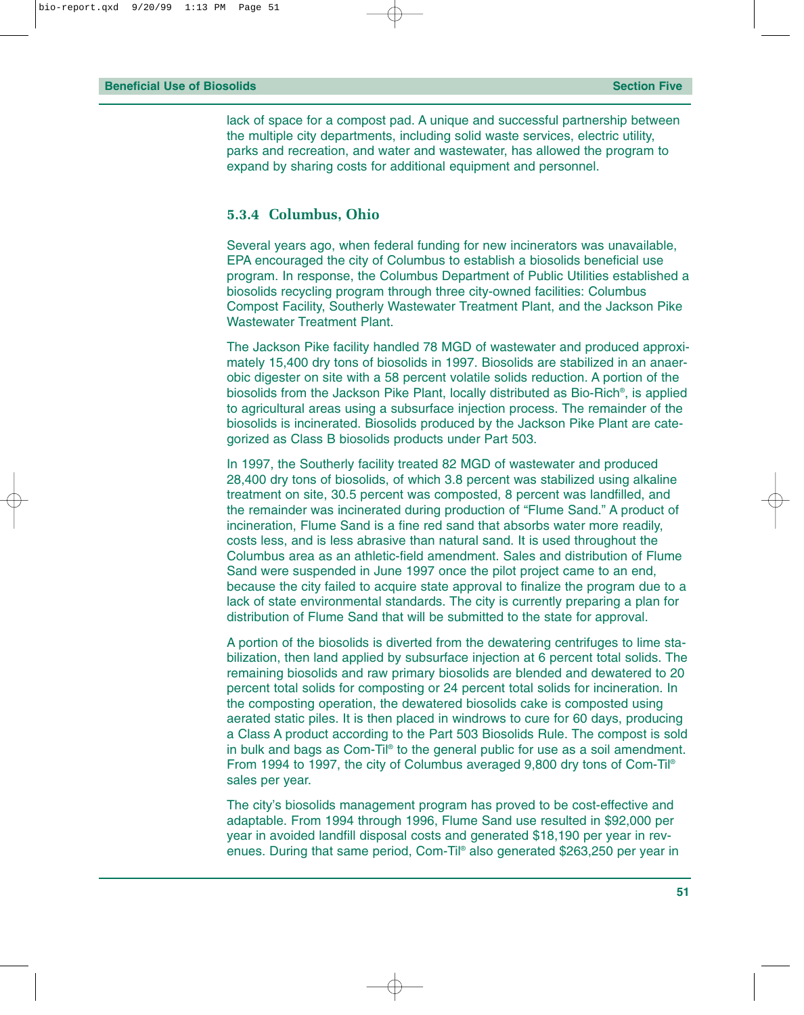lack of space for a compost pad. A unique and successful partnership between the multiple city departments, including solid waste services, electric utility, parks and recreation, and water and wastewater, has allowed the program to expand by sharing costs for additional equipment and personnel.

#### **5.3.4 Columbus, Ohio**

Several years ago, when federal funding for new incinerators was unavailable, EPA encouraged the city of Columbus to establish a biosolids beneficial use program. In response, the Columbus Department of Public Utilities established a biosolids recycling program through three city-owned facilities: Columbus Compost Facility, Southerly Wastewater Treatment Plant, and the Jackson Pike Wastewater Treatment Plant.

The Jackson Pike facility handled 78 MGD of wastewater and produced approximately 15,400 dry tons of biosolids in 1997. Biosolids are stabilized in an anaerobic digester on site with a 58 percent volatile solids reduction. A portion of the biosolids from the Jackson Pike Plant, locally distributed as Bio-Rich®, is applied to agricultural areas using a subsurface injection process. The remainder of the biosolids is incinerated. Biosolids produced by the Jackson Pike Plant are categorized as Class B biosolids products under Part 503.

In 1997, the Southerly facility treated 82 MGD of wastewater and produced 28,400 dry tons of biosolids, of which 3.8 percent was stabilized using alkaline treatment on site, 30.5 percent was composted, 8 percent was landfilled, and the remainder was incinerated during production of "Flume Sand." A product of incineration, Flume Sand is a fine red sand that absorbs water more readily, costs less, and is less abrasive than natural sand. It is used throughout the Columbus area as an athletic-field amendment. Sales and distribution of Flume Sand were suspended in June 1997 once the pilot project came to an end, because the city failed to acquire state approval to finalize the program due to a lack of state environmental standards. The city is currently preparing a plan for distribution of Flume Sand that will be submitted to the state for approval.

A portion of the biosolids is diverted from the dewatering centrifuges to lime stabilization, then land applied by subsurface injection at 6 percent total solids. The remaining biosolids and raw primary biosolids are blended and dewatered to 20 percent total solids for composting or 24 percent total solids for incineration. In the composting operation, the dewatered biosolids cake is composted using aerated static piles. It is then placed in windrows to cure for 60 days, producing a Class A product according to the Part 503 Biosolids Rule. The compost is sold in bulk and bags as Com-Til® to the general public for use as a soil amendment. From 1994 to 1997, the city of Columbus averaged 9,800 dry tons of Com-Til® sales per year.

The city's biosolids management program has proved to be cost-effective and adaptable. From 1994 through 1996, Flume Sand use resulted in \$92,000 per year in avoided landfill disposal costs and generated \$18,190 per year in revenues. During that same period, Com-Til® also generated \$263,250 per year in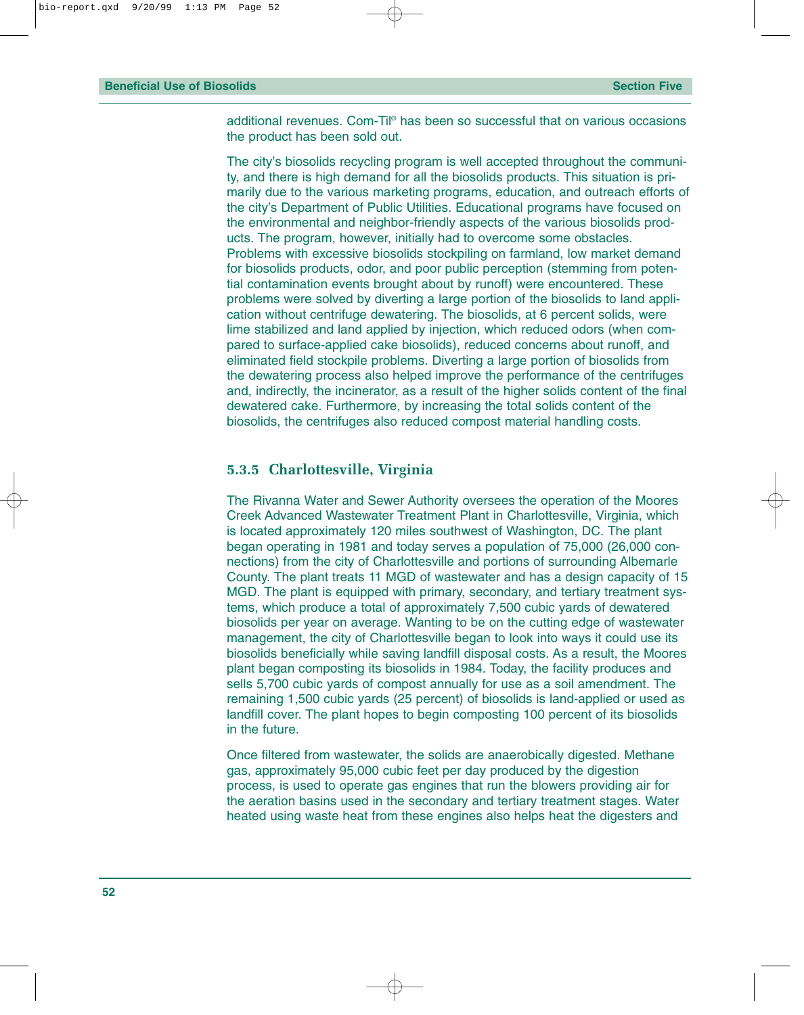additional revenues. Com-Til® has been so successful that on various occasions the product has been sold out.

The city's biosolids recycling program is well accepted throughout the community, and there is high demand for all the biosolids products. This situation is primarily due to the various marketing programs, education, and outreach efforts of the city's Department of Public Utilities. Educational programs have focused on the environmental and neighbor-friendly aspects of the various biosolids products. The program, however, initially had to overcome some obstacles. Problems with excessive biosolids stockpiling on farmland, low market demand for biosolids products, odor, and poor public perception (stemming from potential contamination events brought about by runoff) were encountered. These problems were solved by diverting a large portion of the biosolids to land application without centrifuge dewatering. The biosolids, at 6 percent solids, were lime stabilized and land applied by injection, which reduced odors (when compared to surface-applied cake biosolids), reduced concerns about runoff, and eliminated field stockpile problems. Diverting a large portion of biosolids from the dewatering process also helped improve the performance of the centrifuges and, indirectly, the incinerator, as a result of the higher solids content of the final dewatered cake. Furthermore, by increasing the total solids content of the biosolids, the centrifuges also reduced compost material handling costs.

#### **5.3.5 Charlottesville, Virginia**

The Rivanna Water and Sewer Authority oversees the operation of the Moores Creek Advanced Wastewater Treatment Plant in Charlottesville, Virginia, which is located approximately 120 miles southwest of Washington, DC. The plant began operating in 1981 and today serves a population of 75,000 (26,000 connections) from the city of Charlottesville and portions of surrounding Albemarle County. The plant treats 11 MGD of wastewater and has a design capacity of 15 MGD. The plant is equipped with primary, secondary, and tertiary treatment systems, which produce a total of approximately 7,500 cubic yards of dewatered biosolids per year on average. Wanting to be on the cutting edge of wastewater management, the city of Charlottesville began to look into ways it could use its biosolids beneficially while saving landfill disposal costs. As a result, the Moores plant began composting its biosolids in 1984. Today, the facility produces and sells 5,700 cubic yards of compost annually for use as a soil amendment. The remaining 1,500 cubic yards (25 percent) of biosolids is land-applied or used as landfill cover. The plant hopes to begin composting 100 percent of its biosolids in the future.

Once filtered from wastewater, the solids are anaerobically digested. Methane gas, approximately 95,000 cubic feet per day produced by the digestion process, is used to operate gas engines that run the blowers providing air for the aeration basins used in the secondary and tertiary treatment stages. Water heated using waste heat from these engines also helps heat the digesters and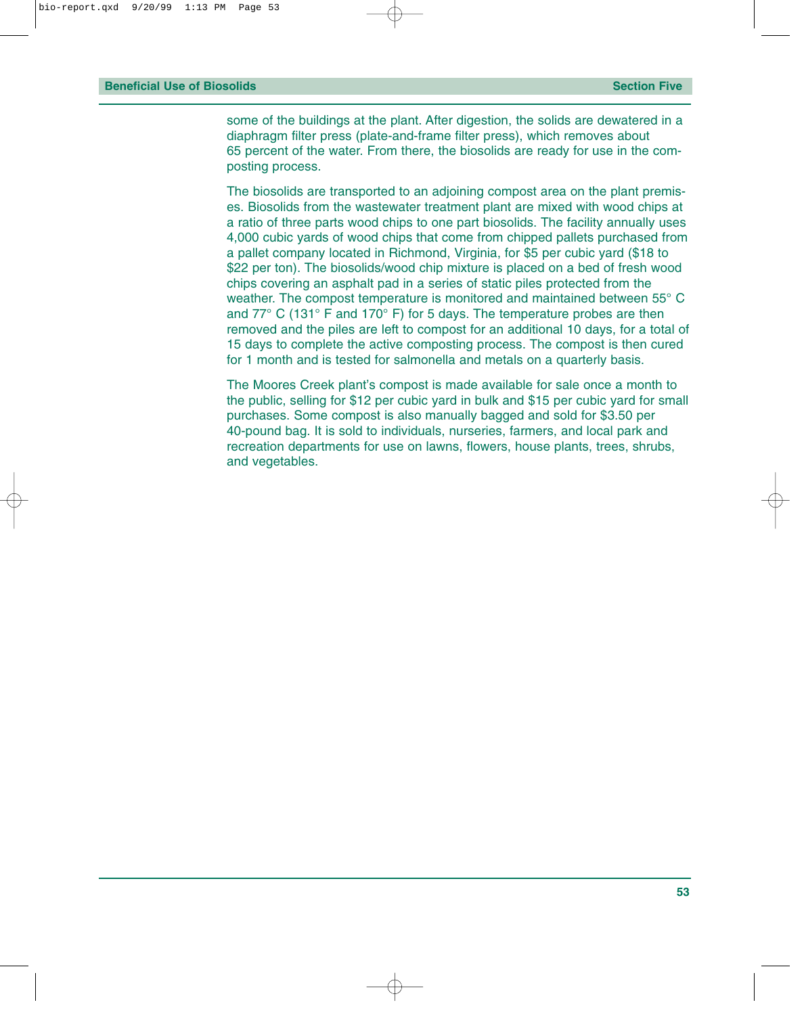some of the buildings at the plant. After digestion, the solids are dewatered in a diaphragm filter press (plate-and-frame filter press), which removes about 65 percent of the water. From there, the biosolids are ready for use in the composting process.

The biosolids are transported to an adjoining compost area on the plant premises. Biosolids from the wastewater treatment plant are mixed with wood chips at a ratio of three parts wood chips to one part biosolids. The facility annually uses 4,000 cubic yards of wood chips that come from chipped pallets purchased from a pallet company located in Richmond, Virginia, for \$5 per cubic yard (\$18 to \$22 per ton). The biosolids/wood chip mixture is placed on a bed of fresh wood chips covering an asphalt pad in a series of static piles protected from the weather. The compost temperature is monitored and maintained between 55° C and 77° C (131° F and 170° F) for 5 days. The temperature probes are then removed and the piles are left to compost for an additional 10 days, for a total of 15 days to complete the active composting process. The compost is then cured for 1 month and is tested for salmonella and metals on a quarterly basis.

The Moores Creek plant's compost is made available for sale once a month to the public, selling for \$12 per cubic yard in bulk and \$15 per cubic yard for small purchases. Some compost is also manually bagged and sold for \$3.50 per 40-pound bag. It is sold to individuals, nurseries, farmers, and local park and recreation departments for use on lawns, flowers, house plants, trees, shrubs, and vegetables.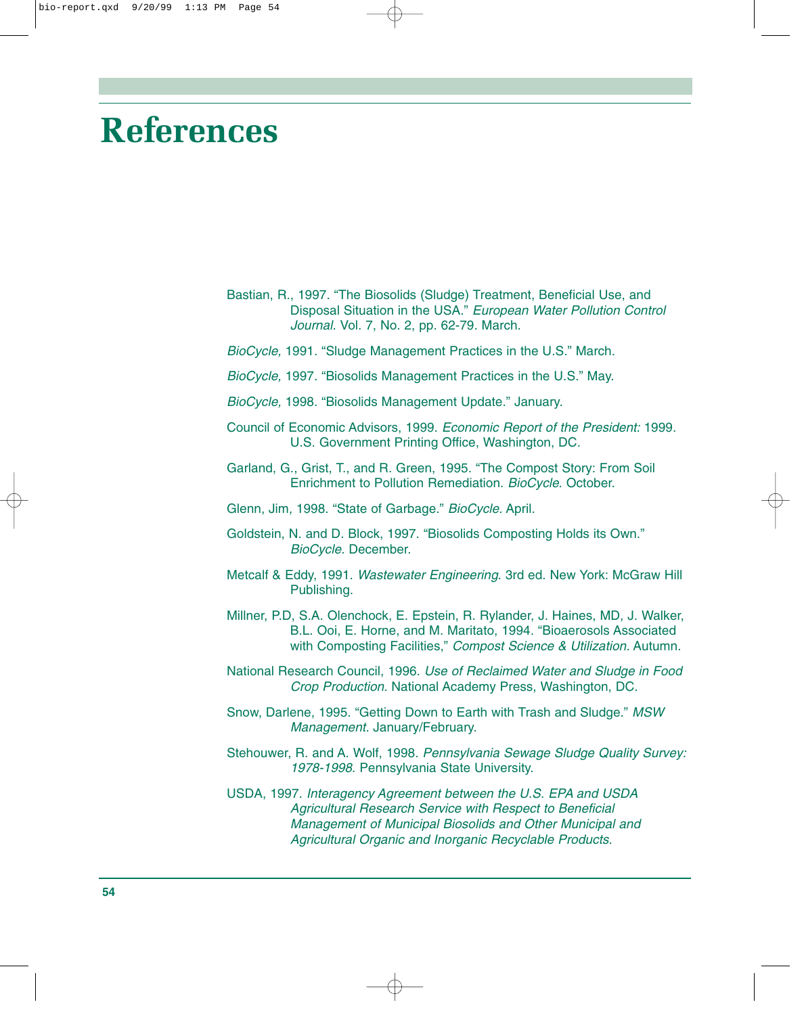# **References**

- Bastian, R., 1997. "The Biosolids (Sludge) Treatment, Beneficial Use, and Disposal Situation in the USA." *European Water Pollution Control Journal.* Vol. 7, No. 2, pp. 62-79. March.
- *BioCycle,* 1991. "Sludge Management Practices in the U.S." March.
- *BioCycle,* 1997. "Biosolids Management Practices in the U.S." May.
- *BioCycle,* 1998. "Biosolids Management Update." January.
- Council of Economic Advisors, 1999. *Economic Report of the President:* 1999. U.S. Government Printing Office, Washington, DC.
- Garland, G., Grist, T., and R. Green, 1995. "The Compost Story: From Soil Enrichment to Pollution Remediation. *BioCycle*. October.
- Glenn, Jim*,* 1998. "State of Garbage." *BioCycle.* April.
- Goldstein, N. and D. Block, 1997. "Biosolids Composting Holds its Own." *BioCycle.* December.
- Metcalf & Eddy, 1991. *Wastewater Engineering*. 3rd ed. New York: McGraw Hill Publishing.
- Millner, P.D, S.A. Olenchock, E. Epstein, R. Rylander, J. Haines, MD, J. Walker, B.L. Ooi, E. Horne, and M. Maritato, 1994. "Bioaerosols Associated with Composting Facilities," *Compost Science & Utilization.* Autumn.
- National Research Council, 1996. *Use of Reclaimed Water and Sludge in Food Crop Production.* National Academy Press, Washington, DC.
- Snow, Darlene, 1995. "Getting Down to Earth with Trash and Sludge." *MSW Management.* January/February.
- Stehouwer, R. and A. Wolf, 1998. *Pennsylvania Sewage Sludge Quality Survey: 1978-1998*. Pennsylvania State University.
- USDA, 1997. *Interagency Agreement between the U.S. EPA and USDA Agricultural Research Service with Respect to Beneficial Management of Municipal Biosolids and Other Municipal and Agricultural Organic and Inorganic Recyclable Products.*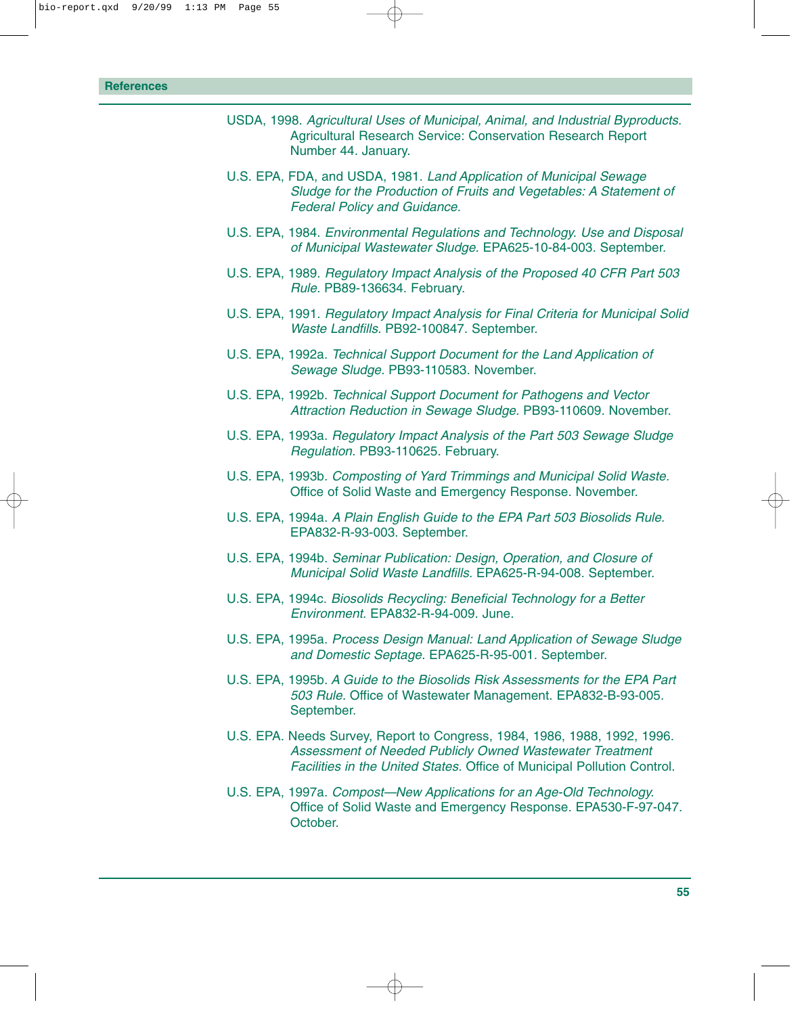- USDA, 1998. *Agricultural Uses of Municipal, Animal, and Industrial Byproducts.* Agricultural Research Service: Conservation Research Report Number 44. January.
- U.S. EPA, FDA, and USDA, 1981. *Land Application of Municipal Sewage Sludge for the Production of Fruits and Vegetables: A Statement of Federal Policy and Guidance.*
- U.S. EPA, 1984. *Environmental Regulations and Technology. Use and Disposal of Municipal Wastewater Sludge.* EPA625-10-84-003. September.
- U.S. EPA, 1989. *Regulatory Impact Analysis of the Proposed 40 CFR Part 503 Rule.* PB89-136634. February.
- U.S. EPA, 1991. *Regulatory Impact Analysis for Final Criteria for Municipal Solid Waste Landfills.* PB92-100847. September.
- U.S. EPA, 1992a. *Technical Support Document for the Land Application of Sewage Sludge.* PB93-110583. November.
- U.S. EPA, 1992b. *Technical Support Document for Pathogens and Vector Attraction Reduction in Sewage Sludge.* PB93-110609. November.
- U.S. EPA, 1993a. *Regulatory Impact Analysis of the Part 503 Sewage Sludge Regulation.* PB93-110625. February.
- U.S. EPA, 1993b. *Composting of Yard Trimmings and Municipal Solid Waste.* Office of Solid Waste and Emergency Response. November.
- U.S. EPA, 1994a. *A Plain English Guide to the EPA Part 503 Biosolids Rule.* EPA832-R-93-003. September.
- U.S. EPA, 1994b. *Seminar Publication: Design, Operation, and Closure of Municipal Solid Waste Landfills.* EPA625-R-94-008. September.
- U.S. EPA, 1994c. *Biosolids Recycling: Beneficial Technology for a Better Environment.* EPA832-R-94-009. June.
- U.S. EPA, 1995a. *Process Design Manual: Land Application of Sewage Sludge and Domestic Septage.* EPA625-R-95-001. September.
- U.S. EPA, 1995b. *A Guide to the Biosolids Risk Assessments for the EPA Part 503 Rule.* Office of Wastewater Management. EPA832-B-93-005. September.
- U.S. EPA. Needs Survey, Report to Congress, 1984, 1986, 1988, 1992, 1996. *Assessment of Needed Publicly Owned Wastewater Treatment Facilities in the United States.* Office of Municipal Pollution Control.
- U.S. EPA, 1997a. *Compost—New Applications for an Age-Old Technology.* Office of Solid Waste and Emergency Response. EPA530-F-97-047. October.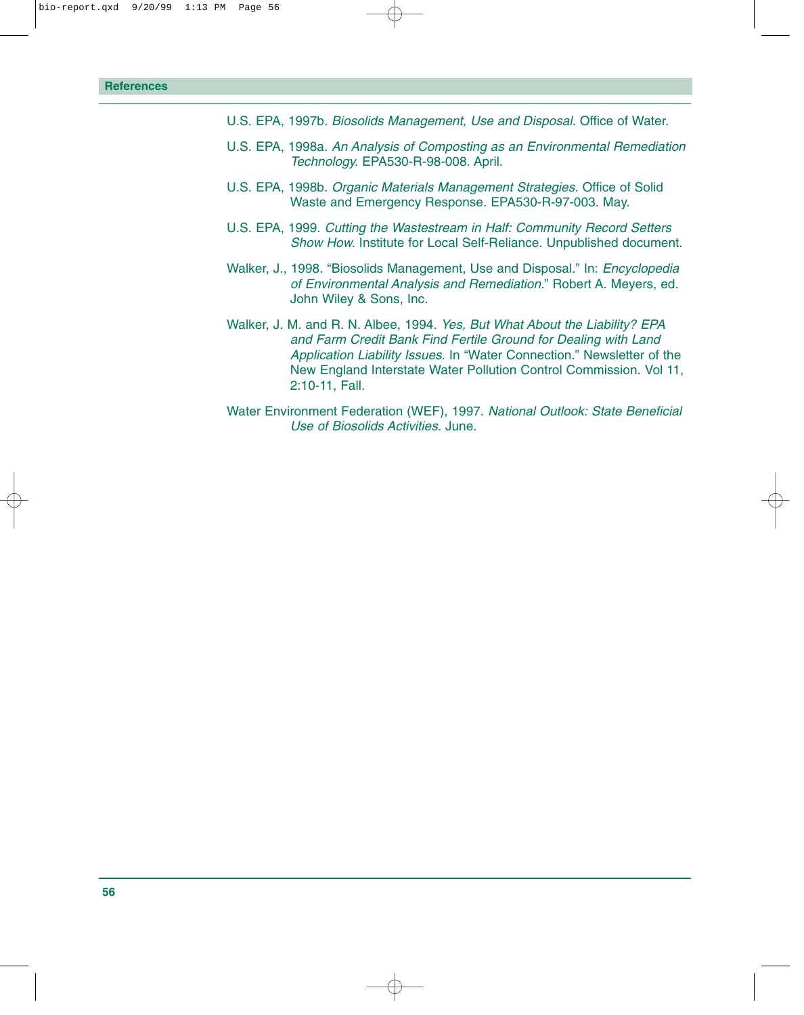- U.S. EPA, 1997b. *Biosolids Management, Use and Disposal.* Office of Water.
- U.S. EPA, 1998a. *An Analysis of Composting as an Environmental Remediation Technology.* EPA530-R-98-008. April.
- U.S. EPA, 1998b. *Organic Materials Management Strategies.* Office of Solid Waste and Emergency Response. EPA530-R-97-003. May.
- U.S. EPA, 1999. *Cutting the Wastestream in Half: Community Record Setters Show How.* Institute for Local Self-Reliance. Unpublished document.
- Walker, J., 1998. "Biosolids Management, Use and Disposal." In: *Encyclopedia of Environmental Analysis and Remediation.*" Robert A. Meyers, ed. John Wiley & Sons, Inc.
- Walker, J. M. and R. N. Albee, 1994. *Yes, But What About the Liability? EPA and Farm Credit Bank Find Fertile Ground for Dealing with Land Application Liability Issues*. In "Water Connection." Newsletter of the New England Interstate Water Pollution Control Commission. Vol 11, 2:10-11, Fall.
- Water Environment Federation (WEF), 1997. *National Outlook: State Beneficial Use of Biosolids Activities.* June.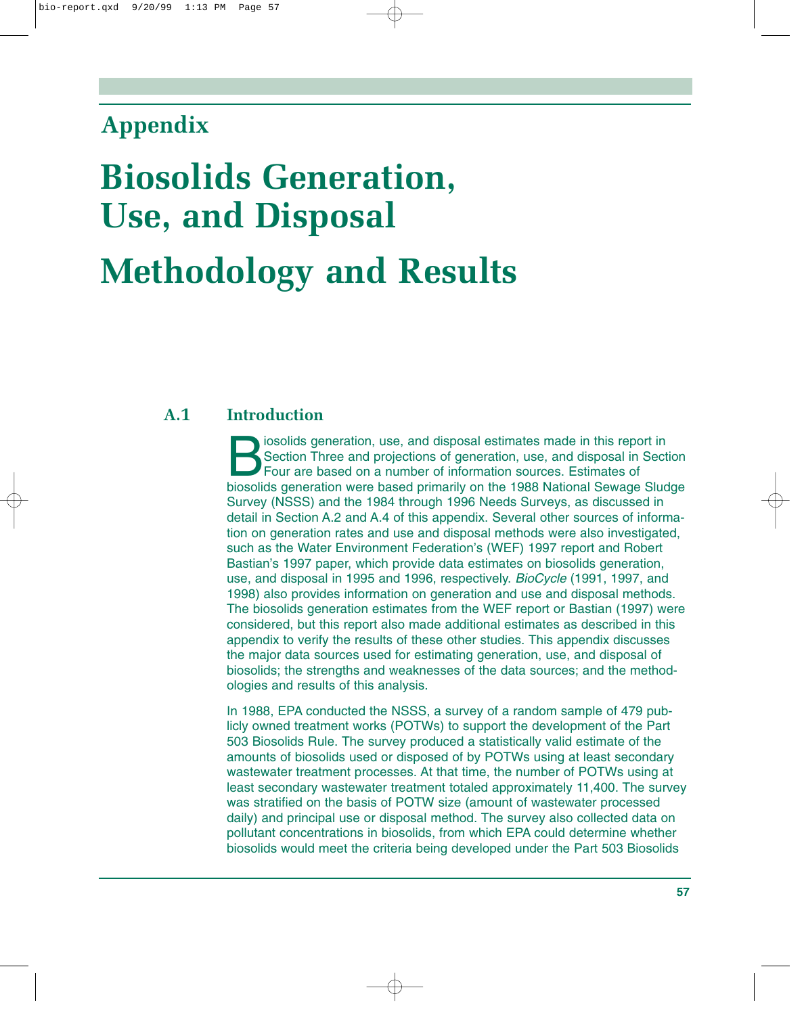## **Appendix**

# **Biosolids Generation, Use, and Disposal Methodology and Results**

#### **A.1 Introduction**

Section Three and projections of generation, use, and disposal in Sec<br>Four are based on a number of information sources. Estimates of<br>biosolids generation were based primarily on the 1988 National Sewage Slug Section Three and projections of generation, use, and disposal in Section Four are based on a number of information sources. Estimates of biosolids generation were based primarily on the 1988 National Sewage Sludge Survey (NSSS) and the 1984 through 1996 Needs Surveys, as discussed in detail in Section A.2 and A.4 of this appendix. Several other sources of information on generation rates and use and disposal methods were also investigated, such as the Water Environment Federation's (WEF) 1997 report and Robert Bastian's 1997 paper, which provide data estimates on biosolids generation, use, and disposal in 1995 and 1996, respectively. *BioCycle* (1991, 1997, and 1998) also provides information on generation and use and disposal methods. The biosolids generation estimates from the WEF report or Bastian (1997) were considered, but this report also made additional estimates as described in this appendix to verify the results of these other studies. This appendix discusses the major data sources used for estimating generation, use, and disposal of biosolids; the strengths and weaknesses of the data sources; and the methodologies and results of this analysis.

In 1988, EPA conducted the NSSS, a survey of a random sample of 479 publicly owned treatment works (POTWs) to support the development of the Part 503 Biosolids Rule. The survey produced a statistically valid estimate of the amounts of biosolids used or disposed of by POTWs using at least secondary wastewater treatment processes. At that time, the number of POTWs using at least secondary wastewater treatment totaled approximately 11,400. The survey was stratified on the basis of POTW size (amount of wastewater processed daily) and principal use or disposal method. The survey also collected data on pollutant concentrations in biosolids, from which EPA could determine whether biosolids would meet the criteria being developed under the Part 503 Biosolids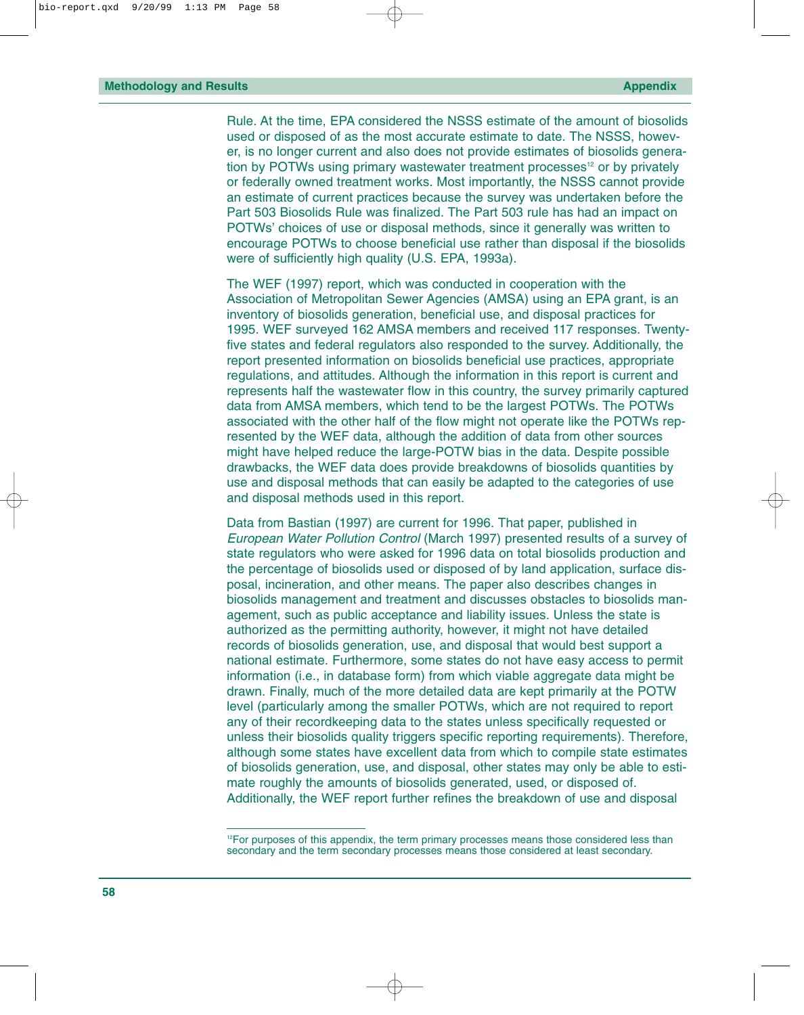Rule. At the time, EPA considered the NSSS estimate of the amount of biosolids used or disposed of as the most accurate estimate to date. The NSSS, however, is no longer current and also does not provide estimates of biosolids generation by POTWs using primary wastewater treatment processes<sup>12</sup> or by privately or federally owned treatment works. Most importantly, the NSSS cannot provide an estimate of current practices because the survey was undertaken before the Part 503 Biosolids Rule was finalized. The Part 503 rule has had an impact on POTWs' choices of use or disposal methods, since it generally was written to encourage POTWs to choose beneficial use rather than disposal if the biosolids were of sufficiently high quality (U.S. EPA, 1993a).

The WEF (1997) report, which was conducted in cooperation with the Association of Metropolitan Sewer Agencies (AMSA) using an EPA grant, is an inventory of biosolids generation, beneficial use, and disposal practices for 1995. WEF surveyed 162 AMSA members and received 117 responses. Twentyfive states and federal regulators also responded to the survey. Additionally, the report presented information on biosolids beneficial use practices, appropriate regulations, and attitudes. Although the information in this report is current and represents half the wastewater flow in this country, the survey primarily captured data from AMSA members, which tend to be the largest POTWs. The POTWs associated with the other half of the flow might not operate like the POTWs represented by the WEF data, although the addition of data from other sources might have helped reduce the large-POTW bias in the data. Despite possible drawbacks, the WEF data does provide breakdowns of biosolids quantities by use and disposal methods that can easily be adapted to the categories of use and disposal methods used in this report.

Data from Bastian (1997) are current for 1996. That paper, published in *European Water Pollution Control* (March 1997) presented results of a survey of state regulators who were asked for 1996 data on total biosolids production and the percentage of biosolids used or disposed of by land application, surface disposal, incineration, and other means. The paper also describes changes in biosolids management and treatment and discusses obstacles to biosolids management, such as public acceptance and liability issues. Unless the state is authorized as the permitting authority, however, it might not have detailed records of biosolids generation, use, and disposal that would best support a national estimate. Furthermore, some states do not have easy access to permit information (i.e., in database form) from which viable aggregate data might be drawn. Finally, much of the more detailed data are kept primarily at the POTW level (particularly among the smaller POTWs, which are not required to report any of their recordkeeping data to the states unless specifically requested or unless their biosolids quality triggers specific reporting requirements). Therefore, although some states have excellent data from which to compile state estimates of biosolids generation, use, and disposal, other states may only be able to estimate roughly the amounts of biosolids generated, used, or disposed of. Additionally, the WEF report further refines the breakdown of use and disposal

<sup>&</sup>lt;sup>12</sup>For purposes of this appendix, the term primary processes means those considered less than secondary and the term secondary processes means those considered at least secondary.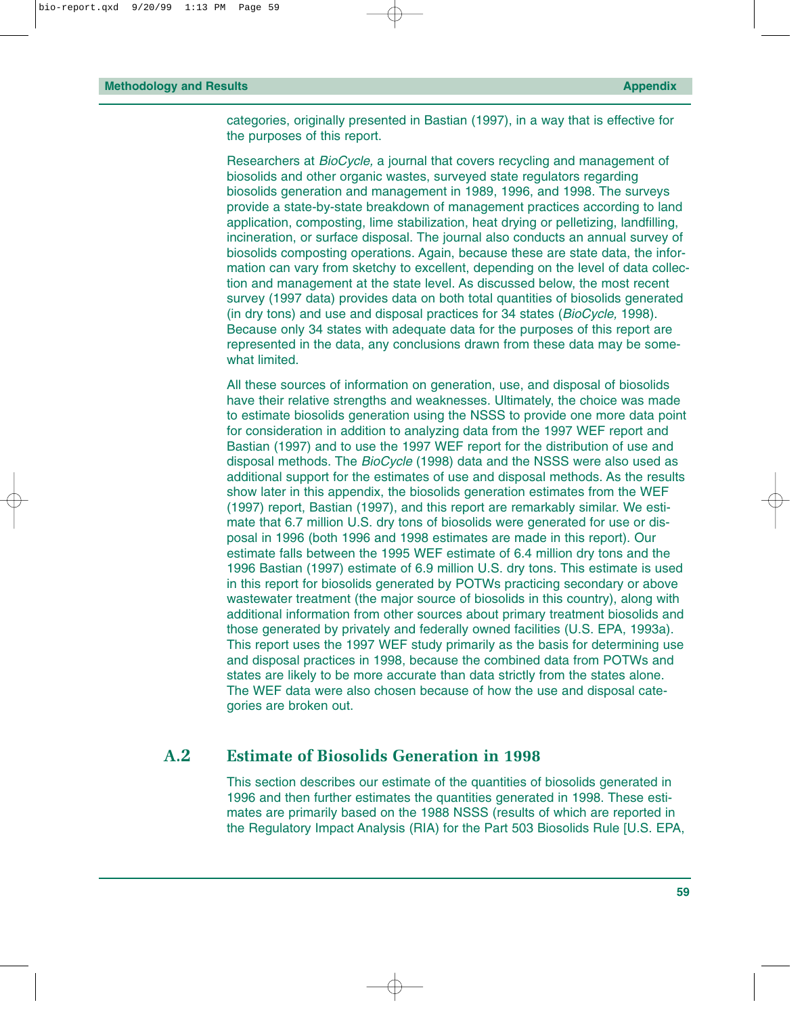categories, originally presented in Bastian (1997), in a way that is effective for the purposes of this report.

Researchers at *BioCycle,* a journal that covers recycling and management of biosolids and other organic wastes, surveyed state regulators regarding biosolids generation and management in 1989, 1996, and 1998. The surveys provide a state-by-state breakdown of management practices according to land application, composting, lime stabilization, heat drying or pelletizing, landfilling, incineration, or surface disposal. The journal also conducts an annual survey of biosolids composting operations. Again, because these are state data, the information can vary from sketchy to excellent, depending on the level of data collection and management at the state level. As discussed below, the most recent survey (1997 data) provides data on both total quantities of biosolids generated (in dry tons) and use and disposal practices for 34 states (*BioCycle,* 1998). Because only 34 states with adequate data for the purposes of this report are represented in the data, any conclusions drawn from these data may be somewhat limited.

All these sources of information on generation, use, and disposal of biosolids have their relative strengths and weaknesses. Ultimately, the choice was made to estimate biosolids generation using the NSSS to provide one more data point for consideration in addition to analyzing data from the 1997 WEF report and Bastian (1997) and to use the 1997 WEF report for the distribution of use and disposal methods. The *BioCycle* (1998) data and the NSSS were also used as additional support for the estimates of use and disposal methods. As the results show later in this appendix, the biosolids generation estimates from the WEF (1997) report, Bastian (1997), and this report are remarkably similar. We estimate that 6.7 million U.S. dry tons of biosolids were generated for use or disposal in 1996 (both 1996 and 1998 estimates are made in this report). Our estimate falls between the 1995 WEF estimate of 6.4 million dry tons and the 1996 Bastian (1997) estimate of 6.9 million U.S. dry tons. This estimate is used in this report for biosolids generated by POTWs practicing secondary or above wastewater treatment (the major source of biosolids in this country), along with additional information from other sources about primary treatment biosolids and those generated by privately and federally owned facilities (U.S. EPA, 1993a). This report uses the 1997 WEF study primarily as the basis for determining use and disposal practices in 1998, because the combined data from POTWs and states are likely to be more accurate than data strictly from the states alone. The WEF data were also chosen because of how the use and disposal categories are broken out.

#### **A.2 Estimate of Biosolids Generation in 1998**

This section describes our estimate of the quantities of biosolids generated in 1996 and then further estimates the quantities generated in 1998. These estimates are primarily based on the 1988 NSSS (results of which are reported in the Regulatory Impact Analysis (RIA) for the Part 503 Biosolids Rule [U.S. EPA,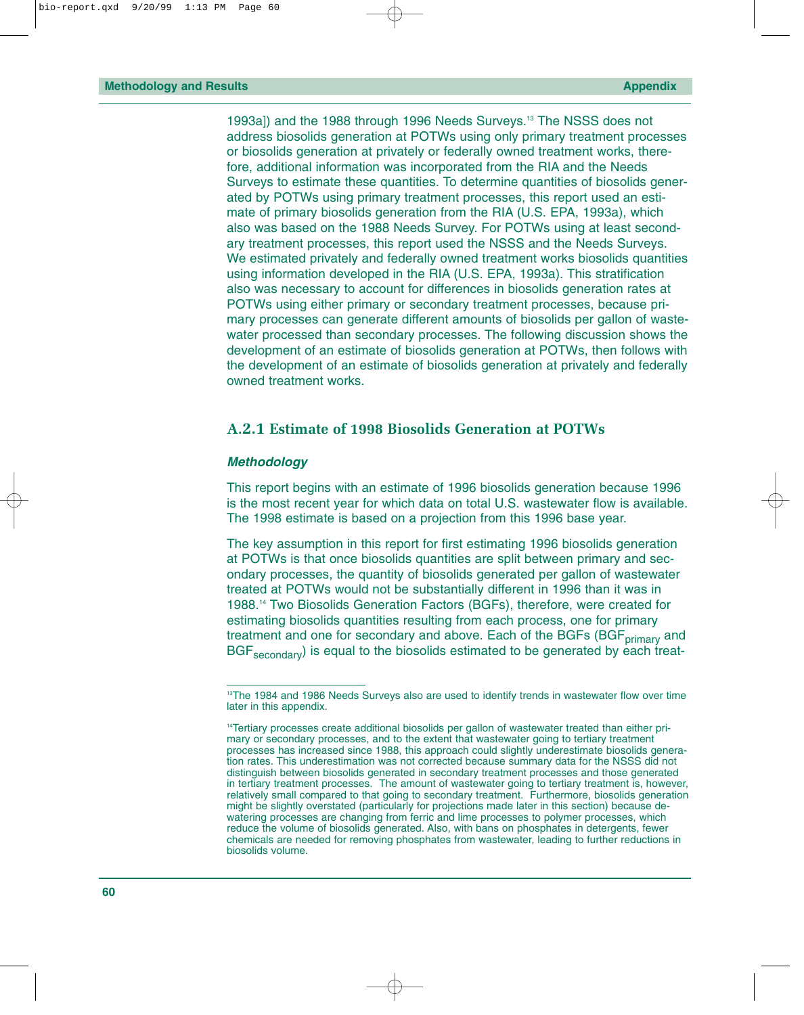1993a]) and the 1988 through 1996 Needs Surveys.13 The NSSS does not address biosolids generation at POTWs using only primary treatment processes or biosolids generation at privately or federally owned treatment works, therefore, additional information was incorporated from the RIA and the Needs Surveys to estimate these quantities. To determine quantities of biosolids generated by POTWs using primary treatment processes, this report used an estimate of primary biosolids generation from the RIA (U.S. EPA, 1993a), which also was based on the 1988 Needs Survey. For POTWs using at least secondary treatment processes, this report used the NSSS and the Needs Surveys. We estimated privately and federally owned treatment works biosolids quantities using information developed in the RIA (U.S. EPA, 1993a). This stratification also was necessary to account for differences in biosolids generation rates at POTWs using either primary or secondary treatment processes, because primary processes can generate different amounts of biosolids per gallon of wastewater processed than secondary processes. The following discussion shows the development of an estimate of biosolids generation at POTWs, then follows with the development of an estimate of biosolids generation at privately and federally owned treatment works.

#### **A.2.1 Estimate of 1998 Biosolids Generation at POTWs**

#### *Methodology*

This report begins with an estimate of 1996 biosolids generation because 1996 is the most recent year for which data on total U.S. wastewater flow is available. The 1998 estimate is based on a projection from this 1996 base year.

The key assumption in this report for first estimating 1996 biosolids generation at POTWs is that once biosolids quantities are split between primary and secondary processes, the quantity of biosolids generated per gallon of wastewater treated at POTWs would not be substantially different in 1996 than it was in 1988.14 Two Biosolids Generation Factors (BGFs), therefore, were created for estimating biosolids quantities resulting from each process, one for primary treatment and one for secondary and above. Each of the BGFs (BGF<sub>primary</sub> and BGF<sub>secondary</sub>) is equal to the biosolids estimated to be generated by each treat-

<sup>&</sup>lt;sup>13</sup>The 1984 and 1986 Needs Surveys also are used to identify trends in wastewater flow over time later in this appendix.

<sup>&</sup>lt;sup>14</sup>Tertiary processes create additional biosolids per gallon of wastewater treated than either primary or secondary processes, and to the extent that wastewater going to tertiary treatment processes has increased since 1988, this approach could slightly underestimate biosolids generation rates. This underestimation was not corrected because summary data for the NSSS did not distinguish between biosolids generated in secondary treatment processes and those generated in tertiary treatment processes. The amount of wastewater going to tertiary treatment is, however, relatively small compared to that going to secondary treatment. Furthermore, biosolids generation might be slightly overstated (particularly for projections made later in this section) because dewatering processes are changing from ferric and lime processes to polymer processes, which reduce the volume of biosolids generated. Also, with bans on phosphates in detergents, fewer chemicals are needed for removing phosphates from wastewater, leading to further reductions in biosolids volume.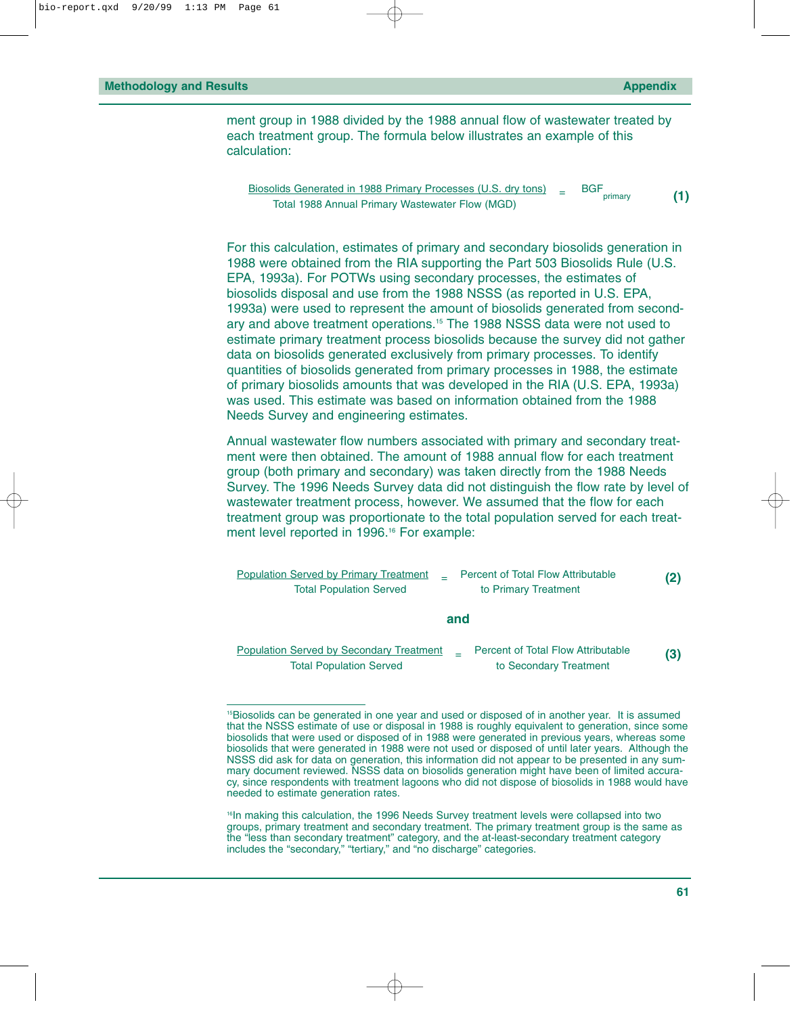ment group in 1988 divided by the 1988 annual flow of wastewater treated by each treatment group. The formula below illustrates an example of this calculation:

Biosolids Generated in 1988 Primary Processes (U.S. dry tons)  $=$  BGF primary primary **(1)** Total 1988 Annual Primary Wastewater Flow (MGD)

For this calculation, estimates of primary and secondary biosolids generation in 1988 were obtained from the RIA supporting the Part 503 Biosolids Rule (U.S. EPA, 1993a). For POTWs using secondary processes, the estimates of biosolids disposal and use from the 1988 NSSS (as reported in U.S. EPA, 1993a) were used to represent the amount of biosolids generated from secondary and above treatment operations.15 The 1988 NSSS data were not used to estimate primary treatment process biosolids because the survey did not gather data on biosolids generated exclusively from primary processes. To identify quantities of biosolids generated from primary processes in 1988, the estimate of primary biosolids amounts that was developed in the RIA (U.S. EPA, 1993a) was used. This estimate was based on information obtained from the 1988 Needs Survey and engineering estimates.

Annual wastewater flow numbers associated with primary and secondary treatment were then obtained. The amount of 1988 annual flow for each treatment group (both primary and secondary) was taken directly from the 1988 Needs Survey. The 1996 Needs Survey data did not distinguish the flow rate by level of wastewater treatment process, however. We assumed that the flow for each treatment group was proportionate to the total population served for each treatment level reported in 1996.<sup>16</sup> For example:

Population Served by Primary Treatment <sup>=</sup> Percent of Total Flow Attributable **(2)** Total Population Served to Primary Treatment **and** Population Served by Secondary Treatment <sup>=</sup> Percent of Total Flow Attributable **(3)** Total Population Served to Secondary Treatment

<sup>&</sup>lt;sup>15</sup>Biosolids can be generated in one year and used or disposed of in another year. It is assumed that the NSSS estimate of use or disposal in 1988 is roughly equivalent to generation, since some biosolids that were used or disposed of in 1988 were generated in previous years, whereas some biosolids that were generated in 1988 were not used or disposed of until later years. Although the NSSS did ask for data on generation, this information did not appear to be presented in any summary document reviewed. NSSS data on biosolids generation might have been of limited accuracy, since respondents with treatment lagoons who did not dispose of biosolids in 1988 would have needed to estimate generation rates.

<sup>&</sup>lt;sup>16</sup>In making this calculation, the 1996 Needs Survey treatment levels were collapsed into two groups, primary treatment and secondary treatment. The primary treatment group is the same as the "less than secondary treatment" category, and the at-least-secondary treatment category includes the "secondary," "tertiary," and "no discharge" categories.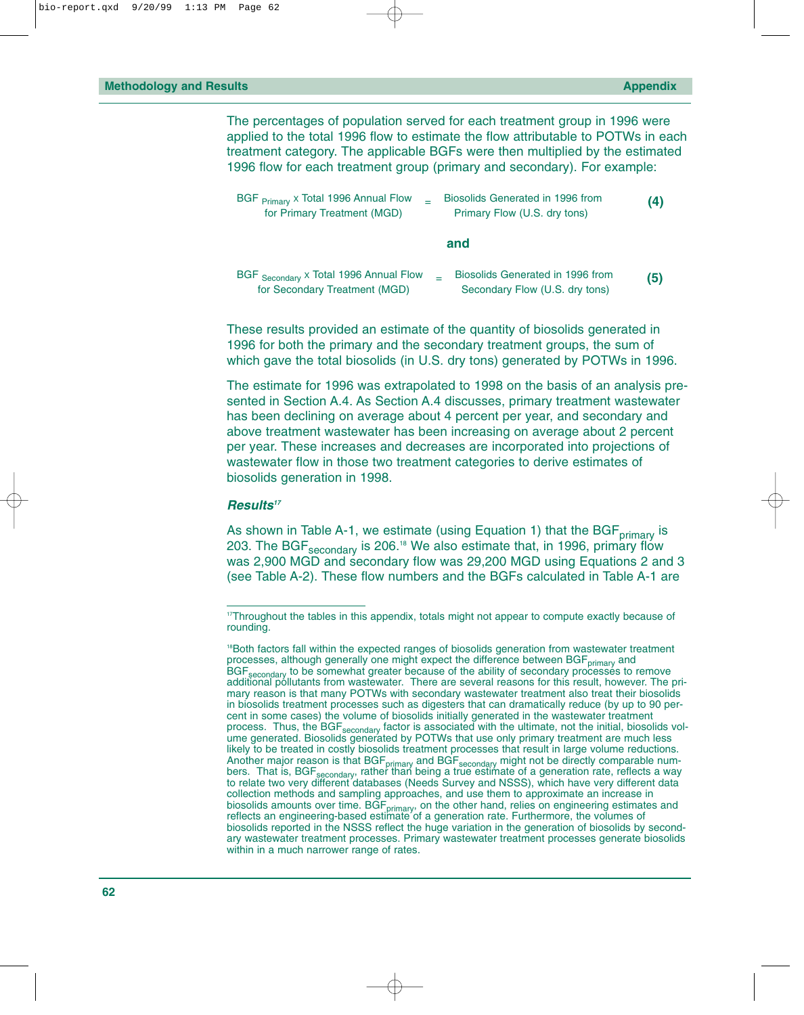The percentages of population served for each treatment group in 1996 were applied to the total 1996 flow to estimate the flow attributable to POTWs in each treatment category. The applicable BGFs were then multiplied by the estimated 1996 flow for each treatment group (primary and secondary). For example:

| BGF <sub>Primary</sub> x Total 1996 Annual Flow | Biosolids Generated in 1996 from | (4) |
|-------------------------------------------------|----------------------------------|-----|
| for Primary Treatment (MGD)                     | Primary Flow (U.S. dry tons)     |     |

**and**

| BGF Secondary x Total 1996 Annual Flow | Biosolids Generated in 1996 from | (5) |
|----------------------------------------|----------------------------------|-----|
| for Secondary Treatment (MGD)          | Secondary Flow (U.S. dry tons)   |     |

These results provided an estimate of the quantity of biosolids generated in 1996 for both the primary and the secondary treatment groups, the sum of which gave the total biosolids (in U.S. dry tons) generated by POTWs in 1996.

The estimate for 1996 was extrapolated to 1998 on the basis of an analysis presented in Section A.4. As Section A.4 discusses, primary treatment wastewater has been declining on average about 4 percent per year, and secondary and above treatment wastewater has been increasing on average about 2 percent per year. These increases and decreases are incorporated into projections of wastewater flow in those two treatment categories to derive estimates of biosolids generation in 1998.

#### *Results17*

As shown in Table A-1, we estimate (using Equation 1) that the BGF $_{\text{primary}}$  is 203. The BGF<sub>secondary</sub> is 206.<sup>18</sup> We also estimate that, in 1996, primary flow was 2,900 MGD and secondary flow was 29,200 MGD using Equations 2 and 3 (see Table A-2). These flow numbers and the BGFs calculated in Table A-1 are

<sup>&</sup>lt;sup>17</sup>Throughout the tables in this appendix, totals might not appear to compute exactly because of rounding.

<sup>&</sup>lt;sup>18</sup>Both factors fall within the expected ranges of biosolids generation from wastewater treatment processes, although generally one might expect the difference between BGF<sub>primary</sub> and BGF<sub>secondary</sub> to be somewhat greater because of the ability of secondary processes to remove additional pollutants from wastewater. There are several reasons for this result, however. The primary reason is that many POTWs with secondary wastewater treatment also treat their biosolids in biosolids treatment processes such as digesters that can dramatically reduce (by up to 90 percent in some cases) the volume of biosolids initially generated in the wastewater treatment process. Thus, the BGF<sub>secondary</sub> factor is associated with the ultimate, not the initial, biosolids volume generated. Biosolids generated by POTWs that use only primary treatment are much less likely to be treated in costly biosolids treatment processes that result in large volume reductions. Another major reason is that BGF<sub>primary</sub> and BGF<sub>secondary</sub> might not be directly comparable numbers. That is, BGF<sub>secondary</sub>, rather than being a true estimate of a generation rate, reflects a way<br>to relate two very different databases (Needs Survey and NSSS), which have very different data collection methods and sampling approaches, and use them to approximate an increase in biosolids amounts over time. BGF<sub>primary</sub>, on the other hand, relies on engineering estimates and reflects an engineering-based estimate of a generation rate. Furthermore, the volumes of biosolids reported in the NSSS reflect the huge variation in the generation of biosolids by secondary wastewater treatment processes. Primary wastewater treatment processes generate biosolids within in a much narrower range of rates.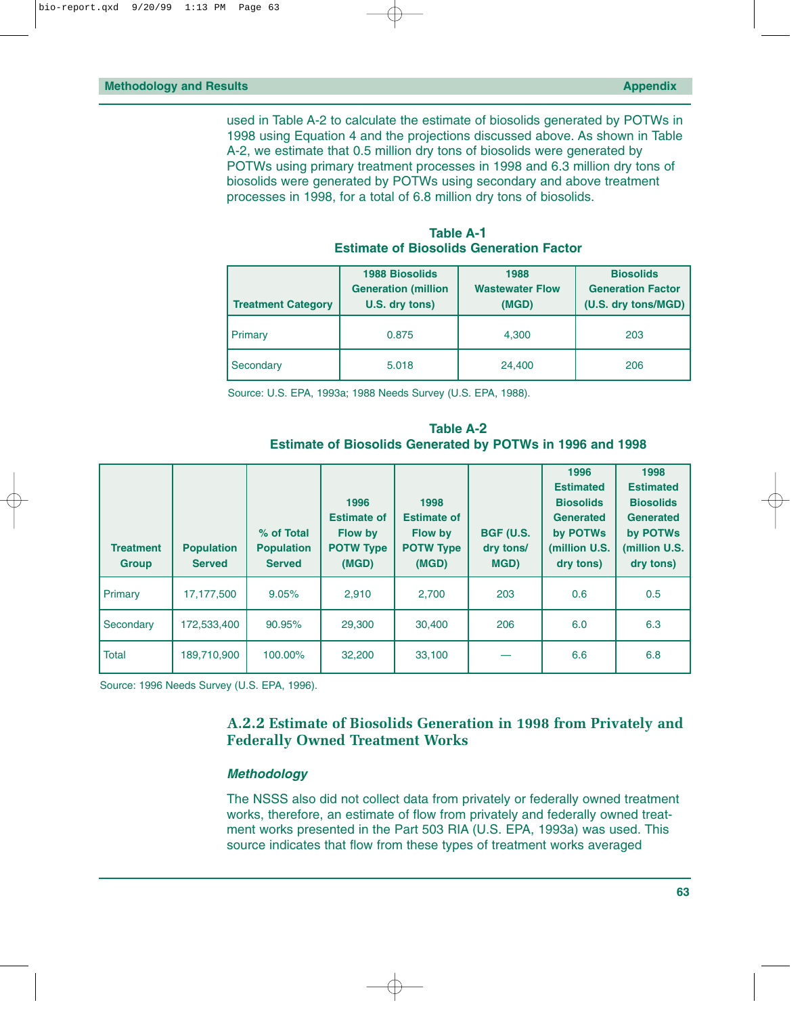|                           | <b>1988 Biosolids</b>      | 1988                   | <b>Biosolids</b>         |  |
|---------------------------|----------------------------|------------------------|--------------------------|--|
|                           | <b>Generation (million</b> | <b>Wastewater Flow</b> | <b>Generation Factor</b> |  |
| <b>Treatment Category</b> | U.S. dry tons)             | (MGD)                  | (U.S. dry tons/MGD)      |  |
| Primary                   | 0.875                      | 4,300                  | 203                      |  |
| Secondary                 | 5.018                      | 24,400                 | 206                      |  |

**Table A-1 Estimate of Biosolids Generation Factor**

Source: U.S. EPA, 1993a; 1988 Needs Survey (U.S. EPA, 1988).

**Table A-2 Estimate of Biosolids Generated by POTWs in 1996 and 1998**

| <b>Treatment</b><br><b>Group</b> | <b>Population</b><br><b>Served</b> | % of Total<br><b>Population</b><br><b>Served</b> | 1996<br><b>Estimate of</b><br><b>Flow by</b><br><b>POTW Type</b><br>(MGD) | 1998<br><b>Estimate of</b><br><b>Flow by</b><br><b>POTW Type</b><br>(MGD) | <b>BGF (U.S.</b><br>dry tons/<br>MGD) | 1996<br><b>Estimated</b><br><b>Biosolids</b><br><b>Generated</b><br>by POTWs<br>(million U.S.<br>dry tons) | 1998<br><b>Estimated</b><br><b>Biosolids</b><br><b>Generated</b><br>by POTWs<br>(million U.S.<br>dry tons) |
|----------------------------------|------------------------------------|--------------------------------------------------|---------------------------------------------------------------------------|---------------------------------------------------------------------------|---------------------------------------|------------------------------------------------------------------------------------------------------------|------------------------------------------------------------------------------------------------------------|
| Primary                          | 17,177,500                         | 9.05%                                            | 2.910                                                                     | 2,700                                                                     | 203                                   | 0.6                                                                                                        | 0.5                                                                                                        |
| Secondary                        | 172,533,400                        | 90.95%                                           | 29,300                                                                    | 30,400                                                                    | 206                                   | 6.0                                                                                                        | 6.3                                                                                                        |
| <b>Total</b>                     | 189,710,900                        | 100.00%                                          | 32,200                                                                    | 33,100                                                                    |                                       | 6.6                                                                                                        | 6.8                                                                                                        |

Source: 1996 Needs Survey (U.S. EPA, 1996).

#### **A.2.2 Estimate of Biosolids Generation in 1998 from Privately and Federally Owned Treatment Works**

#### *Methodology*

The NSSS also did not collect data from privately or federally owned treatment works, therefore, an estimate of flow from privately and federally owned treatment works presented in the Part 503 RIA (U.S. EPA, 1993a) was used. This source indicates that flow from these types of treatment works averaged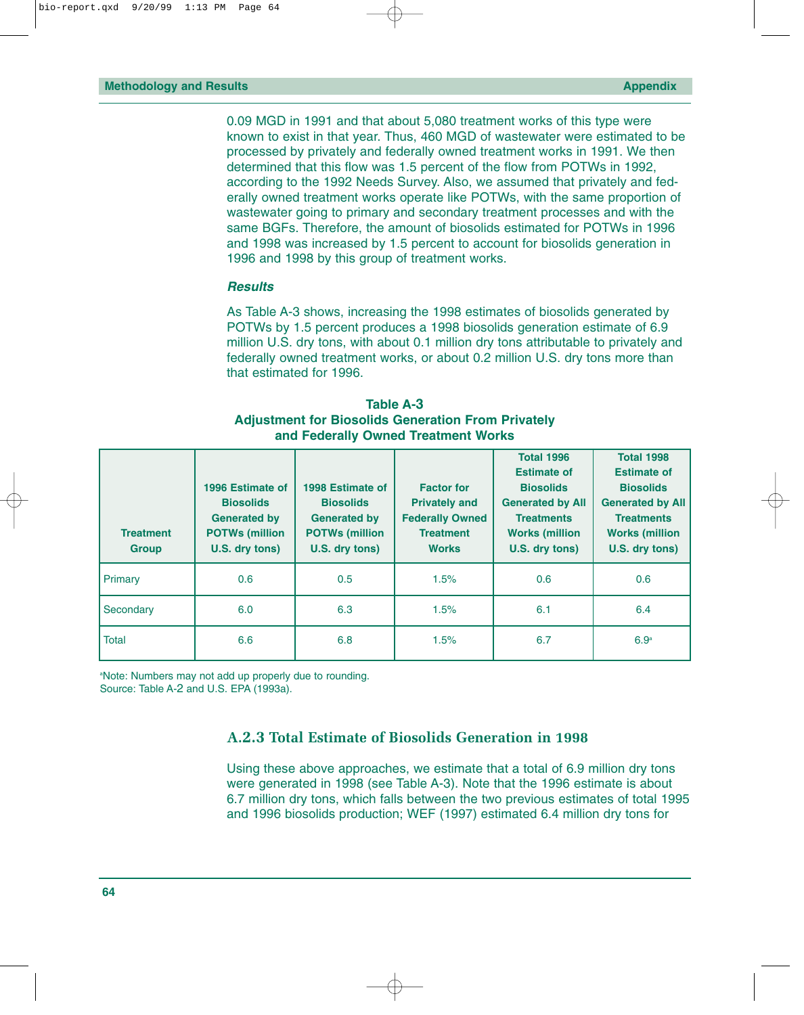0.09 MGD in 1991 and that about 5,080 treatment works of this type were known to exist in that year. Thus, 460 MGD of wastewater were estimated to be processed by privately and federally owned treatment works in 1991. We then determined that this flow was 1.5 percent of the flow from POTWs in 1992, according to the 1992 Needs Survey. Also, we assumed that privately and federally owned treatment works operate like POTWs, with the same proportion of wastewater going to primary and secondary treatment processes and with the same BGFs. Therefore, the amount of biosolids estimated for POTWs in 1996 and 1998 was increased by 1.5 percent to account for biosolids generation in 1996 and 1998 by this group of treatment works.

#### *Results*

As Table A-3 shows, increasing the 1998 estimates of biosolids generated by POTWs by 1.5 percent produces a 1998 biosolids generation estimate of 6.9 million U.S. dry tons, with about 0.1 million dry tons attributable to privately and federally owned treatment works, or about 0.2 million U.S. dry tons more than that estimated for 1996.

| <b>Table A-3</b>                                          |
|-----------------------------------------------------------|
| <b>Adjustment for Biosolids Generation From Privately</b> |
| and Federally Owned Treatment Works                       |

| <b>Treatment</b><br><b>Group</b> | 1996 Estimate of<br><b>Biosolids</b><br><b>Generated by</b><br><b>POTWs (million)</b><br>U.S. dry tons) | 1998 Estimate of<br><b>Biosolids</b><br><b>Generated by</b><br><b>POTWs (million)</b><br>U.S. dry tons) | <b>Factor for</b><br><b>Privately and</b><br><b>Federally Owned</b><br><b>Treatment</b><br><b>Works</b> | <b>Total 1996</b><br><b>Estimate of</b><br><b>Biosolids</b><br><b>Generated by All</b><br><b>Treatments</b><br><b>Works (million</b><br>U.S. dry tons) | <b>Total 1998</b><br><b>Estimate of</b><br><b>Biosolids</b><br><b>Generated by All</b><br><b>Treatments</b><br><b>Works (million</b><br>U.S. dry tons) |
|----------------------------------|---------------------------------------------------------------------------------------------------------|---------------------------------------------------------------------------------------------------------|---------------------------------------------------------------------------------------------------------|--------------------------------------------------------------------------------------------------------------------------------------------------------|--------------------------------------------------------------------------------------------------------------------------------------------------------|
| Primary                          | 0.6                                                                                                     | 0.5                                                                                                     | 1.5%                                                                                                    | 0.6                                                                                                                                                    | 0.6                                                                                                                                                    |
| Secondary                        | 6.0                                                                                                     | 6.3                                                                                                     | 1.5%                                                                                                    | 6.1                                                                                                                                                    | 6.4                                                                                                                                                    |
| Total                            | 6.6                                                                                                     | 6.8                                                                                                     | 1.5%                                                                                                    | 6.7                                                                                                                                                    | 6.9 <sup>a</sup>                                                                                                                                       |

a Note: Numbers may not add up properly due to rounding. Source: Table A-2 and U.S. EPA (1993a).

#### **A.2.3 Total Estimate of Biosolids Generation in 1998**

Using these above approaches, we estimate that a total of 6.9 million dry tons were generated in 1998 (see Table A-3). Note that the 1996 estimate is about 6.7 million dry tons, which falls between the two previous estimates of total 1995 and 1996 biosolids production; WEF (1997) estimated 6.4 million dry tons for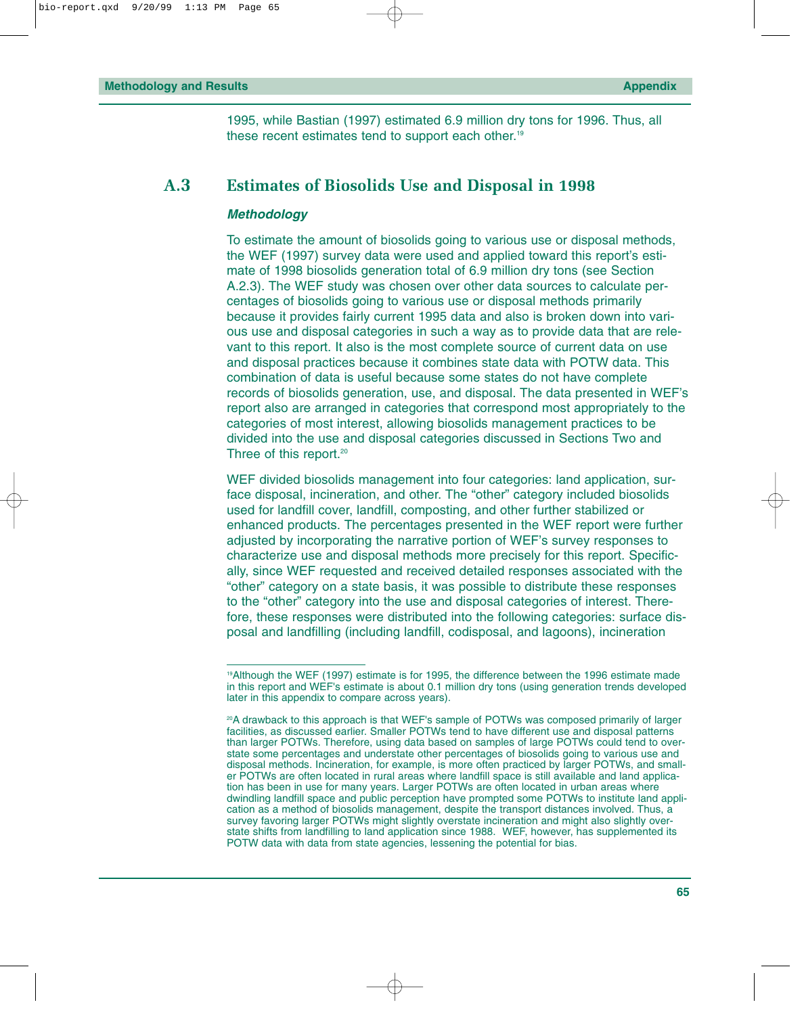1995, while Bastian (1997) estimated 6.9 million dry tons for 1996. Thus, all these recent estimates tend to support each other.19

#### **A.3 Estimates of Biosolids Use and Disposal in 1998**

#### *Methodology*

To estimate the amount of biosolids going to various use or disposal methods, the WEF (1997) survey data were used and applied toward this report's estimate of 1998 biosolids generation total of 6.9 million dry tons (see Section A.2.3). The WEF study was chosen over other data sources to calculate percentages of biosolids going to various use or disposal methods primarily because it provides fairly current 1995 data and also is broken down into various use and disposal categories in such a way as to provide data that are relevant to this report. It also is the most complete source of current data on use and disposal practices because it combines state data with POTW data. This combination of data is useful because some states do not have complete records of biosolids generation, use, and disposal. The data presented in WEF's report also are arranged in categories that correspond most appropriately to the categories of most interest, allowing biosolids management practices to be divided into the use and disposal categories discussed in Sections Two and Three of this report.<sup>20</sup>

WEF divided biosolids management into four categories: land application, surface disposal, incineration, and other. The "other" category included biosolids used for landfill cover, landfill, composting, and other further stabilized or enhanced products. The percentages presented in the WEF report were further adjusted by incorporating the narrative portion of WEF's survey responses to characterize use and disposal methods more precisely for this report. Specifically, since WEF requested and received detailed responses associated with the "other" category on a state basis, it was possible to distribute these responses to the "other" category into the use and disposal categories of interest. Therefore, these responses were distributed into the following categories: surface disposal and landfilling (including landfill, codisposal, and lagoons), incineration

<sup>19</sup>Although the WEF (1997) estimate is for 1995, the difference between the 1996 estimate made in this report and WEF's estimate is about 0.1 million dry tons (using generation trends developed later in this appendix to compare across years).

<sup>&</sup>lt;sup>20</sup>A drawback to this approach is that WEF's sample of POTWs was composed primarily of larger facilities, as discussed earlier. Smaller POTWs tend to have different use and disposal patterns than larger POTWs. Therefore, using data based on samples of large POTWs could tend to overstate some percentages and understate other percentages of biosolids going to various use and disposal methods. Incineration, for example, is more often practiced by larger POTWs, and smaller POTWs are often located in rural areas where landfill space is still available and land application has been in use for many years. Larger POTWs are often located in urban areas where dwindling landfill space and public perception have prompted some POTWs to institute land application as a method of biosolids management, despite the transport distances involved. Thus, a survey favoring larger POTWs might slightly overstate incineration and might also slightly overstate shifts from landfilling to land application since 1988. WEF, however, has supplemented its POTW data with data from state agencies, lessening the potential for bias.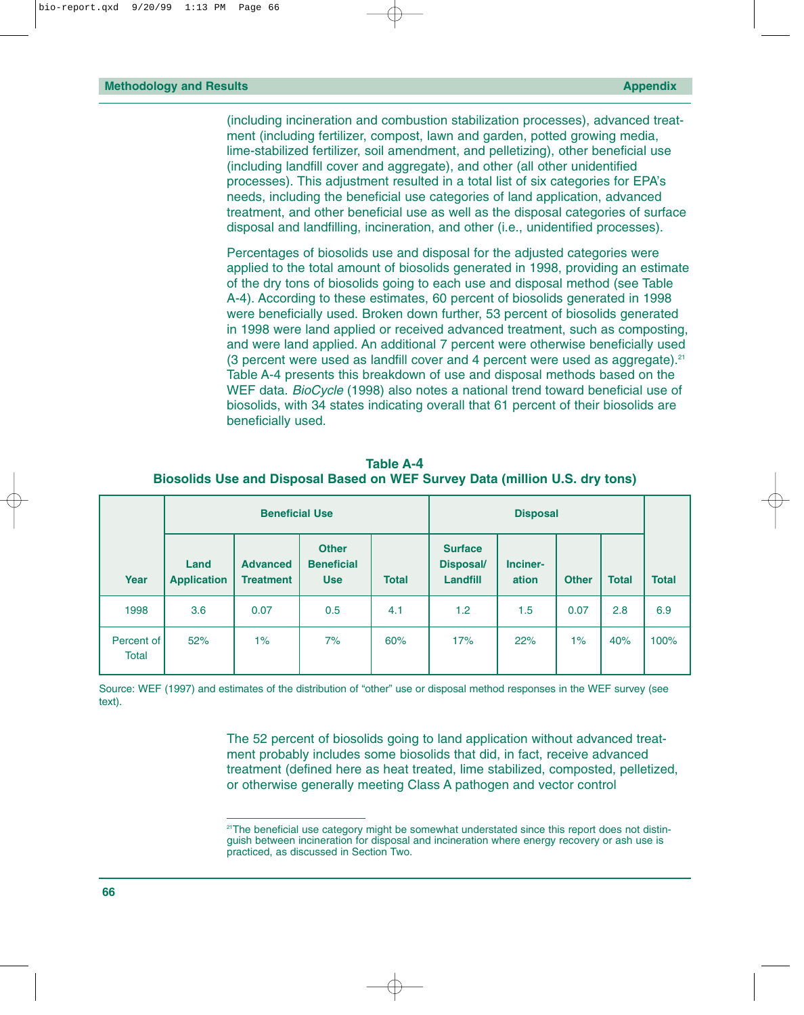(including incineration and combustion stabilization processes), advanced treatment (including fertilizer, compost, lawn and garden, potted growing media, lime-stabilized fertilizer, soil amendment, and pelletizing), other beneficial use (including landfill cover and aggregate), and other (all other unidentified processes). This adjustment resulted in a total list of six categories for EPA's needs, including the beneficial use categories of land application, advanced treatment, and other beneficial use as well as the disposal categories of surface disposal and landfilling, incineration, and other (i.e., unidentified processes).

Percentages of biosolids use and disposal for the adjusted categories were applied to the total amount of biosolids generated in 1998, providing an estimate of the dry tons of biosolids going to each use and disposal method (see Table A-4). According to these estimates, 60 percent of biosolids generated in 1998 were beneficially used. Broken down further, 53 percent of biosolids generated in 1998 were land applied or received advanced treatment, such as composting, and were land applied. An additional 7 percent were otherwise beneficially used (3 percent were used as landfill cover and 4 percent were used as aggregate). $21$ Table A-4 presents this breakdown of use and disposal methods based on the WEF data. *BioCycle* (1998) also notes a national trend toward beneficial use of biosolids, with 34 states indicating overall that 61 percent of their biosolids are beneficially used.

|                     | <b>Beneficial Use</b>      |                                     |                                                 |              |                                                       |                   |              |              |              |
|---------------------|----------------------------|-------------------------------------|-------------------------------------------------|--------------|-------------------------------------------------------|-------------------|--------------|--------------|--------------|
| Year                | Land<br><b>Application</b> | <b>Advanced</b><br><b>Treatment</b> | <b>Other</b><br><b>Beneficial</b><br><b>Use</b> | <b>Total</b> | <b>Surface</b><br><b>Disposal/</b><br><b>Landfill</b> | Inciner-<br>ation | <b>Other</b> | <b>Total</b> | <b>Total</b> |
| 1998                | 3.6                        | 0.07                                | 0.5                                             | 4.1          | 1.2                                                   | 1.5               | 0.07         | 2.8          | 6.9          |
| Percent of<br>Total | 52%                        | $1\%$                               | 7%                                              | 60%          | 17%                                                   | 22%               | $1\%$        | 40%          | 100%         |

**Table A-4 Biosolids Use and Disposal Based on WEF Survey Data (million U.S. dry tons)**

Source: WEF (1997) and estimates of the distribution of "other" use or disposal method responses in the WEF survey (see text).

> The 52 percent of biosolids going to land application without advanced treatment probably includes some biosolids that did, in fact, receive advanced treatment (defined here as heat treated, lime stabilized, composted, pelletized, or otherwise generally meeting Class A pathogen and vector control

<sup>&</sup>lt;sup>21</sup>The beneficial use category might be somewhat understated since this report does not distinguish between incineration for disposal and incineration where energy recovery or ash use is practiced, as discussed in Section Two.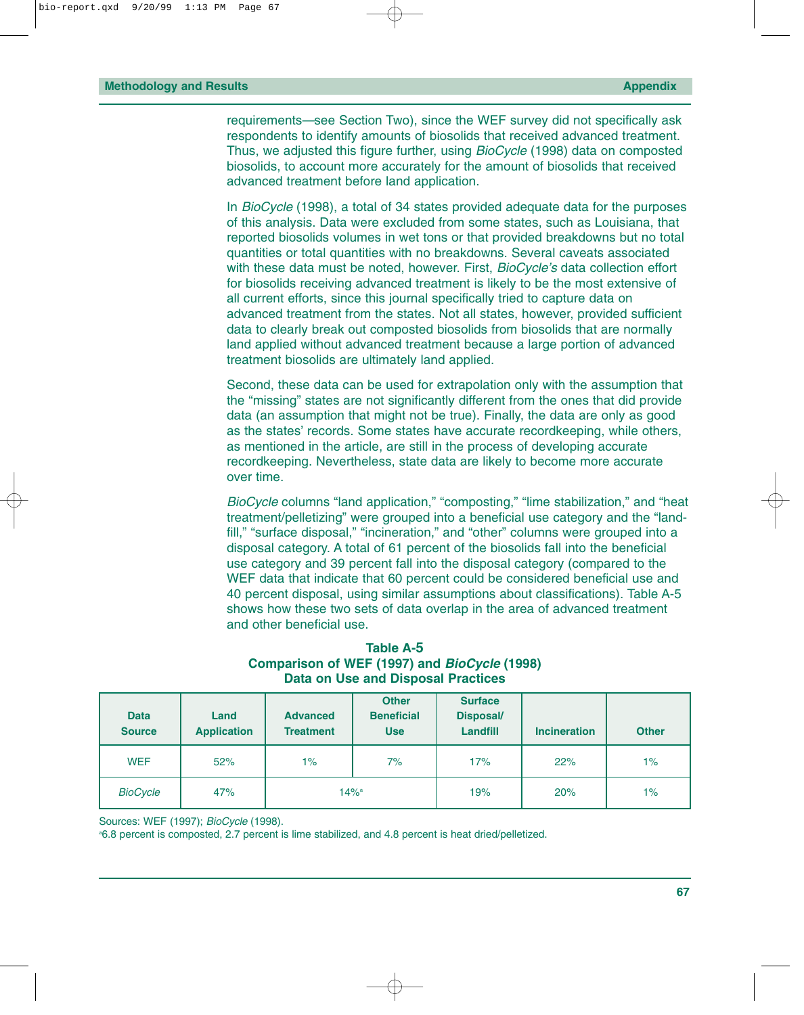requirements—see Section Two), since the WEF survey did not specifically ask respondents to identify amounts of biosolids that received advanced treatment. Thus, we adjusted this figure further, using *BioCycle* (1998) data on composted biosolids, to account more accurately for the amount of biosolids that received advanced treatment before land application.

In *BioCycle* (1998), a total of 34 states provided adequate data for the purposes of this analysis. Data were excluded from some states, such as Louisiana, that reported biosolids volumes in wet tons or that provided breakdowns but no total quantities or total quantities with no breakdowns. Several caveats associated with these data must be noted, however. First, *BioCycle's* data collection effort for biosolids receiving advanced treatment is likely to be the most extensive of all current efforts, since this journal specifically tried to capture data on advanced treatment from the states. Not all states, however, provided sufficient data to clearly break out composted biosolids from biosolids that are normally land applied without advanced treatment because a large portion of advanced treatment biosolids are ultimately land applied.

Second, these data can be used for extrapolation only with the assumption that the "missing" states are not significantly different from the ones that did provide data (an assumption that might not be true). Finally, the data are only as good as the states' records. Some states have accurate recordkeeping, while others, as mentioned in the article, are still in the process of developing accurate recordkeeping. Nevertheless, state data are likely to become more accurate over time.

*BioCycle* columns "land application," "composting," "lime stabilization," and "heat treatment/pelletizing" were grouped into a beneficial use category and the "landfill," "surface disposal," "incineration," and "other" columns were grouped into a disposal category. A total of 61 percent of the biosolids fall into the beneficial use category and 39 percent fall into the disposal category (compared to the WEF data that indicate that 60 percent could be considered beneficial use and 40 percent disposal, using similar assumptions about classifications). Table A-5 shows how these two sets of data overlap in the area of advanced treatment and other beneficial use.

**Table A-5 Comparison of WEF (1997) and** *BioCycle* **(1998) Data on Use and Disposal Practices**

| <b>Data</b><br><b>Source</b> | Land<br><b>Application</b> | <b>Advanced</b><br><b>Treatment</b> | <b>Other</b><br><b>Beneficial</b><br><b>Use</b> | <b>Surface</b><br><b>Disposal/</b><br>Landfill | <b>Incineration</b> | <b>Other</b> |
|------------------------------|----------------------------|-------------------------------------|-------------------------------------------------|------------------------------------------------|---------------------|--------------|
| <b>WEF</b>                   | 52%                        | $1\%$                               | 7%                                              | 17%                                            | 22%                 | $1\%$        |
| <b>BioCycle</b>              | 47%                        | $14\%$ <sup>a</sup>                 |                                                 | 19%                                            | 20%                 | $1\%$        |

Sources: WEF (1997); *BioCycle* (1998).

a 6.8 percent is composted, 2.7 percent is lime stabilized, and 4.8 percent is heat dried/pelletized.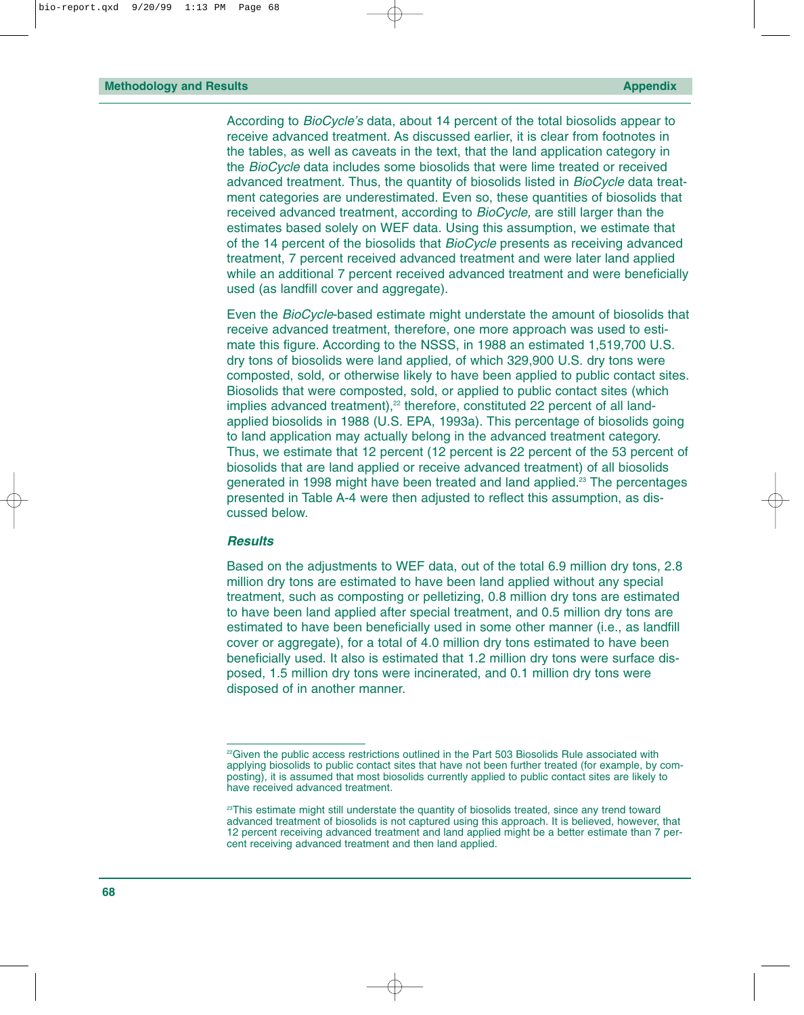According to *BioCycle's* data, about 14 percent of the total biosolids appear to receive advanced treatment. As discussed earlier, it is clear from footnotes in the tables, as well as caveats in the text, that the land application category in the *BioCycle* data includes some biosolids that were lime treated or received advanced treatment. Thus, the quantity of biosolids listed in *BioCycle* data treatment categories are underestimated. Even so, these quantities of biosolids that received advanced treatment, according to *BioCycle,* are still larger than the estimates based solely on WEF data. Using this assumption, we estimate that of the 14 percent of the biosolids that *BioCycle* presents as receiving advanced treatment, 7 percent received advanced treatment and were later land applied while an additional 7 percent received advanced treatment and were beneficially used (as landfill cover and aggregate).

Even the *BioCycle*-based estimate might understate the amount of biosolids that receive advanced treatment, therefore, one more approach was used to estimate this figure. According to the NSSS, in 1988 an estimated 1,519,700 U.S. dry tons of biosolids were land applied, of which 329,900 U.S. dry tons were composted, sold, or otherwise likely to have been applied to public contact sites. Biosolids that were composted, sold, or applied to public contact sites (which implies advanced treatment),<sup>22</sup> therefore, constituted 22 percent of all landapplied biosolids in 1988 (U.S. EPA, 1993a). This percentage of biosolids going to land application may actually belong in the advanced treatment category. Thus, we estimate that 12 percent (12 percent is 22 percent of the 53 percent of biosolids that are land applied or receive advanced treatment) of all biosolids generated in 1998 might have been treated and land applied.23 The percentages presented in Table A-4 were then adjusted to reflect this assumption, as discussed below.

#### *Results*

Based on the adjustments to WEF data, out of the total 6.9 million dry tons, 2.8 million dry tons are estimated to have been land applied without any special treatment, such as composting or pelletizing, 0.8 million dry tons are estimated to have been land applied after special treatment, and 0.5 million dry tons are estimated to have been beneficially used in some other manner (i.e., as landfill cover or aggregate), for a total of 4.0 million dry tons estimated to have been beneficially used. It also is estimated that 1.2 million dry tons were surface disposed, 1.5 million dry tons were incinerated, and 0.1 million dry tons were disposed of in another manner.

<sup>&</sup>lt;sup>22</sup>Given the public access restrictions outlined in the Part 503 Biosolids Rule associated with applying biosolids to public contact sites that have not been further treated (for example, by composting), it is assumed that most biosolids currently applied to public contact sites are likely to have received advanced treatment.

<sup>&</sup>lt;sup>23</sup>This estimate might still understate the quantity of biosolids treated, since any trend toward advanced treatment of biosolids is not captured using this approach. It is believed, however, that 12 percent receiving advanced treatment and land applied might be a better estimate than 7 percent receiving advanced treatment and then land applied.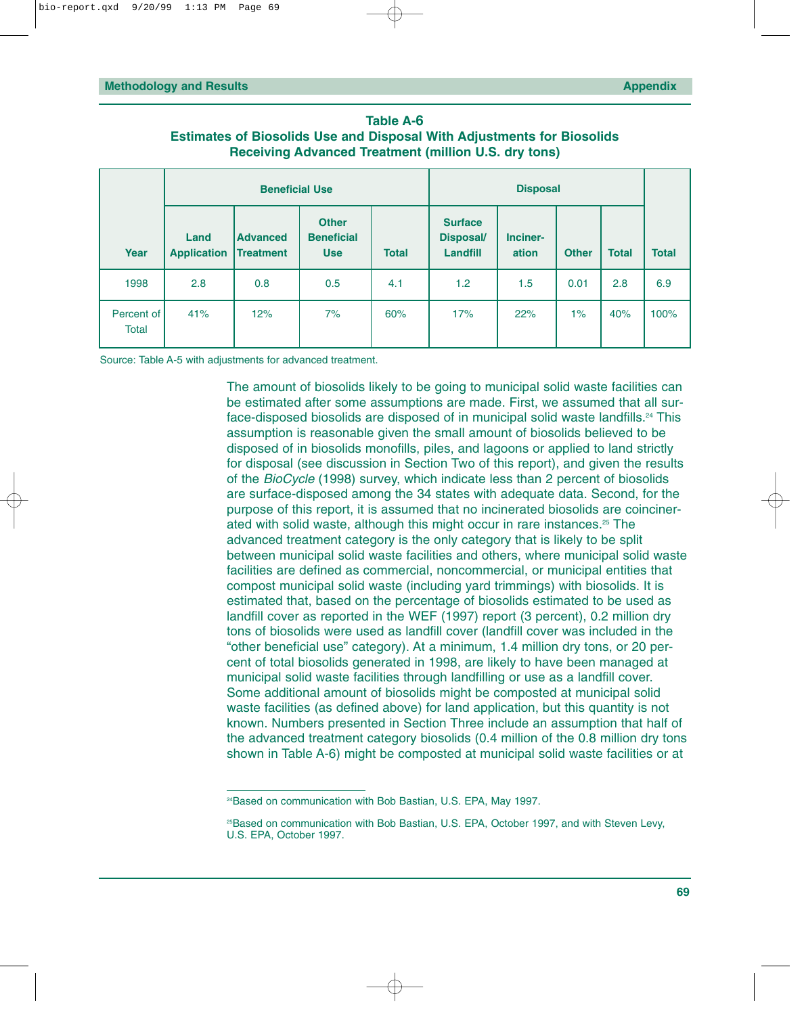| Table A-6                                                                     |
|-------------------------------------------------------------------------------|
| <b>Estimates of Biosolids Use and Disposal With Adjustments for Biosolids</b> |
| <b>Receiving Advanced Treatment (million U.S. dry tons)</b>                   |

|                            |                            | <b>Beneficial Use</b>        |                                                 |              |                                                       |                   |              |              |              |
|----------------------------|----------------------------|------------------------------|-------------------------------------------------|--------------|-------------------------------------------------------|-------------------|--------------|--------------|--------------|
| Year                       | Land<br><b>Application</b> | <b>Advanced</b><br>Treatment | <b>Other</b><br><b>Beneficial</b><br><b>Use</b> | <b>Total</b> | <b>Surface</b><br><b>Disposal/</b><br><b>Landfill</b> | Inciner-<br>ation | <b>Other</b> | <b>Total</b> | <b>Total</b> |
| 1998                       | 2.8                        | 0.8                          | 0.5                                             | 4.1          | 1.2                                                   | 1.5               | 0.01         | 2.8          | 6.9          |
| Percent of<br><b>Total</b> | 41%                        | 12%                          | 7%                                              | 60%          | 17%                                                   | 22%               | $1\%$        | 40%          | 100%         |

Source: Table A-5 with adjustments for advanced treatment.

The amount of biosolids likely to be going to municipal solid waste facilities can be estimated after some assumptions are made. First, we assumed that all surface-disposed biosolids are disposed of in municipal solid waste landfills.<sup>24</sup> This assumption is reasonable given the small amount of biosolids believed to be disposed of in biosolids monofills, piles, and lagoons or applied to land strictly for disposal (see discussion in Section Two of this report), and given the results of the *BioCycle* (1998) survey, which indicate less than 2 percent of biosolids are surface-disposed among the 34 states with adequate data. Second, for the purpose of this report, it is assumed that no incinerated biosolids are coincinerated with solid waste, although this might occur in rare instances.25 The advanced treatment category is the only category that is likely to be split between municipal solid waste facilities and others, where municipal solid waste facilities are defined as commercial, noncommercial, or municipal entities that compost municipal solid waste (including yard trimmings) with biosolids. It is estimated that, based on the percentage of biosolids estimated to be used as landfill cover as reported in the WEF (1997) report (3 percent), 0.2 million dry tons of biosolids were used as landfill cover (landfill cover was included in the "other beneficial use" category). At a minimum, 1.4 million dry tons, or 20 percent of total biosolids generated in 1998, are likely to have been managed at municipal solid waste facilities through landfilling or use as a landfill cover. Some additional amount of biosolids might be composted at municipal solid waste facilities (as defined above) for land application, but this quantity is not known. Numbers presented in Section Three include an assumption that half of the advanced treatment category biosolids (0.4 million of the 0.8 million dry tons shown in Table A-6) might be composted at municipal solid waste facilities or at

<sup>&</sup>lt;sup>24</sup>Based on communication with Bob Bastian, U.S. EPA, May 1997.

<sup>&</sup>lt;sup>25</sup>Based on communication with Bob Bastian, U.S. EPA, October 1997, and with Steven Levy, U.S. EPA, October 1997.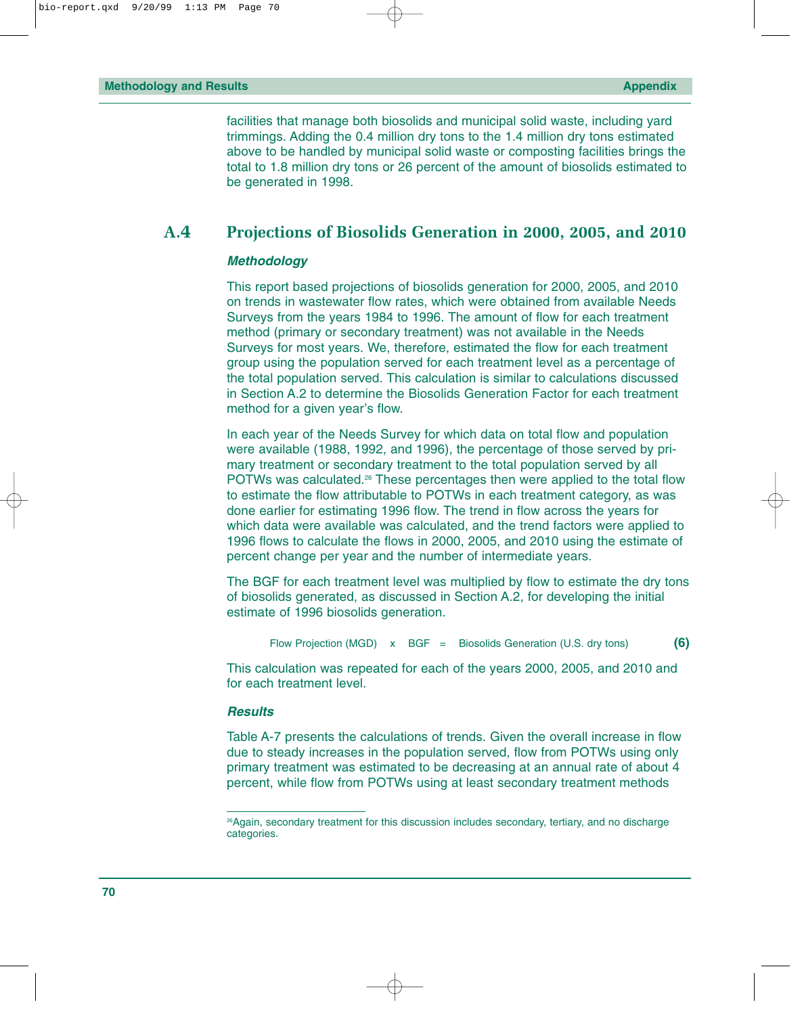facilities that manage both biosolids and municipal solid waste, including yard trimmings. Adding the 0.4 million dry tons to the 1.4 million dry tons estimated above to be handled by municipal solid waste or composting facilities brings the total to 1.8 million dry tons or 26 percent of the amount of biosolids estimated to be generated in 1998.

# **A.4 Projections of Biosolids Generation in 2000, 2005, and 2010**

#### *Methodology*

This report based projections of biosolids generation for 2000, 2005, and 2010 on trends in wastewater flow rates, which were obtained from available Needs Surveys from the years 1984 to 1996. The amount of flow for each treatment method (primary or secondary treatment) was not available in the Needs Surveys for most years. We, therefore, estimated the flow for each treatment group using the population served for each treatment level as a percentage of the total population served. This calculation is similar to calculations discussed in Section A.2 to determine the Biosolids Generation Factor for each treatment method for a given year's flow.

In each year of the Needs Survey for which data on total flow and population were available (1988, 1992, and 1996), the percentage of those served by primary treatment or secondary treatment to the total population served by all POTWs was calculated.<sup>26</sup> These percentages then were applied to the total flow to estimate the flow attributable to POTWs in each treatment category, as was done earlier for estimating 1996 flow. The trend in flow across the years for which data were available was calculated, and the trend factors were applied to 1996 flows to calculate the flows in 2000, 2005, and 2010 using the estimate of percent change per year and the number of intermediate years.

The BGF for each treatment level was multiplied by flow to estimate the dry tons of biosolids generated, as discussed in Section A.2, for developing the initial estimate of 1996 biosolids generation.

```
Flow Projection (MGD) x BGF = Biosolids Generation (U.S. dry tons) (6)
```
This calculation was repeated for each of the years 2000, 2005, and 2010 and for each treatment level.

#### *Results*

Table A-7 presents the calculations of trends. Given the overall increase in flow due to steady increases in the population served, flow from POTWs using only primary treatment was estimated to be decreasing at an annual rate of about 4 percent, while flow from POTWs using at least secondary treatment methods

<sup>&</sup>lt;sup>26</sup>Again, secondary treatment for this discussion includes secondary, tertiary, and no discharge categories.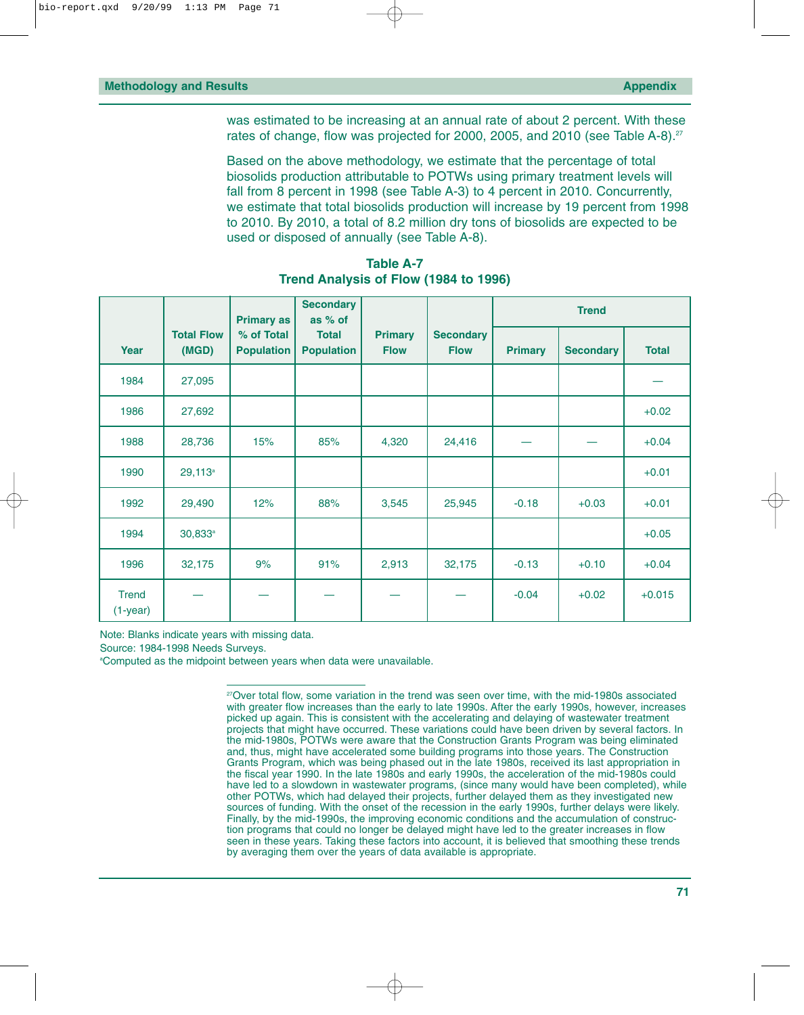was estimated to be increasing at an annual rate of about 2 percent. With these rates of change, flow was projected for 2000, 2005, and 2010 (see Table A-8).<sup>27</sup>

Based on the above methodology, we estimate that the percentage of total biosolids production attributable to POTWs using primary treatment levels will fall from 8 percent in 1998 (see Table A-3) to 4 percent in 2010. Concurrently, we estimate that total biosolids production will increase by 19 percent from 1998 to 2010. By 2010, a total of 8.2 million dry tons of biosolids are expected to be used or disposed of annually (see Table A-8).

|                            |                            | <b>Primary as</b>               | <b>Secondary</b><br>as % of       |                               |                                 | <b>Trend</b>   |                  |              |
|----------------------------|----------------------------|---------------------------------|-----------------------------------|-------------------------------|---------------------------------|----------------|------------------|--------------|
| Year                       | <b>Total Flow</b><br>(MGD) | % of Total<br><b>Population</b> | <b>Total</b><br><b>Population</b> | <b>Primary</b><br><b>Flow</b> | <b>Secondary</b><br><b>Flow</b> | <b>Primary</b> | <b>Secondary</b> | <b>Total</b> |
| 1984                       | 27,095                     |                                 |                                   |                               |                                 |                |                  |              |
| 1986                       | 27,692                     |                                 |                                   |                               |                                 |                |                  | $+0.02$      |
| 1988                       | 28,736                     | 15%                             | 85%                               | 4,320                         | 24,416                          |                |                  | $+0.04$      |
| 1990                       | $29,113^a$                 |                                 |                                   |                               |                                 |                |                  | $+0.01$      |
| 1992                       | 29,490                     | 12%                             | 88%                               | 3,545                         | 25,945                          | $-0.18$        | $+0.03$          | $+0.01$      |
| 1994                       | $30,833^a$                 |                                 |                                   |                               |                                 |                |                  | $+0.05$      |
| 1996                       | 32,175                     | 9%                              | 91%                               | 2,913                         | 32,175                          | $-0.13$        | $+0.10$          | $+0.04$      |
| <b>Trend</b><br>$(1-year)$ |                            |                                 |                                   |                               |                                 | $-0.04$        | $+0.02$          | $+0.015$     |

**Table A-7 Trend Analysis of Flow (1984 to 1996)**

Note: Blanks indicate years with missing data.

Source: 1984-1998 Needs Surveys.

a Computed as the midpoint between years when data were unavailable.

<sup>27</sup>Over total flow, some variation in the trend was seen over time, with the mid-1980s associated with greater flow increases than the early to late 1990s. After the early 1990s, however, increases picked up again. This is consistent with the accelerating and delaying of wastewater treatment projects that might have occurred. These variations could have been driven by several factors. In the mid-1980s, POTWs were aware that the Construction Grants Program was being eliminated and, thus, might have accelerated some building programs into those years. The Construction Grants Program, which was being phased out in the late 1980s, received its last appropriation in the fiscal year 1990. In the late 1980s and early 1990s, the acceleration of the mid-1980s could have led to a slowdown in wastewater programs, (since many would have been completed), while other POTWs, which had delayed their projects, further delayed them as they investigated new sources of funding. With the onset of the recession in the early 1990s, further delays were likely. Finally, by the mid-1990s, the improving economic conditions and the accumulation of construction programs that could no longer be delayed might have led to the greater increases in flow seen in these years. Taking these factors into account, it is believed that smoothing these trends by averaging them over the years of data available is appropriate.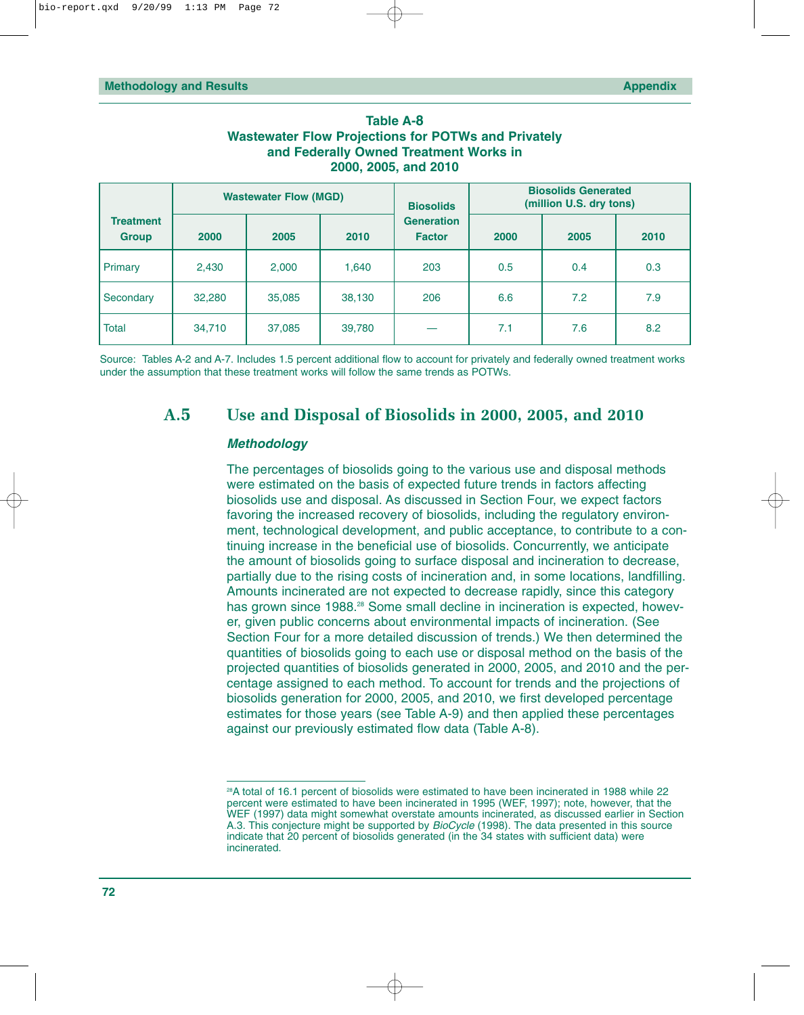| <b>Table A-8</b>                                           |  |  |  |  |  |  |  |
|------------------------------------------------------------|--|--|--|--|--|--|--|
| <b>Wastewater Flow Projections for POTWs and Privately</b> |  |  |  |  |  |  |  |
| and Federally Owned Treatment Works in                     |  |  |  |  |  |  |  |
| 2000, 2005, and 2010                                       |  |  |  |  |  |  |  |

|                                  | <b>Wastewater Flow (MGD)</b> |        |        | <b>Biosolids</b>                   |      | <b>Biosolids Generated</b><br>(million U.S. dry tons) |      |
|----------------------------------|------------------------------|--------|--------|------------------------------------|------|-------------------------------------------------------|------|
| <b>Treatment</b><br><b>Group</b> | 2000                         | 2005   | 2010   | <b>Generation</b><br><b>Factor</b> | 2000 | 2005                                                  | 2010 |
| Primary                          | 2,430                        | 2,000  | 1,640  | 203                                | 0.5  | 0.4                                                   | 0.3  |
| Secondary                        | 32,280                       | 35,085 | 38,130 | 206                                | 6.6  | 7.2                                                   | 7.9  |
| Total                            | 34,710                       | 37,085 | 39,780 |                                    | 7.1  | 7.6                                                   | 8.2  |

Source: Tables A-2 and A-7. Includes 1.5 percent additional flow to account for privately and federally owned treatment works under the assumption that these treatment works will follow the same trends as POTWs.

# **A.5 Use and Disposal of Biosolids in 2000, 2005, and 2010**

## *Methodology*

The percentages of biosolids going to the various use and disposal methods were estimated on the basis of expected future trends in factors affecting biosolids use and disposal. As discussed in Section Four, we expect factors favoring the increased recovery of biosolids, including the regulatory environment, technological development, and public acceptance, to contribute to a continuing increase in the beneficial use of biosolids. Concurrently, we anticipate the amount of biosolids going to surface disposal and incineration to decrease, partially due to the rising costs of incineration and, in some locations, landfilling. Amounts incinerated are not expected to decrease rapidly, since this category has grown since 1988.<sup>28</sup> Some small decline in incineration is expected, however, given public concerns about environmental impacts of incineration. (See Section Four for a more detailed discussion of trends.) We then determined the quantities of biosolids going to each use or disposal method on the basis of the projected quantities of biosolids generated in 2000, 2005, and 2010 and the percentage assigned to each method. To account for trends and the projections of biosolids generation for 2000, 2005, and 2010, we first developed percentage estimates for those years (see Table A-9) and then applied these percentages against our previously estimated flow data (Table A-8).

<sup>28</sup>A total of 16.1 percent of biosolids were estimated to have been incinerated in 1988 while 22 percent were estimated to have been incinerated in 1995 (WEF, 1997); note, however, that the WEF (1997) data might somewhat overstate amounts incinerated, as discussed earlier in Section A.3. This conjecture might be supported by *BioCycle* (1998). The data presented in this source indicate that 20 percent of biosolids generated (in the 34 states with sufficient data) were incinerated.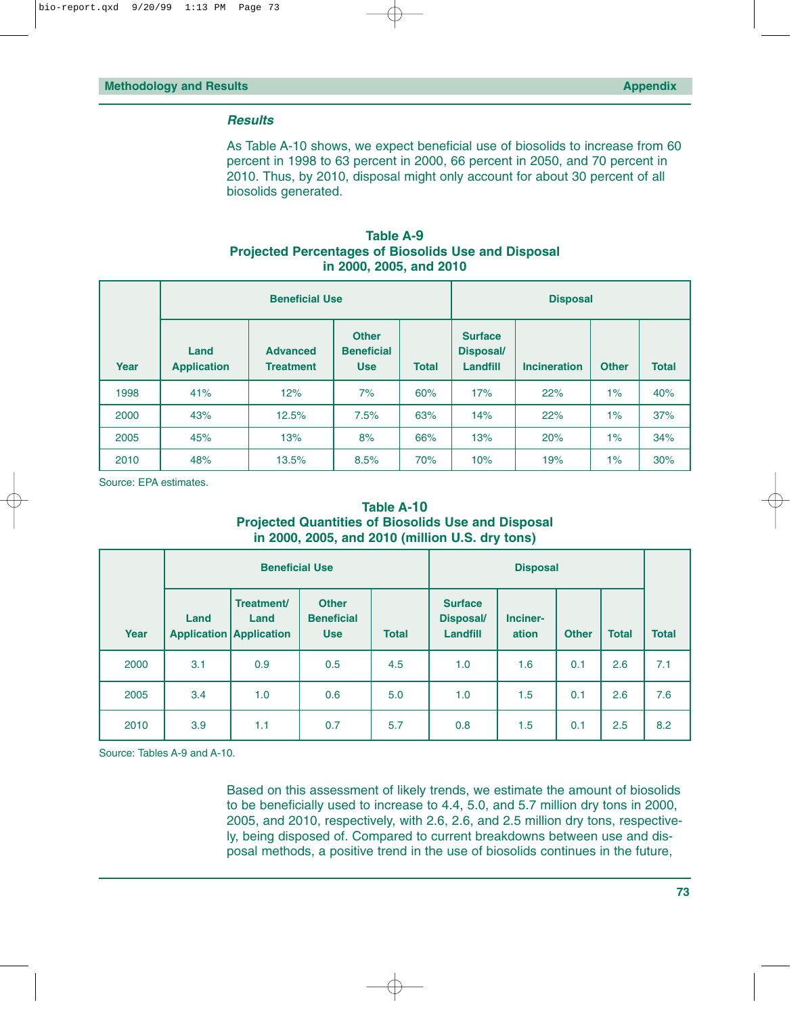### *Results*

As Table A-10 shows, we expect beneficial use of biosolids to increase from 60 percent in 1998 to 63 percent in 2000, 66 percent in 2050, and 70 percent in 2010. Thus, by 2010, disposal might only account for about 30 percent of all biosolids generated.

## **Table A-9 Projected Percentages of Biosolids Use and Disposal in 2000, 2005, and 2010**

|      |                            | <b>Beneficial Use</b>               |                                                                 |     | <b>Disposal</b>                                |                     |              |              |
|------|----------------------------|-------------------------------------|-----------------------------------------------------------------|-----|------------------------------------------------|---------------------|--------------|--------------|
| Year | Land<br><b>Application</b> | <b>Advanced</b><br><b>Treatment</b> | <b>Other</b><br><b>Beneficial</b><br><b>Total</b><br><b>Use</b> |     | <b>Surface</b><br><b>Disposal/</b><br>Landfill | <b>Incineration</b> | <b>Other</b> | <b>Total</b> |
| 1998 | 41%                        | 12%                                 | 7%                                                              | 60% | 17%                                            | 22%                 | $1\%$        | 40%          |
| 2000 | 43%                        | 12.5%                               | 7.5%                                                            | 63% | 14%                                            | 22%                 | $1\%$        | 37%          |
| 2005 | 45%                        | 13%                                 | 8%                                                              | 66% | 13%                                            | 20%                 | $1\%$        | 34%          |
| 2010 | 48%                        | 13.5%                               | 8.5%                                                            | 70% | 10%                                            | 19%                 | $1\%$        | 30%          |

Source: EPA estimates.

## **Table A-10 Projected Quantities of Biosolids Use and Disposal in 2000, 2005, and 2010 (million U.S. dry tons)**

|      |      | <b>Beneficial Use</b>                                |                                                 |              |                                                |                   |              |              |              |
|------|------|------------------------------------------------------|-------------------------------------------------|--------------|------------------------------------------------|-------------------|--------------|--------------|--------------|
| Year | Land | Treatment/<br>Land<br><b>Application Application</b> | <b>Other</b><br><b>Beneficial</b><br><b>Use</b> | <b>Total</b> | <b>Surface</b><br><b>Disposal/</b><br>Landfill | Inciner-<br>ation | <b>Other</b> | <b>Total</b> | <b>Total</b> |
| 2000 | 3.1  | 0.9                                                  | 0.5                                             | 4.5          | 1.0                                            | 1.6               | 0.1          | 2.6          | 7.1          |
| 2005 | 3.4  | 1.0                                                  | 0.6                                             | 5.0          | 1.0                                            | 1.5               | 0.1          | 2.6          | 7.6          |
| 2010 | 3.9  | 1.1                                                  | 0.7                                             | 5.7          | 0.8                                            | 1.5               | 0.1          | 2.5          | 8.2          |

Source: Tables A-9 and A-10.

Based on this assessment of likely trends, we estimate the amount of biosolids to be beneficially used to increase to 4.4, 5.0, and 5.7 million dry tons in 2000, 2005, and 2010, respectively, with 2.6, 2.6, and 2.5 million dry tons, respectively, being disposed of. Compared to current breakdowns between use and disposal methods, a positive trend in the use of biosolids continues in the future,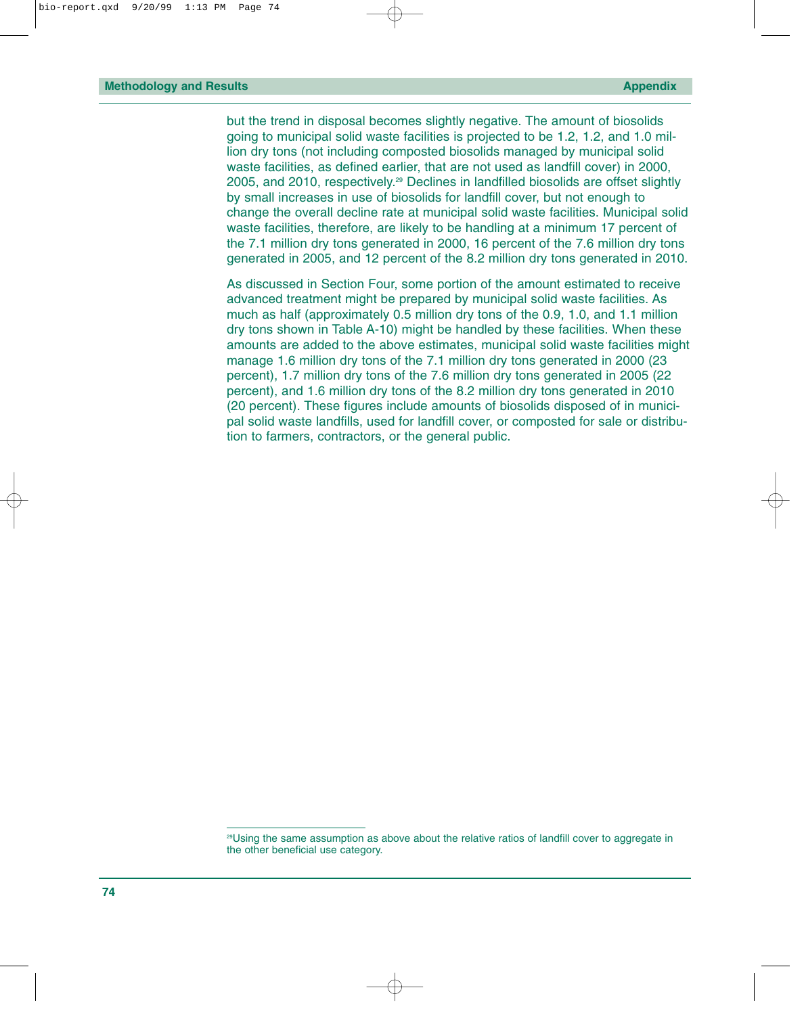but the trend in disposal becomes slightly negative. The amount of biosolids going to municipal solid waste facilities is projected to be 1.2, 1.2, and 1.0 million dry tons (not including composted biosolids managed by municipal solid waste facilities, as defined earlier, that are not used as landfill cover) in 2000, 2005, and 2010, respectively.29 Declines in landfilled biosolids are offset slightly by small increases in use of biosolids for landfill cover, but not enough to change the overall decline rate at municipal solid waste facilities. Municipal solid waste facilities, therefore, are likely to be handling at a minimum 17 percent of the 7.1 million dry tons generated in 2000, 16 percent of the 7.6 million dry tons generated in 2005, and 12 percent of the 8.2 million dry tons generated in 2010.

As discussed in Section Four, some portion of the amount estimated to receive advanced treatment might be prepared by municipal solid waste facilities. As much as half (approximately 0.5 million dry tons of the 0.9, 1.0, and 1.1 million dry tons shown in Table A-10) might be handled by these facilities. When these amounts are added to the above estimates, municipal solid waste facilities might manage 1.6 million dry tons of the 7.1 million dry tons generated in 2000 (23 percent), 1.7 million dry tons of the 7.6 million dry tons generated in 2005 (22 percent), and 1.6 million dry tons of the 8.2 million dry tons generated in 2010 (20 percent). These figures include amounts of biosolids disposed of in municipal solid waste landfills, used for landfill cover, or composted for sale or distribution to farmers, contractors, or the general public.

<sup>29</sup>Using the same assumption as above about the relative ratios of landfill cover to aggregate in the other beneficial use category.